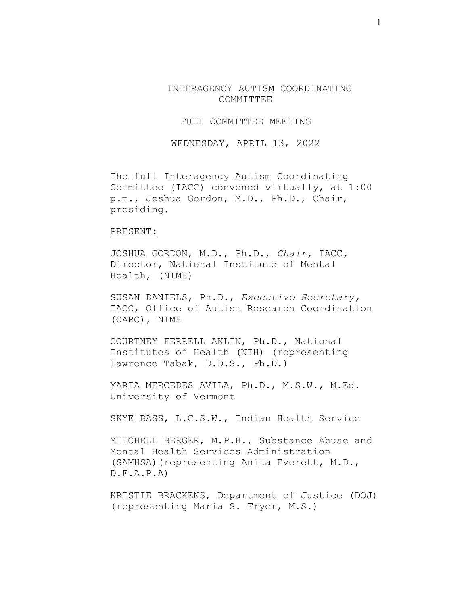INTERAGENCY AUTISM COORDINATING COMMITTEE

FULL COMMITTEE MEETING

WEDNESDAY, APRIL 13, 2022

The full Interagency Autism Coordinating Committee (IACC) convened virtually, at 1:00 p.m., Joshua Gordon, M.D., Ph.D., Chair, presiding.

#### PRESENT:

JOSHUA GORDON, M.D., Ph.D., *Chair,* IACC*,* Director, National Institute of Mental Health, (NIMH)

SUSAN DANIELS, Ph.D., *Executive Secretary,* IACC, Office of Autism Research Coordination (OARC), NIMH

COURTNEY FERRELL AKLIN, Ph.D., National Institutes of Health (NIH) (representing Lawrence Tabak, D.D.S., Ph.D.)

MARIA MERCEDES AVILA, Ph.D., M.S.W., M.Ed. University of Vermont

SKYE BASS, L.C.S.W., Indian Health Service

MITCHELL BERGER, M.P.H., Substance Abuse and Mental Health Services Administration (SAMHSA)(representing Anita Everett, M.D.,  $D.F.A.P.A$ 

KRISTIE BRACKENS, Department of Justice (DOJ) (representing Maria S. Fryer, M.S.)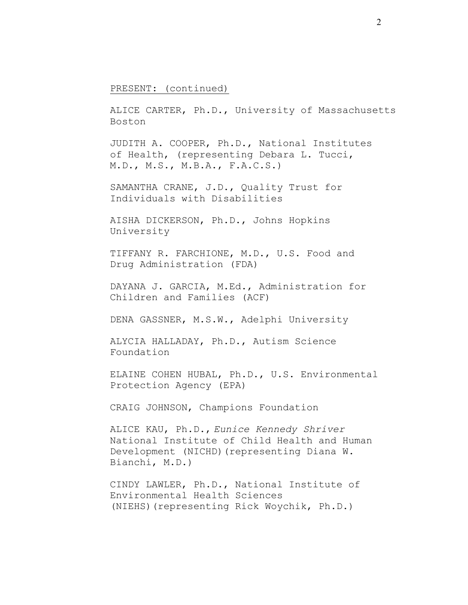### PRESENT: (continued)

ALICE CARTER, Ph.D., University of Massachusetts Boston

JUDITH A. COOPER, Ph.D., National Institutes of Health, (representing Debara L. Tucci, M.D., M.S., M.B.A., F.A.C.S.)

SAMANTHA CRANE, J.D., Quality Trust for Individuals with Disabilities

AISHA DICKERSON, Ph.D., Johns Hopkins University

TIFFANY R. FARCHIONE, M.D., U.S. Food and Drug Administration (FDA)

DAYANA J. GARCIA, M.Ed., Administration for Children and Families (ACF)

DENA GASSNER, M.S.W., Adelphi University

ALYCIA HALLADAY, Ph.D., Autism Science Foundation

ELAINE COHEN HUBAL, Ph.D., U.S. Environmental Protection Agency (EPA)

CRAIG JOHNSON, Champions Foundation

ALICE KAU, Ph.D., *Eunice Kennedy Shriver* National Institute of Child Health and Human Development (NICHD)(representing Diana W. Bianchi, M.D.)

CINDY LAWLER, Ph.D., National Institute of Environmental Health Sciences (NIEHS)(representing Rick Woychik, Ph.D.)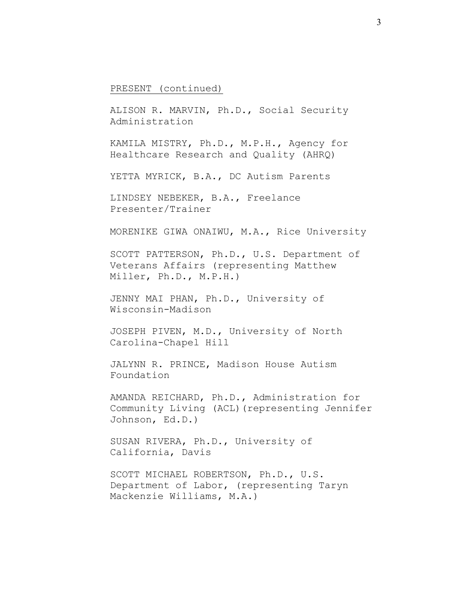#### PRESENT (continued)

ALISON R. MARVIN, Ph.D., Social Security Administration

KAMILA MISTRY, Ph.D., M.P.H., Agency for Healthcare Research and Quality (AHRQ)

YETTA MYRICK, B.A., DC Autism Parents

LINDSEY NEBEKER, B.A., Freelance Presenter/Trainer

MORENIKE GIWA ONAIWU, M.A., Rice University

SCOTT PATTERSON, Ph.D., U.S. Department of Veterans Affairs (representing Matthew Miller, Ph.D., M.P.H.)

JENNY MAI PHAN, Ph.D., University of Wisconsin-Madison

JOSEPH PIVEN, M.D., University of North Carolina-Chapel Hill

JALYNN R. PRINCE, Madison House Autism Foundation

AMANDA REICHARD, Ph.D., Administration for Community Living (ACL)(representing Jennifer Johnson, Ed.D.)

SUSAN RIVERA, Ph.D., University of California, Davis

SCOTT MICHAEL ROBERTSON, Ph.D., U.S. Department of Labor, (representing Taryn Mackenzie Williams, M.A.)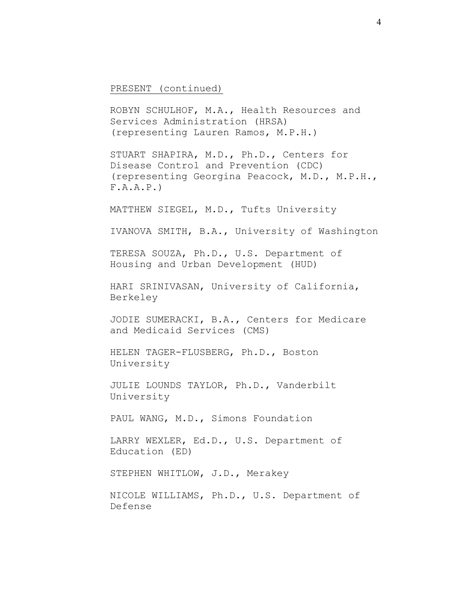PRESENT (continued)

ROBYN SCHULHOF, M.A., Health Resources and Services Administration (HRSA) (representing Lauren Ramos, M.P.H.)

STUART SHAPIRA, M.D., Ph.D., Centers for Disease Control and Prevention (CDC) (representing Georgina Peacock, M.D., M.P.H.,  $F.A.A.P.$ 

MATTHEW SIEGEL, M.D., Tufts University

IVANOVA SMITH, B.A., University of Washington

TERESA SOUZA, Ph.D., U.S. Department of Housing and Urban Development (HUD)

HARI SRINIVASAN, University of California, Berkeley

JODIE SUMERACKI, B.A., Centers for Medicare and Medicaid Services (CMS)

HELEN TAGER-FLUSBERG, Ph.D., Boston University

JULIE LOUNDS TAYLOR, Ph.D., Vanderbilt University

PAUL WANG, M.D., Simons Foundation

LARRY WEXLER, Ed.D., U.S. Department of Education (ED)

STEPHEN WHITLOW, J.D., Merakey

NICOLE WILLIAMS, Ph.D., U.S. Department of Defense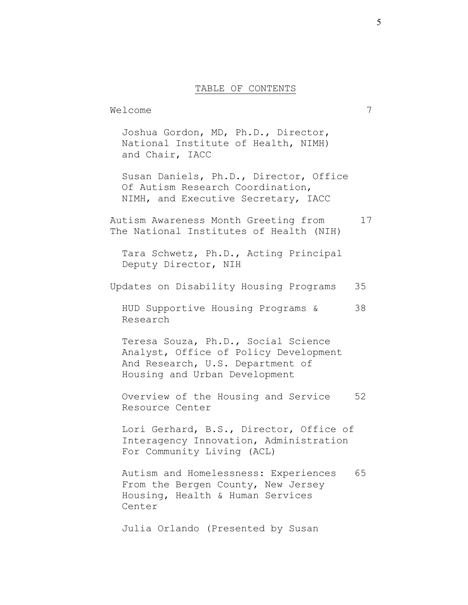### TABLE OF CONTENTS

Welcome 7 Joshua Gordon, MD, Ph.D., Director, National Institute of Health, NIMH) and Chair, IACC Susan Daniels, Ph.D., Director, Office Of Autism Research Coordination, NIMH, and Executive Secretary, IACC Autism Awareness Month Greeting from 17 The National Institutes of Health (NIH) Tara Schwetz, Ph.D., Acting Principal Deputy Director, NIH Updates on Disability Housing Programs 35 HUD Supportive Housing Programs & 38 Research Teresa Souza, Ph.D., Social Science Analyst, Office of Policy Development And Research, U.S. Department of Housing and Urban Development Overview of the Housing and Service 52 Resource Center Lori Gerhard, B.S., Director, Office of Interagency Innovation, Administration For Community Living (ACL) Autism and Homelessness: Experiences 65 From the Bergen County, New Jersey Housing, Health & Human Services Center Julia Orlando (Presented by Susan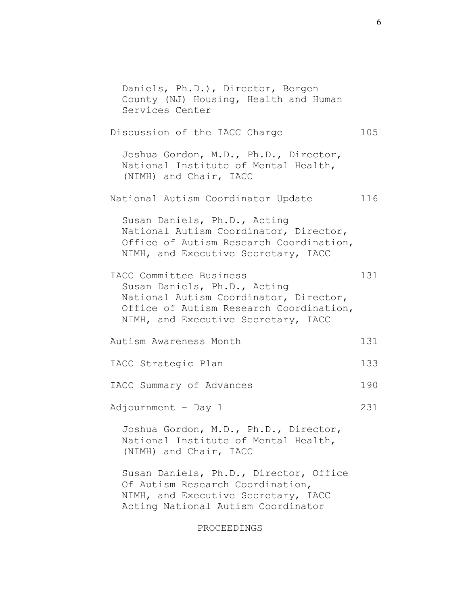Daniels, Ph.D.), Director, Bergen County (NJ) Housing, Health and Human Services Center Discussion of the IACC Charge 105 Joshua Gordon, M.D., Ph.D., Director, National Institute of Mental Health, (NIMH) and Chair, IACC National Autism Coordinator Update 116 Susan Daniels, Ph.D., Acting National Autism Coordinator, Director, Office of Autism Research Coordination, NIMH, and Executive Secretary, IACC IACC Committee Business 131 Susan Daniels, Ph.D., Acting National Autism Coordinator, Director, Office of Autism Research Coordination, NIMH, and Executive Secretary, IACC Autism Awareness Month 131 IACC Strategic Plan 133 IACC Summary of Advances 190 Adjournment - Day 1 231 Joshua Gordon, M.D., Ph.D., Director, National Institute of Mental Health, (NIMH) and Chair, IACC Susan Daniels, Ph.D., Director, Office Of Autism Research Coordination, NIMH, and Executive Secretary, IACC Acting National Autism Coordinator

PROCEEDINGS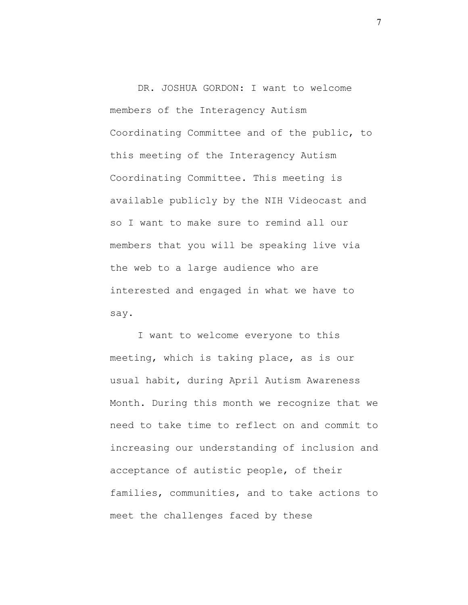DR. JOSHUA GORDON: I want to welcome members of the Interagency Autism Coordinating Committee and of the public, to this meeting of the Interagency Autism Coordinating Committee. This meeting is available publicly by the NIH Videocast and so I want to make sure to remind all our members that you will be speaking live via the web to a large audience who are interested and engaged in what we have to say.

I want to welcome everyone to this meeting, which is taking place, as is our usual habit, during April Autism Awareness Month. During this month we recognize that we need to take time to reflect on and commit to increasing our understanding of inclusion and acceptance of autistic people, of their families, communities, and to take actions to meet the challenges faced by these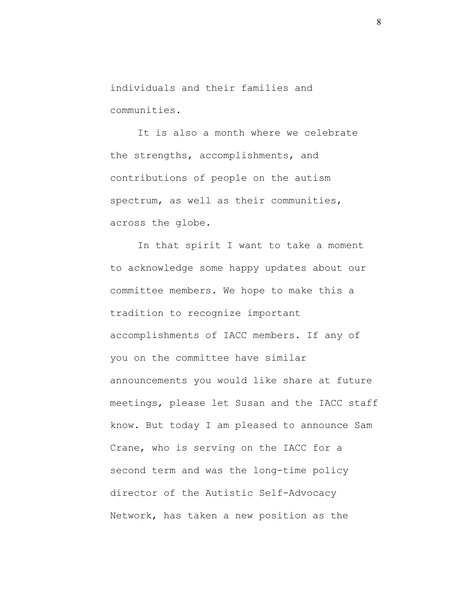individuals and their families and communities.

It is also a month where we celebrate the strengths, accomplishments, and contributions of people on the autism spectrum, as well as their communities, across the globe.

In that spirit I want to take a moment to acknowledge some happy updates about our committee members. We hope to make this a tradition to recognize important accomplishments of IACC members. If any of you on the committee have similar announcements you would like share at future meetings, please let Susan and the IACC staff know. But today I am pleased to announce Sam Crane, who is serving on the IACC for a second term and was the long-time policy director of the Autistic Self-Advocacy Network, has taken a new position as the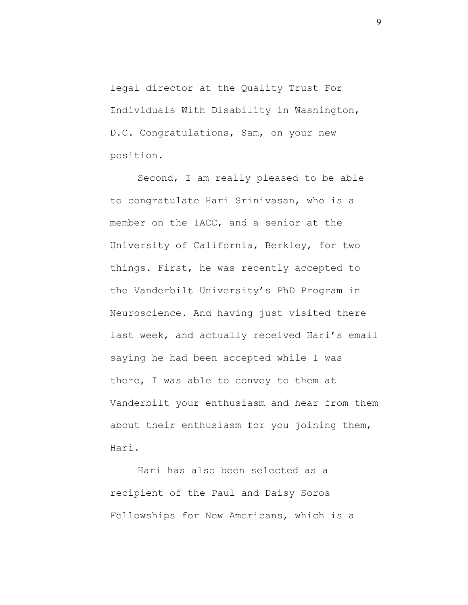legal director at the Quality Trust For Individuals With Disability in Washington, D.C. Congratulations, Sam, on your new position.

Second, I am really pleased to be able to congratulate Hari Srinivasan, who is a member on the IACC, and a senior at the University of California, Berkley, for two things. First, he was recently accepted to the Vanderbilt University's PhD Program in Neuroscience. And having just visited there last week, and actually received Hari's email saying he had been accepted while I was there, I was able to convey to them at Vanderbilt your enthusiasm and hear from them about their enthusiasm for you joining them, Hari.

Hari has also been selected as a recipient of the Paul and Daisy Soros Fellowships for New Americans, which is a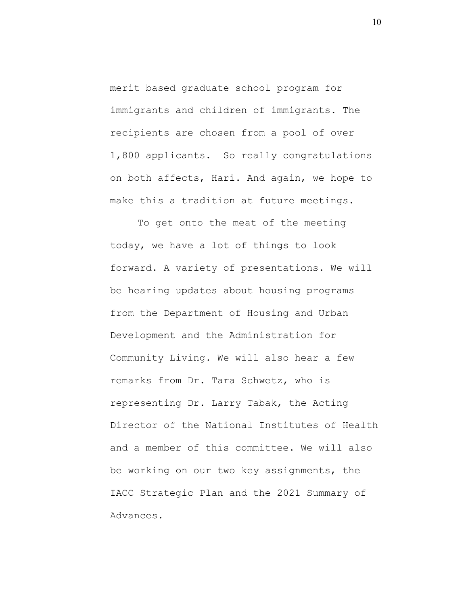merit based graduate school program for immigrants and children of immigrants. The recipients are chosen from a pool of over 1,800 applicants. So really congratulations on both affects, Hari. And again, we hope to make this a tradition at future meetings.

To get onto the meat of the meeting today, we have a lot of things to look forward. A variety of presentations. We will be hearing updates about housing programs from the Department of Housing and Urban Development and the Administration for Community Living. We will also hear a few remarks from Dr. Tara Schwetz, who is representing Dr. Larry Tabak, the Acting Director of the National Institutes of Health and a member of this committee. We will also be working on our two key assignments, the IACC Strategic Plan and the 2021 Summary of Advances.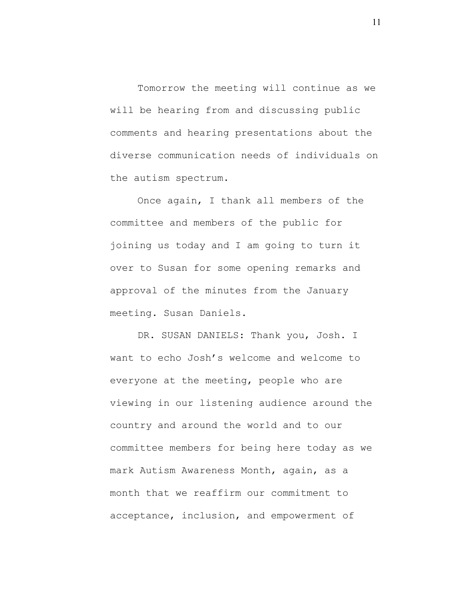Tomorrow the meeting will continue as we will be hearing from and discussing public comments and hearing presentations about the diverse communication needs of individuals on the autism spectrum.

Once again, I thank all members of the committee and members of the public for joining us today and I am going to turn it over to Susan for some opening remarks and approval of the minutes from the January meeting. Susan Daniels.

DR. SUSAN DANIELS: Thank you, Josh. I want to echo Josh's welcome and welcome to everyone at the meeting, people who are viewing in our listening audience around the country and around the world and to our committee members for being here today as we mark Autism Awareness Month, again, as a month that we reaffirm our commitment to acceptance, inclusion, and empowerment of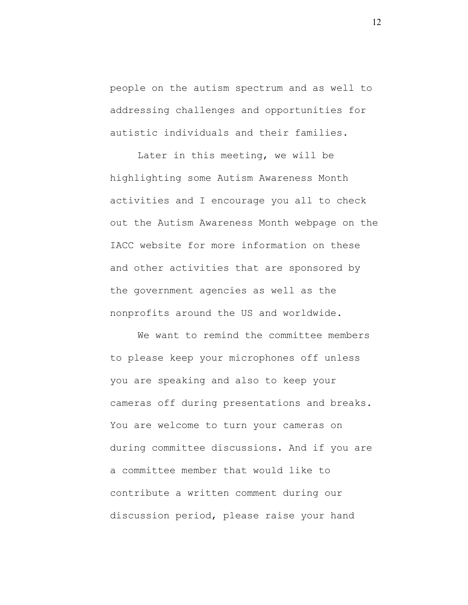people on the autism spectrum and as well to addressing challenges and opportunities for autistic individuals and their families.

Later in this meeting, we will be highlighting some Autism Awareness Month activities and I encourage you all to check out the Autism Awareness Month webpage on the IACC website for more information on these and other activities that are sponsored by the government agencies as well as the nonprofits around the US and worldwide.

We want to remind the committee members to please keep your microphones off unless you are speaking and also to keep your cameras off during presentations and breaks. You are welcome to turn your cameras on during committee discussions. And if you are a committee member that would like to contribute a written comment during our discussion period, please raise your hand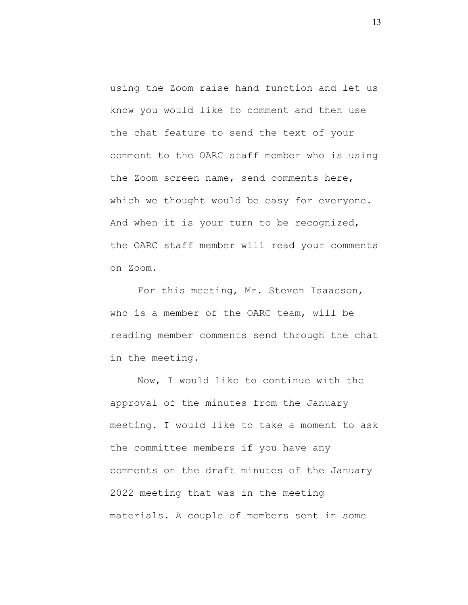using the Zoom raise hand function and let us know you would like to comment and then use the chat feature to send the text of your comment to the OARC staff member who is using the Zoom screen name, send comments here, which we thought would be easy for everyone. And when it is your turn to be recognized, the OARC staff member will read your comments on Zoom.

For this meeting, Mr. Steven Isaacson, who is a member of the OARC team, will be reading member comments send through the chat in the meeting.

Now, I would like to continue with the approval of the minutes from the January meeting. I would like to take a moment to ask the committee members if you have any comments on the draft minutes of the January 2022 meeting that was in the meeting materials. A couple of members sent in some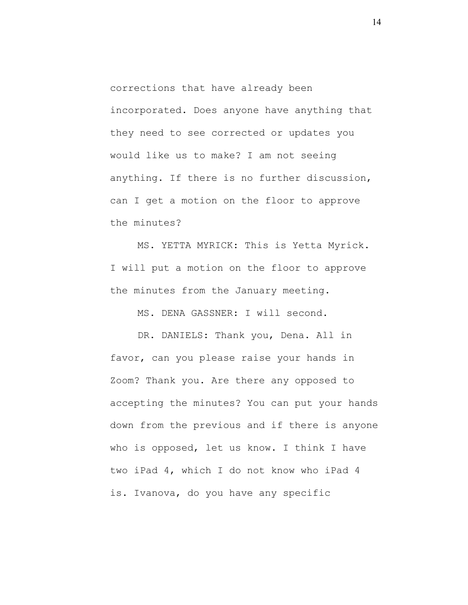corrections that have already been incorporated. Does anyone have anything that they need to see corrected or updates you would like us to make? I am not seeing anything. If there is no further discussion, can I get a motion on the floor to approve the minutes?

MS. YETTA MYRICK: This is Yetta Myrick. I will put a motion on the floor to approve the minutes from the January meeting.

MS. DENA GASSNER: I will second.

DR. DANIELS: Thank you, Dena. All in favor, can you please raise your hands in Zoom? Thank you. Are there any opposed to accepting the minutes? You can put your hands down from the previous and if there is anyone who is opposed, let us know. I think I have two iPad 4, which I do not know who iPad 4 is. Ivanova, do you have any specific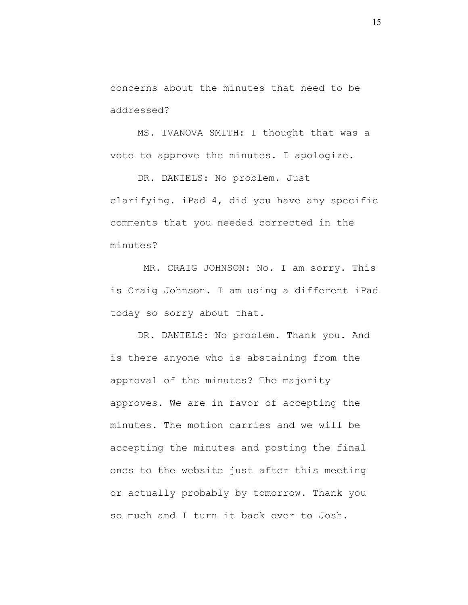concerns about the minutes that need to be addressed?

MS. IVANOVA SMITH: I thought that was a vote to approve the minutes. I apologize.

DR. DANIELS: No problem. Just clarifying. iPad 4, did you have any specific comments that you needed corrected in the minutes?

MR. CRAIG JOHNSON: No. I am sorry. This is Craig Johnson. I am using a different iPad today so sorry about that.

DR. DANIELS: No problem. Thank you. And is there anyone who is abstaining from the approval of the minutes? The majority approves. We are in favor of accepting the minutes. The motion carries and we will be accepting the minutes and posting the final ones to the website just after this meeting or actually probably by tomorrow. Thank you so much and I turn it back over to Josh.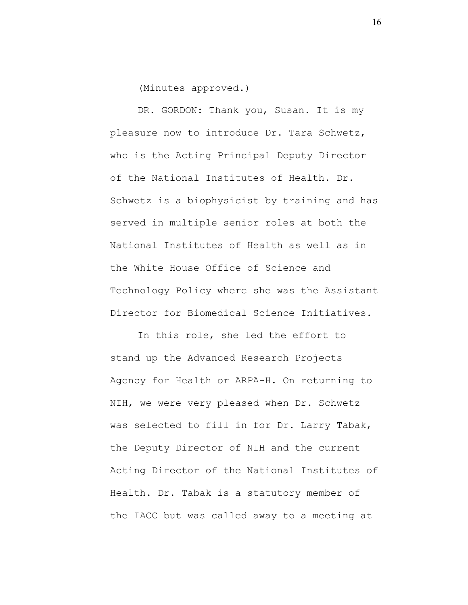(Minutes approved.)

DR. GORDON: Thank you, Susan. It is my pleasure now to introduce Dr. Tara Schwetz, who is the Acting Principal Deputy Director of the National Institutes of Health. Dr. Schwetz is a biophysicist by training and has served in multiple senior roles at both the National Institutes of Health as well as in the White House Office of Science and Technology Policy where she was the Assistant Director for Biomedical Science Initiatives.

In this role, she led the effort to stand up the Advanced Research Projects Agency for Health or ARPA-H. On returning to NIH, we were very pleased when Dr. Schwetz was selected to fill in for Dr. Larry Tabak, the Deputy Director of NIH and the current Acting Director of the National Institutes of Health. Dr. Tabak is a statutory member of the IACC but was called away to a meeting at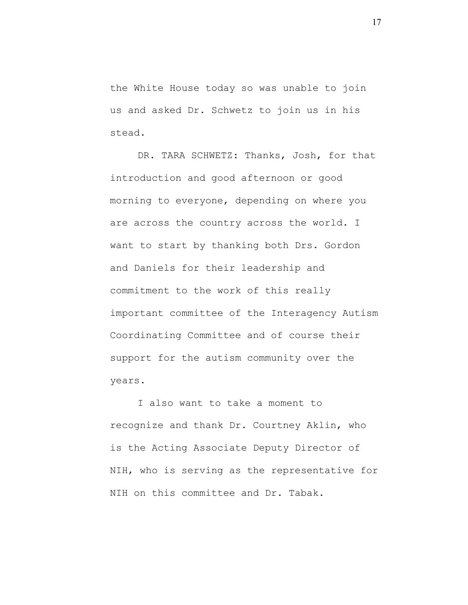the White House today so was unable to join us and asked Dr. Schwetz to join us in his stead.

DR. TARA SCHWETZ: Thanks, Josh, for that introduction and good afternoon or good morning to everyone, depending on where you are across the country across the world. I want to start by thanking both Drs. Gordon and Daniels for their leadership and commitment to the work of this really important committee of the Interagency Autism Coordinating Committee and of course their support for the autism community over the years.

I also want to take a moment to recognize and thank Dr. Courtney Aklin, who is the Acting Associate Deputy Director of NIH, who is serving as the representative for NIH on this committee and Dr. Tabak.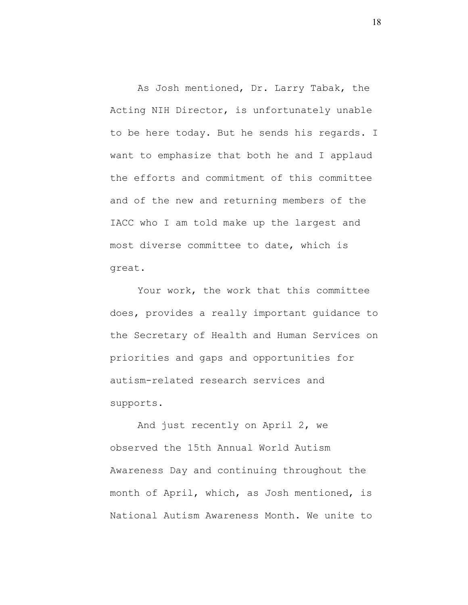As Josh mentioned, Dr. Larry Tabak, the Acting NIH Director, is unfortunately unable to be here today. But he sends his regards. I want to emphasize that both he and I applaud the efforts and commitment of this committee and of the new and returning members of the IACC who I am told make up the largest and most diverse committee to date, which is great.

Your work, the work that this committee does, provides a really important guidance to the Secretary of Health and Human Services on priorities and gaps and opportunities for autism-related research services and supports.

And just recently on April 2, we observed the 15th Annual World Autism Awareness Day and continuing throughout the month of April, which, as Josh mentioned, is National Autism Awareness Month. We unite to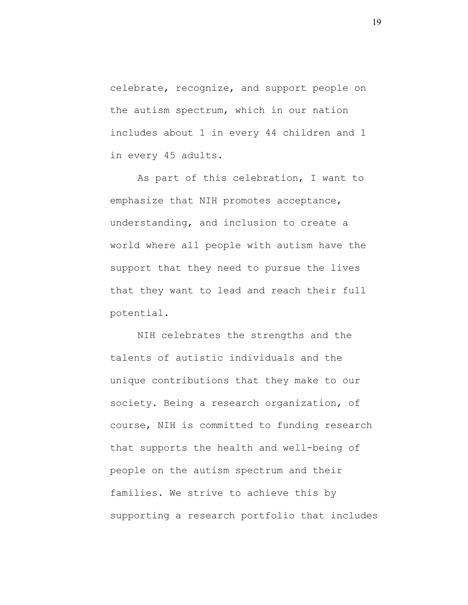celebrate, recognize, and support people on the autism spectrum, which in our nation includes about 1 in every 44 children and 1 in every 45 adults.

As part of this celebration, I want to emphasize that NIH promotes acceptance, understanding, and inclusion to create a world where all people with autism have the support that they need to pursue the lives that they want to lead and reach their full potential.

NIH celebrates the strengths and the talents of autistic individuals and the unique contributions that they make to our society. Being a research organization, of course, NIH is committed to funding research that supports the health and well-being of people on the autism spectrum and their families. We strive to achieve this by supporting a research portfolio that includes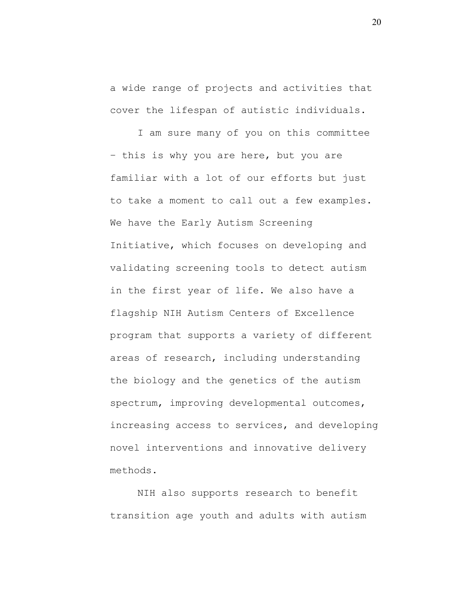a wide range of projects and activities that cover the lifespan of autistic individuals.

I am sure many of you on this committee – this is why you are here, but you are familiar with a lot of our efforts but just to take a moment to call out a few examples. We have the Early Autism Screening Initiative, which focuses on developing and validating screening tools to detect autism in the first year of life. We also have a flagship NIH Autism Centers of Excellence program that supports a variety of different areas of research, including understanding the biology and the genetics of the autism spectrum, improving developmental outcomes, increasing access to services, and developing novel interventions and innovative delivery methods.

NIH also supports research to benefit transition age youth and adults with autism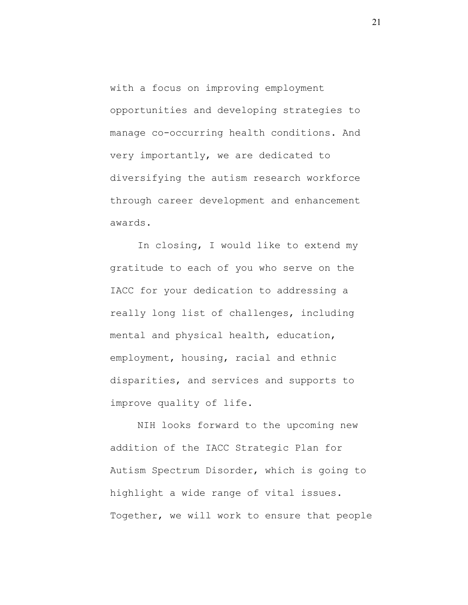with a focus on improving employment opportunities and developing strategies to manage co-occurring health conditions. And very importantly, we are dedicated to diversifying the autism research workforce through career development and enhancement awards.

In closing, I would like to extend my gratitude to each of you who serve on the IACC for your dedication to addressing a really long list of challenges, including mental and physical health, education, employment, housing, racial and ethnic disparities, and services and supports to improve quality of life.

NIH looks forward to the upcoming new addition of the IACC Strategic Plan for Autism Spectrum Disorder, which is going to highlight a wide range of vital issues. Together, we will work to ensure that people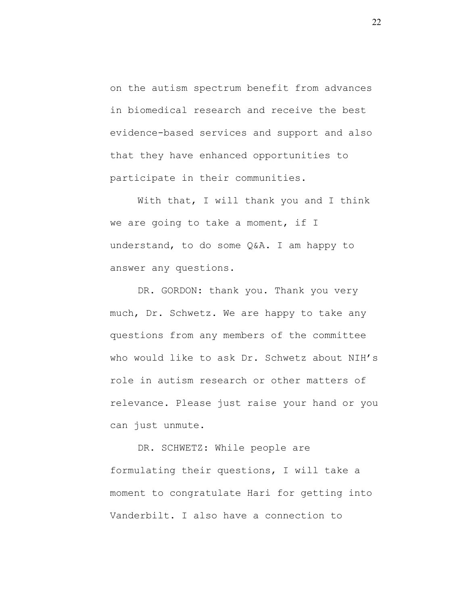on the autism spectrum benefit from advances in biomedical research and receive the best evidence-based services and support and also that they have enhanced opportunities to participate in their communities.

With that, I will thank you and I think we are going to take a moment, if I understand, to do some Q&A. I am happy to answer any questions.

DR. GORDON: thank you. Thank you very much, Dr. Schwetz. We are happy to take any questions from any members of the committee who would like to ask Dr. Schwetz about NIH's role in autism research or other matters of relevance. Please just raise your hand or you can just unmute.

DR. SCHWETZ: While people are formulating their questions, I will take a moment to congratulate Hari for getting into Vanderbilt. I also have a connection to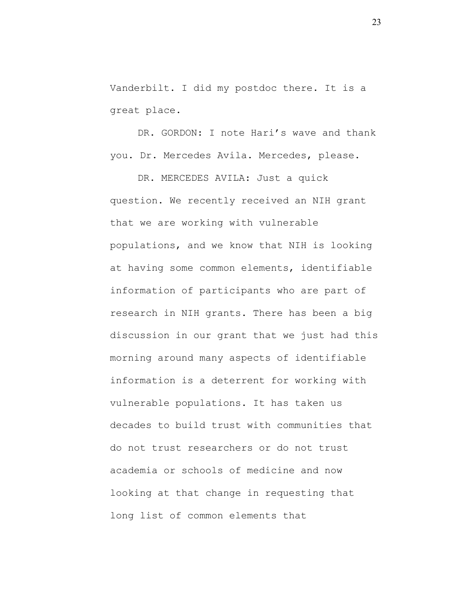Vanderbilt. I did my postdoc there. It is a great place.

DR. GORDON: I note Hari's wave and thank you. Dr. Mercedes Avila. Mercedes, please.

DR. MERCEDES AVILA: Just a quick question. We recently received an NIH grant that we are working with vulnerable populations, and we know that NIH is looking at having some common elements, identifiable information of participants who are part of research in NIH grants. There has been a big discussion in our grant that we just had this morning around many aspects of identifiable information is a deterrent for working with vulnerable populations. It has taken us decades to build trust with communities that do not trust researchers or do not trust academia or schools of medicine and now looking at that change in requesting that long list of common elements that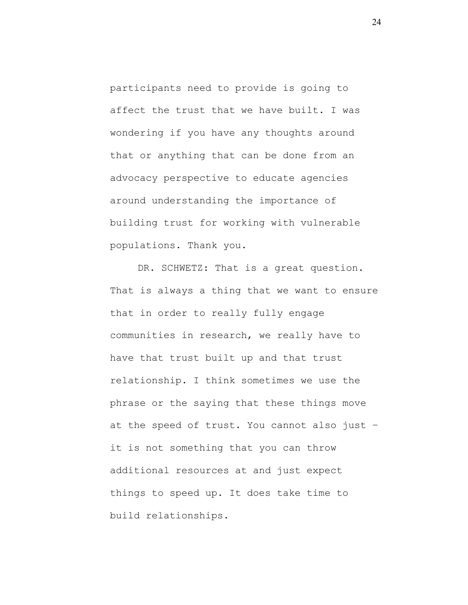participants need to provide is going to affect the trust that we have built. I was wondering if you have any thoughts around that or anything that can be done from an advocacy perspective to educate agencies around understanding the importance of building trust for working with vulnerable populations. Thank you.

DR. SCHWETZ: That is a great question. That is always a thing that we want to ensure that in order to really fully engage communities in research, we really have to have that trust built up and that trust relationship. I think sometimes we use the phrase or the saying that these things move at the speed of trust. You cannot also just – it is not something that you can throw additional resources at and just expect things to speed up. It does take time to build relationships.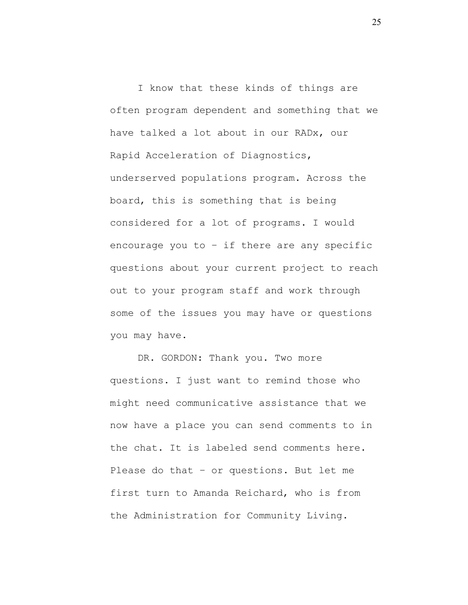I know that these kinds of things are often program dependent and something that we have talked a lot about in our RADx, our Rapid Acceleration of Diagnostics, underserved populations program. Across the board, this is something that is being considered for a lot of programs. I would encourage you to  $-$  if there are any specific questions about your current project to reach out to your program staff and work through some of the issues you may have or questions you may have.

DR. GORDON: Thank you. Two more questions. I just want to remind those who might need communicative assistance that we now have a place you can send comments to in the chat. It is labeled send comments here. Please do that – or questions. But let me first turn to Amanda Reichard, who is from the Administration for Community Living.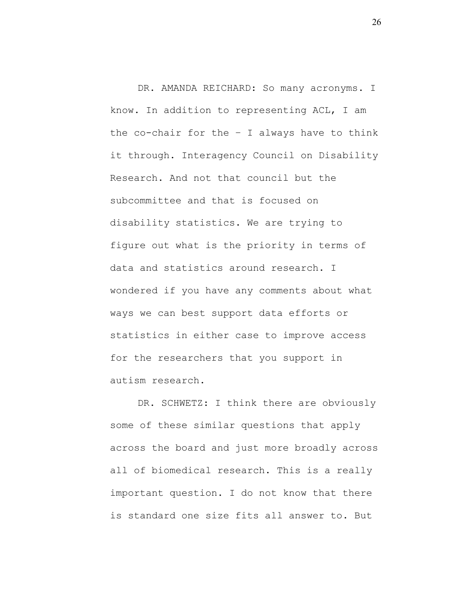DR. AMANDA REICHARD: So many acronyms. I know. In addition to representing ACL, I am the co-chair for the  $-$  I always have to think it through. Interagency Council on Disability Research. And not that council but the subcommittee and that is focused on disability statistics. We are trying to figure out what is the priority in terms of data and statistics around research. I wondered if you have any comments about what ways we can best support data efforts or statistics in either case to improve access for the researchers that you support in autism research.

DR. SCHWETZ: I think there are obviously some of these similar questions that apply across the board and just more broadly across all of biomedical research. This is a really important question. I do not know that there is standard one size fits all answer to. But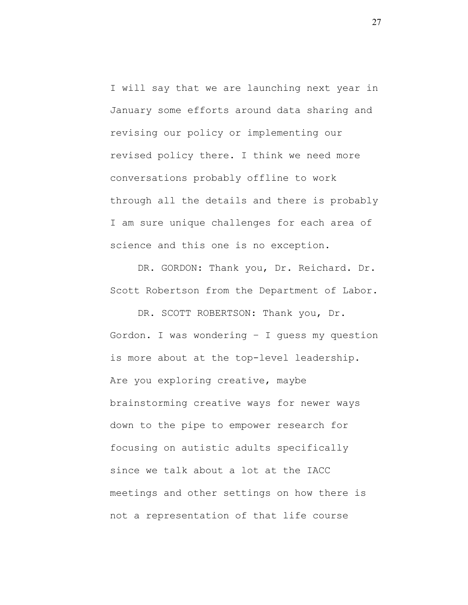I will say that we are launching next year in January some efforts around data sharing and revising our policy or implementing our revised policy there. I think we need more conversations probably offline to work through all the details and there is probably I am sure unique challenges for each area of science and this one is no exception.

DR. GORDON: Thank you, Dr. Reichard. Dr. Scott Robertson from the Department of Labor.

DR. SCOTT ROBERTSON: Thank you, Dr. Gordon. I was wondering – I guess my question is more about at the top-level leadership. Are you exploring creative, maybe brainstorming creative ways for newer ways down to the pipe to empower research for focusing on autistic adults specifically since we talk about a lot at the IACC meetings and other settings on how there is not a representation of that life course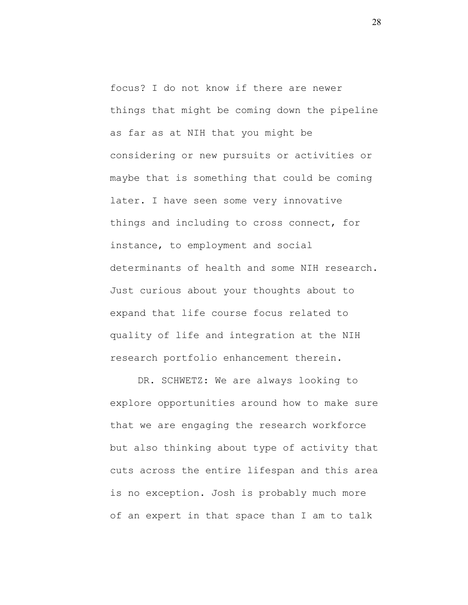focus? I do not know if there are newer things that might be coming down the pipeline as far as at NIH that you might be considering or new pursuits or activities or maybe that is something that could be coming later. I have seen some very innovative things and including to cross connect, for instance, to employment and social determinants of health and some NIH research. Just curious about your thoughts about to expand that life course focus related to quality of life and integration at the NIH research portfolio enhancement therein.

DR. SCHWETZ: We are always looking to explore opportunities around how to make sure that we are engaging the research workforce but also thinking about type of activity that cuts across the entire lifespan and this area is no exception. Josh is probably much more of an expert in that space than I am to talk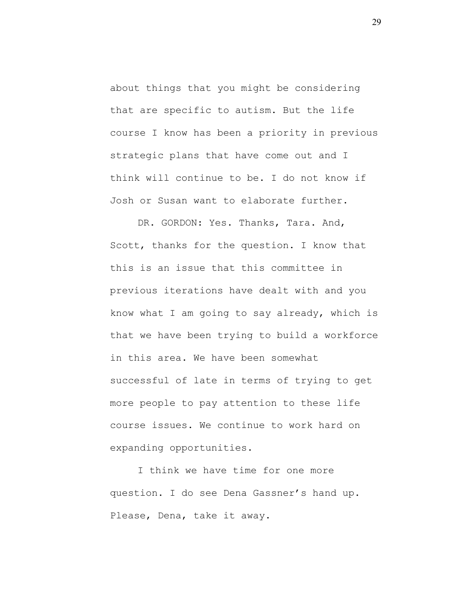about things that you might be considering that are specific to autism. But the life course I know has been a priority in previous strategic plans that have come out and I think will continue to be. I do not know if Josh or Susan want to elaborate further.

DR. GORDON: Yes. Thanks, Tara. And, Scott, thanks for the question. I know that this is an issue that this committee in previous iterations have dealt with and you know what I am going to say already, which is that we have been trying to build a workforce in this area. We have been somewhat successful of late in terms of trying to get more people to pay attention to these life course issues. We continue to work hard on expanding opportunities.

I think we have time for one more question. I do see Dena Gassner's hand up. Please, Dena, take it away.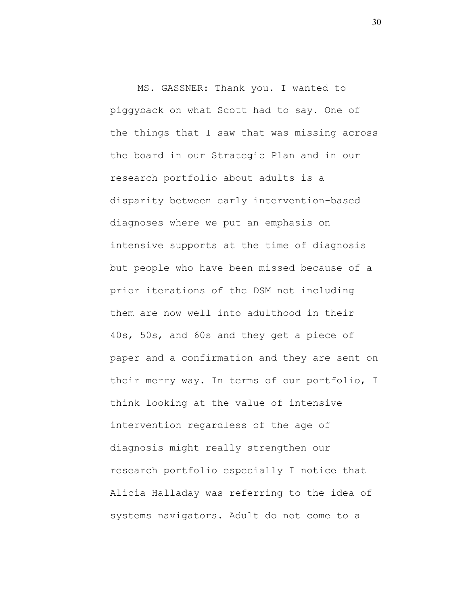MS. GASSNER: Thank you. I wanted to piggyback on what Scott had to say. One of the things that I saw that was missing across the board in our Strategic Plan and in our research portfolio about adults is a disparity between early intervention-based diagnoses where we put an emphasis on intensive supports at the time of diagnosis but people who have been missed because of a prior iterations of the DSM not including them are now well into adulthood in their 40s, 50s, and 60s and they get a piece of paper and a confirmation and they are sent on their merry way. In terms of our portfolio, I think looking at the value of intensive intervention regardless of the age of diagnosis might really strengthen our research portfolio especially I notice that Alicia Halladay was referring to the idea of systems navigators. Adult do not come to a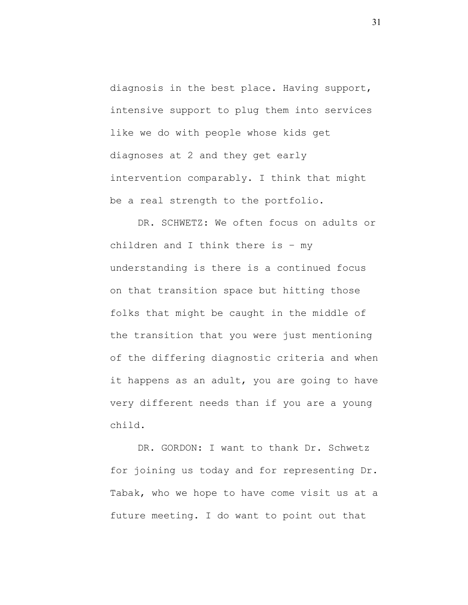diagnosis in the best place. Having support, intensive support to plug them into services like we do with people whose kids get diagnoses at 2 and they get early intervention comparably. I think that might be a real strength to the portfolio.

DR. SCHWETZ: We often focus on adults or children and I think there is – my understanding is there is a continued focus on that transition space but hitting those folks that might be caught in the middle of the transition that you were just mentioning of the differing diagnostic criteria and when it happens as an adult, you are going to have very different needs than if you are a young child.

DR. GORDON: I want to thank Dr. Schwetz for joining us today and for representing Dr. Tabak, who we hope to have come visit us at a future meeting. I do want to point out that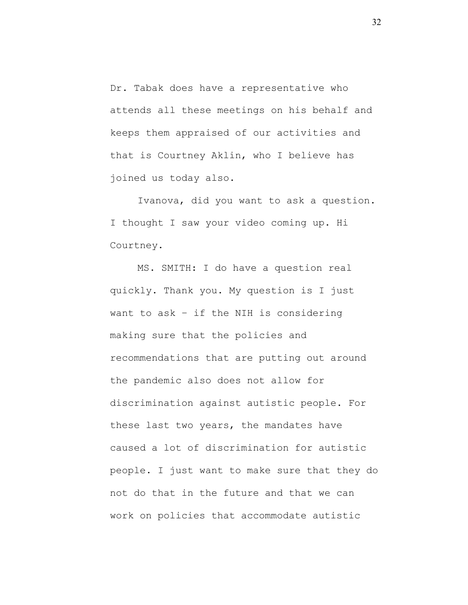Dr. Tabak does have a representative who attends all these meetings on his behalf and keeps them appraised of our activities and that is Courtney Aklin, who I believe has joined us today also.

Ivanova, did you want to ask a question. I thought I saw your video coming up. Hi Courtney.

MS. SMITH: I do have a question real quickly. Thank you. My question is I just want to ask – if the NIH is considering making sure that the policies and recommendations that are putting out around the pandemic also does not allow for discrimination against autistic people. For these last two years, the mandates have caused a lot of discrimination for autistic people. I just want to make sure that they do not do that in the future and that we can work on policies that accommodate autistic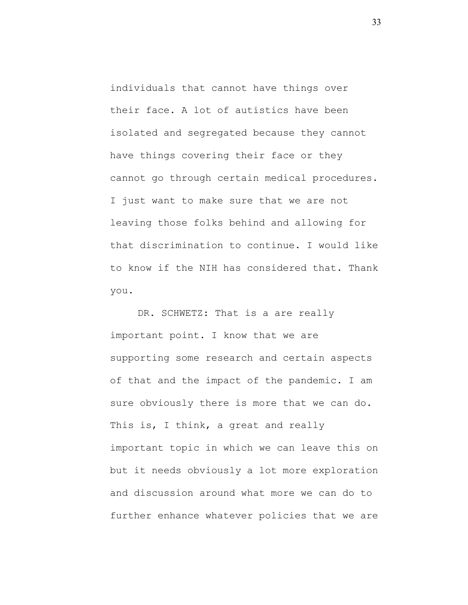individuals that cannot have things over their face. A lot of autistics have been isolated and segregated because they cannot have things covering their face or they cannot go through certain medical procedures. I just want to make sure that we are not leaving those folks behind and allowing for that discrimination to continue. I would like to know if the NIH has considered that. Thank you.

DR. SCHWETZ: That is a are really important point. I know that we are supporting some research and certain aspects of that and the impact of the pandemic. I am sure obviously there is more that we can do. This is, I think, a great and really important topic in which we can leave this on but it needs obviously a lot more exploration and discussion around what more we can do to further enhance whatever policies that we are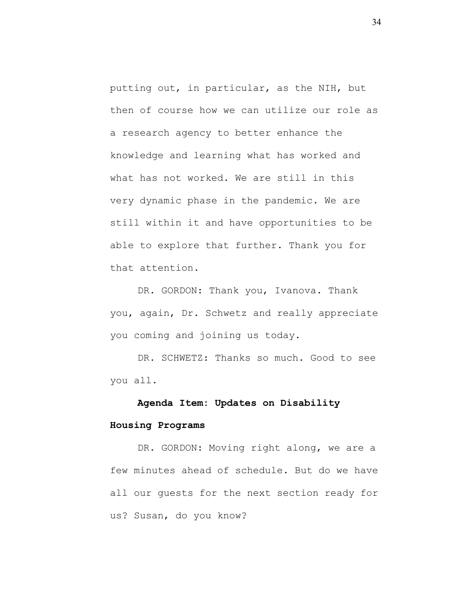putting out, in particular, as the NIH, but then of course how we can utilize our role as a research agency to better enhance the knowledge and learning what has worked and what has not worked. We are still in this very dynamic phase in the pandemic. We are still within it and have opportunities to be able to explore that further. Thank you for that attention.

DR. GORDON: Thank you, Ivanova. Thank you, again, Dr. Schwetz and really appreciate you coming and joining us today.

DR. SCHWETZ: Thanks so much. Good to see you all.

# **Agenda Item: Updates on Disability**

## **Housing Programs**

DR. GORDON: Moving right along, we are a few minutes ahead of schedule. But do we have all our guests for the next section ready for us? Susan, do you know?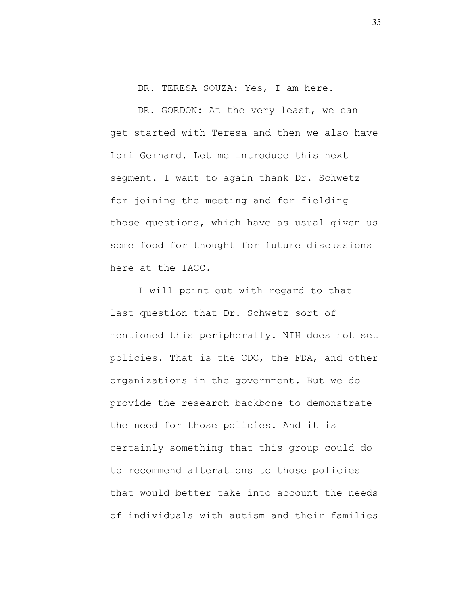DR. TERESA SOUZA: Yes, I am here.

DR. GORDON: At the very least, we can get started with Teresa and then we also have Lori Gerhard. Let me introduce this next segment. I want to again thank Dr. Schwetz for joining the meeting and for fielding those questions, which have as usual given us some food for thought for future discussions here at the IACC.

I will point out with regard to that last question that Dr. Schwetz sort of mentioned this peripherally. NIH does not set policies. That is the CDC, the FDA, and other organizations in the government. But we do provide the research backbone to demonstrate the need for those policies. And it is certainly something that this group could do to recommend alterations to those policies that would better take into account the needs of individuals with autism and their families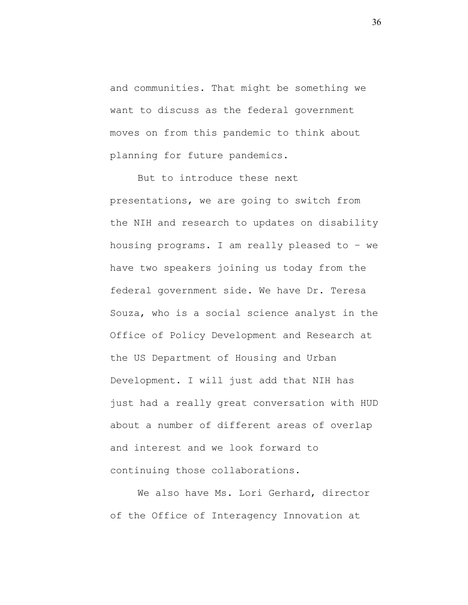and communities. That might be something we want to discuss as the federal government moves on from this pandemic to think about planning for future pandemics.

But to introduce these next presentations, we are going to switch from the NIH and research to updates on disability housing programs. I am really pleased to – we have two speakers joining us today from the federal government side. We have Dr. Teresa Souza, who is a social science analyst in the Office of Policy Development and Research at the US Department of Housing and Urban Development. I will just add that NIH has just had a really great conversation with HUD about a number of different areas of overlap and interest and we look forward to continuing those collaborations.

We also have Ms. Lori Gerhard, director of the Office of Interagency Innovation at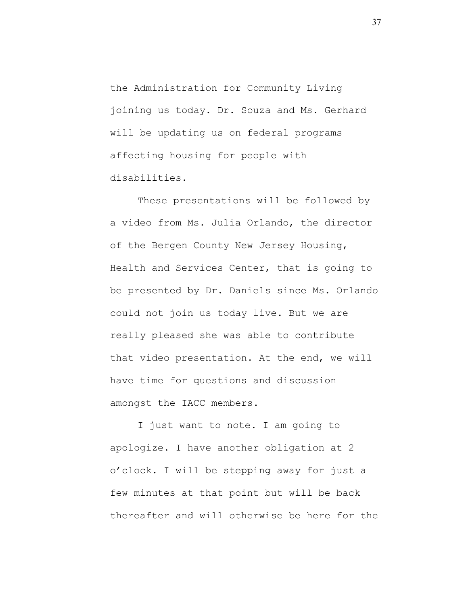the Administration for Community Living joining us today. Dr. Souza and Ms. Gerhard will be updating us on federal programs affecting housing for people with disabilities.

These presentations will be followed by a video from Ms. Julia Orlando, the director of the Bergen County New Jersey Housing, Health and Services Center, that is going to be presented by Dr. Daniels since Ms. Orlando could not join us today live. But we are really pleased she was able to contribute that video presentation. At the end, we will have time for questions and discussion amongst the IACC members.

I just want to note. I am going to apologize. I have another obligation at 2 o'clock. I will be stepping away for just a few minutes at that point but will be back thereafter and will otherwise be here for the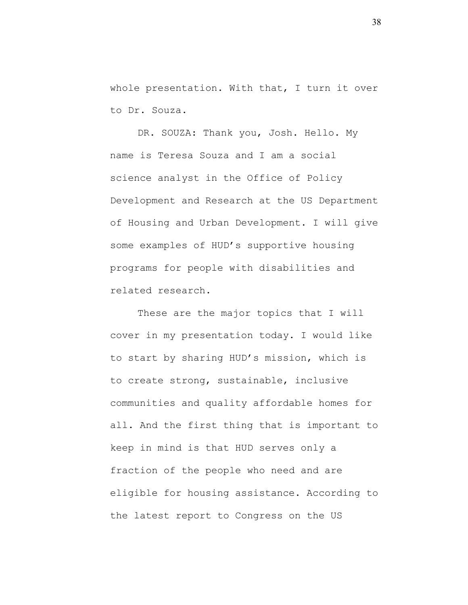whole presentation. With that, I turn it over to Dr. Souza.

DR. SOUZA: Thank you, Josh. Hello. My name is Teresa Souza and I am a social science analyst in the Office of Policy Development and Research at the US Department of Housing and Urban Development. I will give some examples of HUD's supportive housing programs for people with disabilities and related research.

These are the major topics that I will cover in my presentation today. I would like to start by sharing HUD's mission, which is to create strong, sustainable, inclusive communities and quality affordable homes for all. And the first thing that is important to keep in mind is that HUD serves only a fraction of the people who need and are eligible for housing assistance. According to the latest report to Congress on the US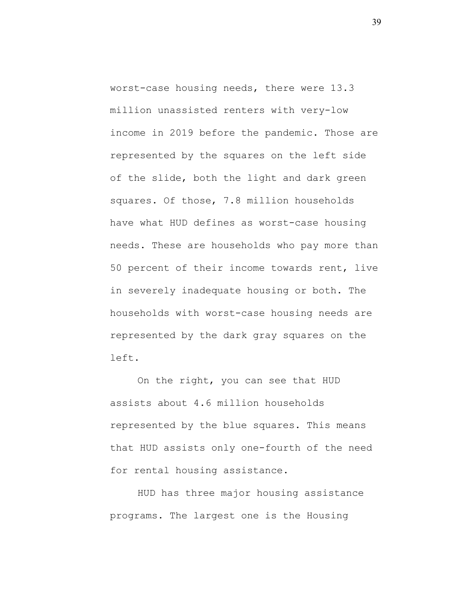worst-case housing needs, there were 13.3 million unassisted renters with very-low income in 2019 before the pandemic. Those are represented by the squares on the left side of the slide, both the light and dark green squares. Of those, 7.8 million households have what HUD defines as worst-case housing needs. These are households who pay more than 50 percent of their income towards rent, live in severely inadequate housing or both. The households with worst-case housing needs are represented by the dark gray squares on the left.

On the right, you can see that HUD assists about 4.6 million households represented by the blue squares. This means that HUD assists only one-fourth of the need for rental housing assistance.

HUD has three major housing assistance programs. The largest one is the Housing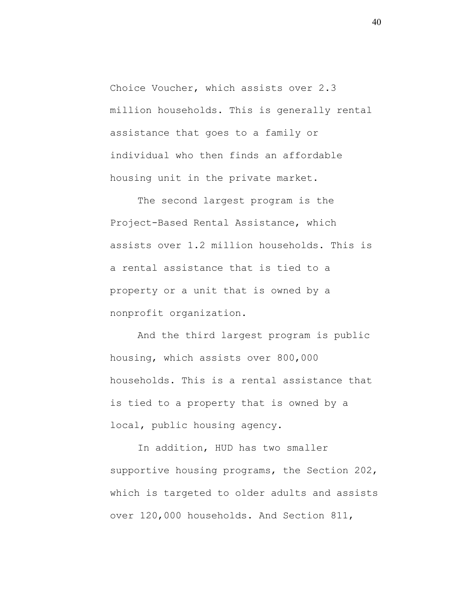Choice Voucher, which assists over 2.3 million households. This is generally rental assistance that goes to a family or individual who then finds an affordable housing unit in the private market.

The second largest program is the Project-Based Rental Assistance, which assists over 1.2 million households. This is a rental assistance that is tied to a property or a unit that is owned by a nonprofit organization.

And the third largest program is public housing, which assists over 800,000 households. This is a rental assistance that is tied to a property that is owned by a local, public housing agency.

In addition, HUD has two smaller supportive housing programs, the Section 202, which is targeted to older adults and assists over 120,000 households. And Section 811,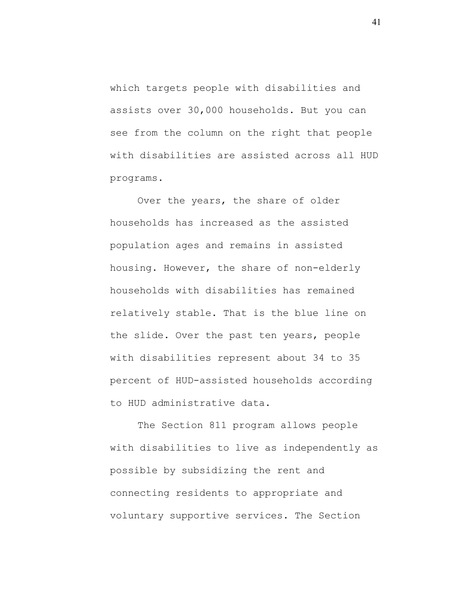which targets people with disabilities and assists over 30,000 households. But you can see from the column on the right that people with disabilities are assisted across all HUD programs.

Over the years, the share of older households has increased as the assisted population ages and remains in assisted housing. However, the share of non-elderly households with disabilities has remained relatively stable. That is the blue line on the slide. Over the past ten years, people with disabilities represent about 34 to 35 percent of HUD-assisted households according to HUD administrative data.

The Section 811 program allows people with disabilities to live as independently as possible by subsidizing the rent and connecting residents to appropriate and voluntary supportive services. The Section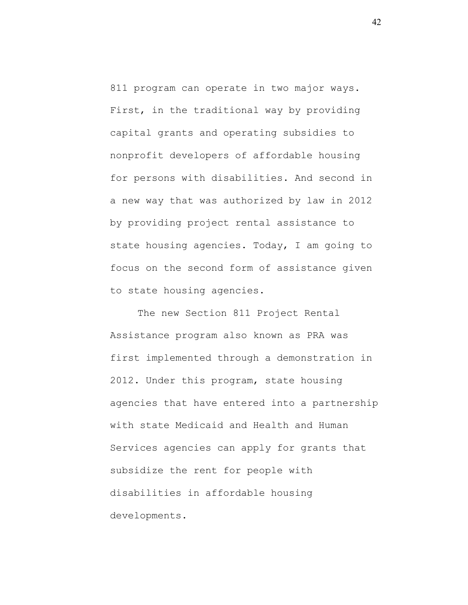811 program can operate in two major ways. First, in the traditional way by providing capital grants and operating subsidies to nonprofit developers of affordable housing for persons with disabilities. And second in a new way that was authorized by law in 2012 by providing project rental assistance to state housing agencies. Today, I am going to focus on the second form of assistance given to state housing agencies.

The new Section 811 Project Rental Assistance program also known as PRA was first implemented through a demonstration in 2012. Under this program, state housing agencies that have entered into a partnership with state Medicaid and Health and Human Services agencies can apply for grants that subsidize the rent for people with disabilities in affordable housing developments.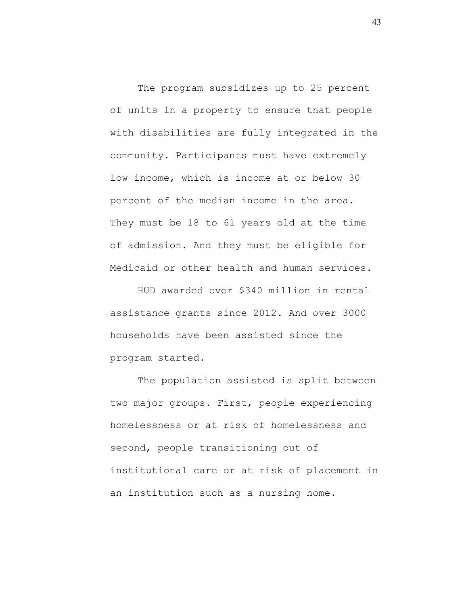The program subsidizes up to 25 percent of units in a property to ensure that people with disabilities are fully integrated in the community. Participants must have extremely low income, which is income at or below 30 percent of the median income in the area. They must be 18 to 61 years old at the time of admission. And they must be eligible for Medicaid or other health and human services.

HUD awarded over \$340 million in rental assistance grants since 2012. And over 3000 households have been assisted since the program started.

The population assisted is split between two major groups. First, people experiencing homelessness or at risk of homelessness and second, people transitioning out of institutional care or at risk of placement in an institution such as a nursing home.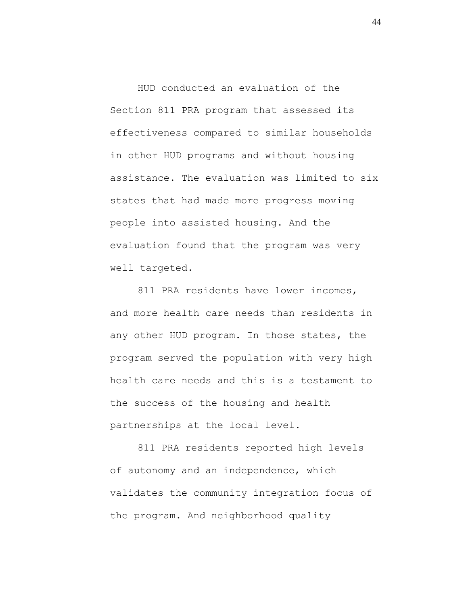HUD conducted an evaluation of the Section 811 PRA program that assessed its effectiveness compared to similar households in other HUD programs and without housing assistance. The evaluation was limited to six states that had made more progress moving people into assisted housing. And the evaluation found that the program was very well targeted.

811 PRA residents have lower incomes, and more health care needs than residents in any other HUD program. In those states, the program served the population with very high health care needs and this is a testament to the success of the housing and health partnerships at the local level.

811 PRA residents reported high levels of autonomy and an independence, which validates the community integration focus of the program. And neighborhood quality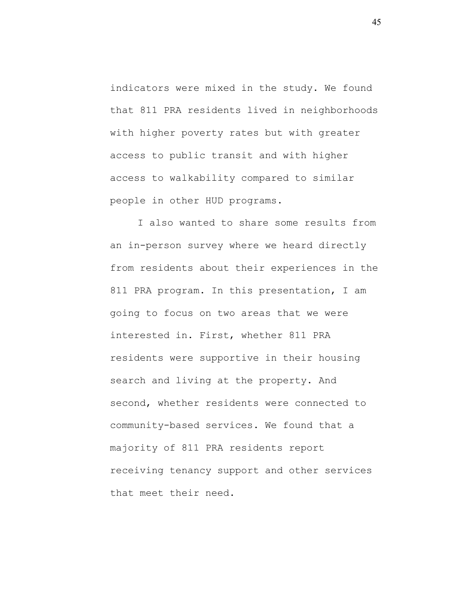indicators were mixed in the study. We found that 811 PRA residents lived in neighborhoods with higher poverty rates but with greater access to public transit and with higher access to walkability compared to similar people in other HUD programs.

I also wanted to share some results from an in-person survey where we heard directly from residents about their experiences in the 811 PRA program. In this presentation, I am going to focus on two areas that we were interested in. First, whether 811 PRA residents were supportive in their housing search and living at the property. And second, whether residents were connected to community-based services. We found that a majority of 811 PRA residents report receiving tenancy support and other services that meet their need.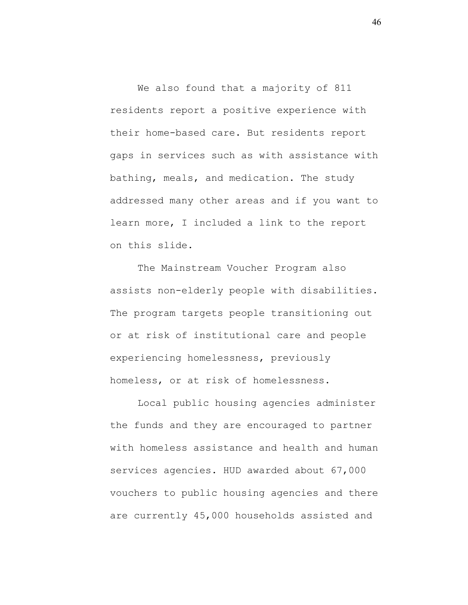We also found that a majority of 811 residents report a positive experience with their home-based care. But residents report gaps in services such as with assistance with bathing, meals, and medication. The study addressed many other areas and if you want to learn more, I included a link to the report on this slide.

The Mainstream Voucher Program also assists non-elderly people with disabilities. The program targets people transitioning out or at risk of institutional care and people experiencing homelessness, previously homeless, or at risk of homelessness.

Local public housing agencies administer the funds and they are encouraged to partner with homeless assistance and health and human services agencies. HUD awarded about 67,000 vouchers to public housing agencies and there are currently 45,000 households assisted and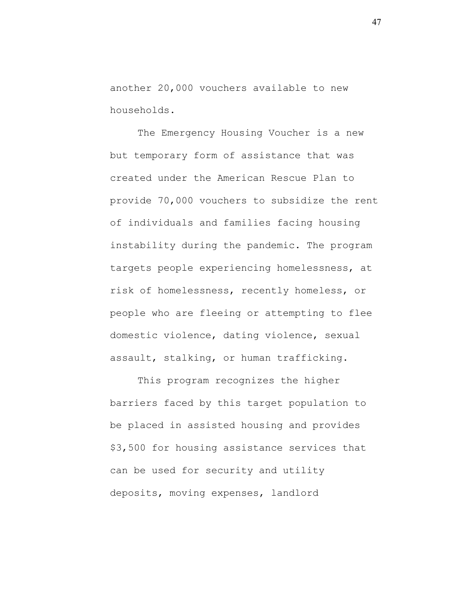another 20,000 vouchers available to new households.

The Emergency Housing Voucher is a new but temporary form of assistance that was created under the American Rescue Plan to provide 70,000 vouchers to subsidize the rent of individuals and families facing housing instability during the pandemic. The program targets people experiencing homelessness, at risk of homelessness, recently homeless, or people who are fleeing or attempting to flee domestic violence, dating violence, sexual assault, stalking, or human trafficking.

This program recognizes the higher barriers faced by this target population to be placed in assisted housing and provides \$3,500 for housing assistance services that can be used for security and utility deposits, moving expenses, landlord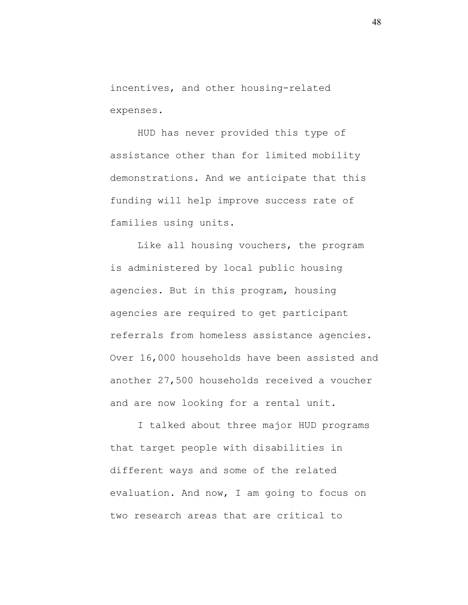incentives, and other housing-related expenses.

HUD has never provided this type of assistance other than for limited mobility demonstrations. And we anticipate that this funding will help improve success rate of families using units.

Like all housing vouchers, the program is administered by local public housing agencies. But in this program, housing agencies are required to get participant referrals from homeless assistance agencies. Over 16,000 households have been assisted and another 27,500 households received a voucher and are now looking for a rental unit.

I talked about three major HUD programs that target people with disabilities in different ways and some of the related evaluation. And now, I am going to focus on two research areas that are critical to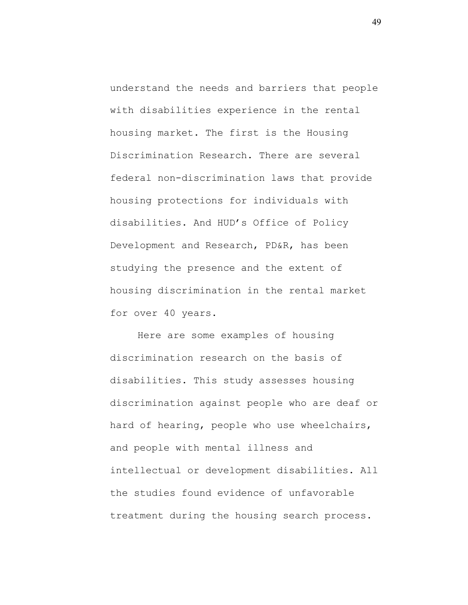understand the needs and barriers that people with disabilities experience in the rental housing market. The first is the Housing Discrimination Research. There are several federal non-discrimination laws that provide housing protections for individuals with disabilities. And HUD's Office of Policy Development and Research, PD&R, has been studying the presence and the extent of housing discrimination in the rental market for over 40 years.

Here are some examples of housing discrimination research on the basis of disabilities. This study assesses housing discrimination against people who are deaf or hard of hearing, people who use wheelchairs, and people with mental illness and intellectual or development disabilities. All the studies found evidence of unfavorable treatment during the housing search process.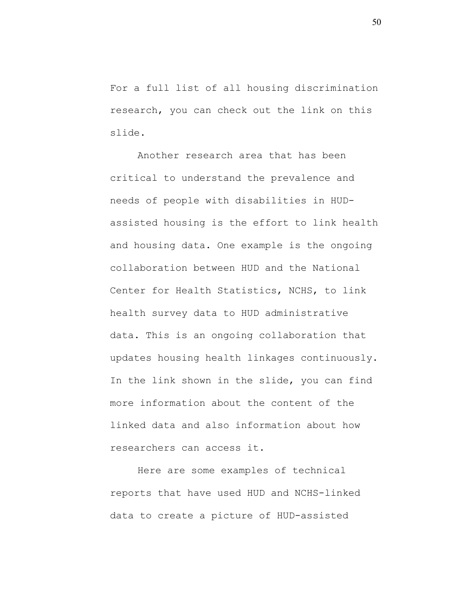For a full list of all housing discrimination research, you can check out the link on this slide.

Another research area that has been critical to understand the prevalence and needs of people with disabilities in HUDassisted housing is the effort to link health and housing data. One example is the ongoing collaboration between HUD and the National Center for Health Statistics, NCHS, to link health survey data to HUD administrative data. This is an ongoing collaboration that updates housing health linkages continuously. In the link shown in the slide, you can find more information about the content of the linked data and also information about how researchers can access it.

Here are some examples of technical reports that have used HUD and NCHS-linked data to create a picture of HUD-assisted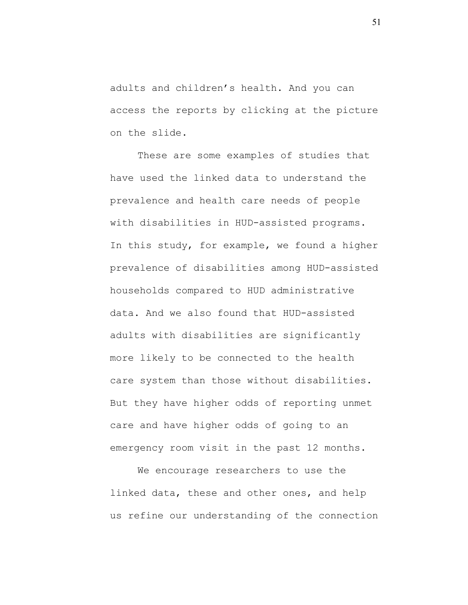adults and children's health. And you can access the reports by clicking at the picture on the slide.

These are some examples of studies that have used the linked data to understand the prevalence and health care needs of people with disabilities in HUD-assisted programs. In this study, for example, we found a higher prevalence of disabilities among HUD-assisted households compared to HUD administrative data. And we also found that HUD-assisted adults with disabilities are significantly more likely to be connected to the health care system than those without disabilities. But they have higher odds of reporting unmet care and have higher odds of going to an emergency room visit in the past 12 months.

We encourage researchers to use the linked data, these and other ones, and help us refine our understanding of the connection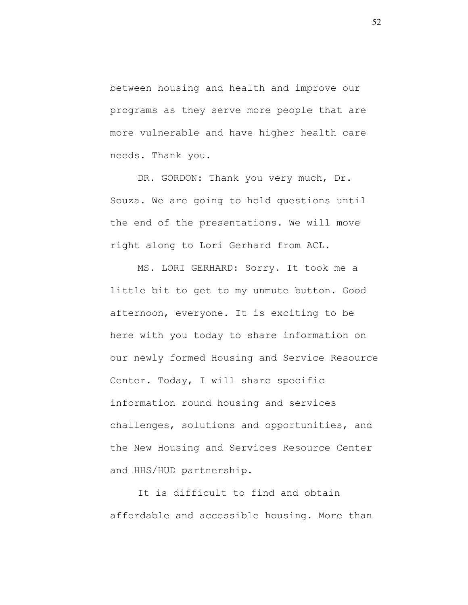between housing and health and improve our programs as they serve more people that are more vulnerable and have higher health care needs. Thank you.

DR. GORDON: Thank you very much, Dr. Souza. We are going to hold questions until the end of the presentations. We will move right along to Lori Gerhard from ACL.

MS. LORI GERHARD: Sorry. It took me a little bit to get to my unmute button. Good afternoon, everyone. It is exciting to be here with you today to share information on our newly formed Housing and Service Resource Center. Today, I will share specific information round housing and services challenges, solutions and opportunities, and the New Housing and Services Resource Center and HHS/HUD partnership.

It is difficult to find and obtain affordable and accessible housing. More than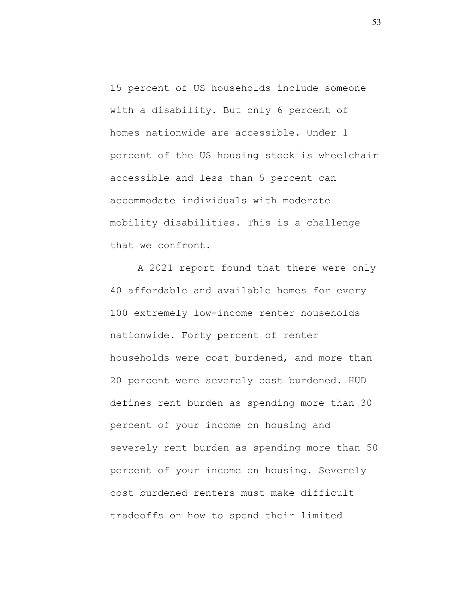15 percent of US households include someone with a disability. But only 6 percent of homes nationwide are accessible. Under 1 percent of the US housing stock is wheelchair accessible and less than 5 percent can accommodate individuals with moderate mobility disabilities. This is a challenge that we confront.

A 2021 report found that there were only 40 affordable and available homes for every 100 extremely low-income renter households nationwide. Forty percent of renter households were cost burdened, and more than 20 percent were severely cost burdened. HUD defines rent burden as spending more than 30 percent of your income on housing and severely rent burden as spending more than 50 percent of your income on housing. Severely cost burdened renters must make difficult tradeoffs on how to spend their limited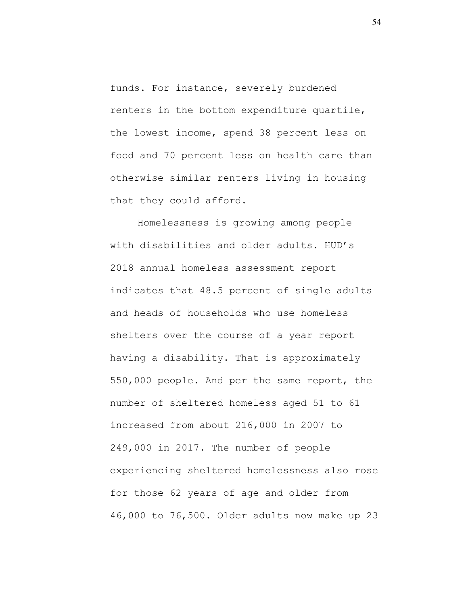funds. For instance, severely burdened renters in the bottom expenditure quartile, the lowest income, spend 38 percent less on food and 70 percent less on health care than otherwise similar renters living in housing that they could afford.

Homelessness is growing among people with disabilities and older adults. HUD's 2018 annual homeless assessment report indicates that 48.5 percent of single adults and heads of households who use homeless shelters over the course of a year report having a disability. That is approximately 550,000 people. And per the same report, the number of sheltered homeless aged 51 to 61 increased from about 216,000 in 2007 to 249,000 in 2017. The number of people experiencing sheltered homelessness also rose for those 62 years of age and older from 46,000 to 76,500. Older adults now make up 23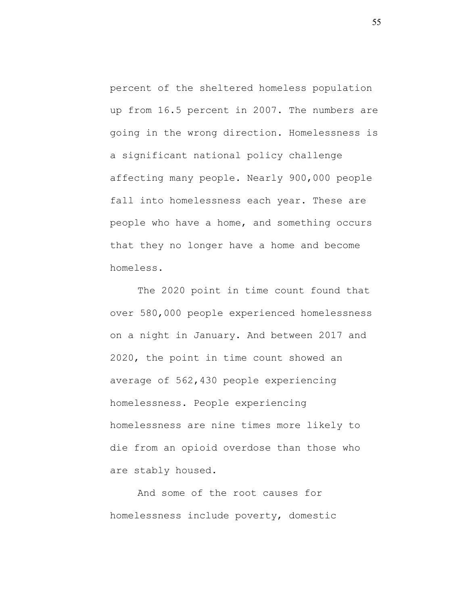percent of the sheltered homeless population up from 16.5 percent in 2007. The numbers are going in the wrong direction. Homelessness is a significant national policy challenge affecting many people. Nearly 900,000 people fall into homelessness each year. These are people who have a home, and something occurs that they no longer have a home and become homeless.

The 2020 point in time count found that over 580,000 people experienced homelessness on a night in January. And between 2017 and 2020, the point in time count showed an average of 562,430 people experiencing homelessness. People experiencing homelessness are nine times more likely to die from an opioid overdose than those who are stably housed.

And some of the root causes for homelessness include poverty, domestic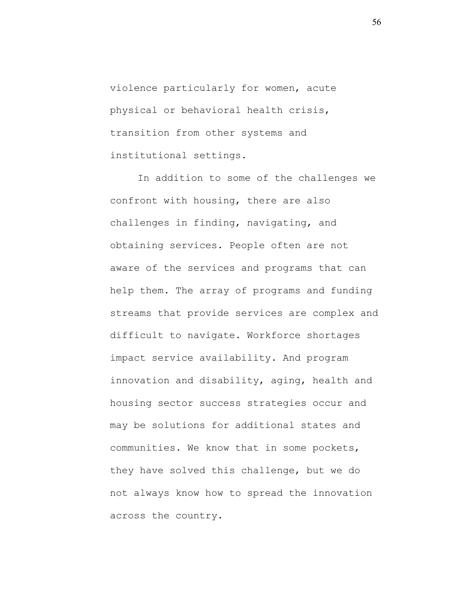violence particularly for women, acute physical or behavioral health crisis, transition from other systems and institutional settings.

In addition to some of the challenges we confront with housing, there are also challenges in finding, navigating, and obtaining services. People often are not aware of the services and programs that can help them. The array of programs and funding streams that provide services are complex and difficult to navigate. Workforce shortages impact service availability. And program innovation and disability, aging, health and housing sector success strategies occur and may be solutions for additional states and communities. We know that in some pockets, they have solved this challenge, but we do not always know how to spread the innovation across the country.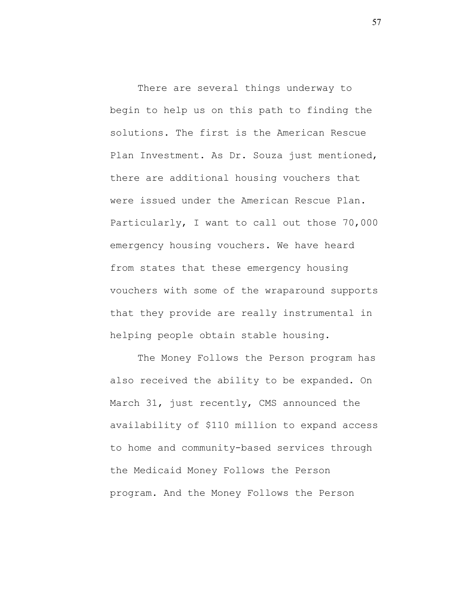There are several things underway to begin to help us on this path to finding the solutions. The first is the American Rescue Plan Investment. As Dr. Souza just mentioned, there are additional housing vouchers that were issued under the American Rescue Plan. Particularly, I want to call out those 70,000 emergency housing vouchers. We have heard from states that these emergency housing vouchers with some of the wraparound supports that they provide are really instrumental in helping people obtain stable housing.

The Money Follows the Person program has also received the ability to be expanded. On March 31, just recently, CMS announced the availability of \$110 million to expand access to home and community-based services through the Medicaid Money Follows the Person program. And the Money Follows the Person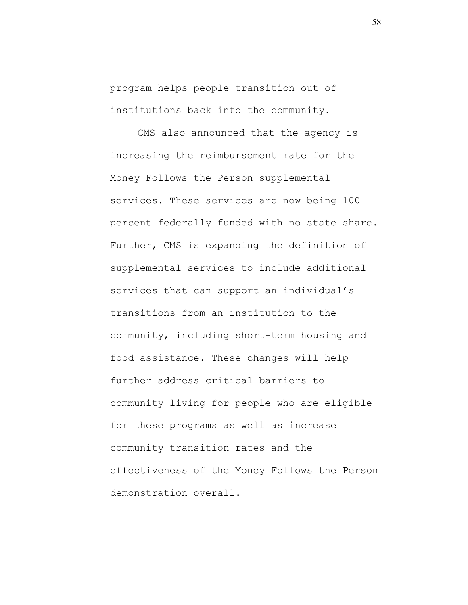program helps people transition out of institutions back into the community.

CMS also announced that the agency is increasing the reimbursement rate for the Money Follows the Person supplemental services. These services are now being 100 percent federally funded with no state share. Further, CMS is expanding the definition of supplemental services to include additional services that can support an individual's transitions from an institution to the community, including short-term housing and food assistance. These changes will help further address critical barriers to community living for people who are eligible for these programs as well as increase community transition rates and the effectiveness of the Money Follows the Person demonstration overall.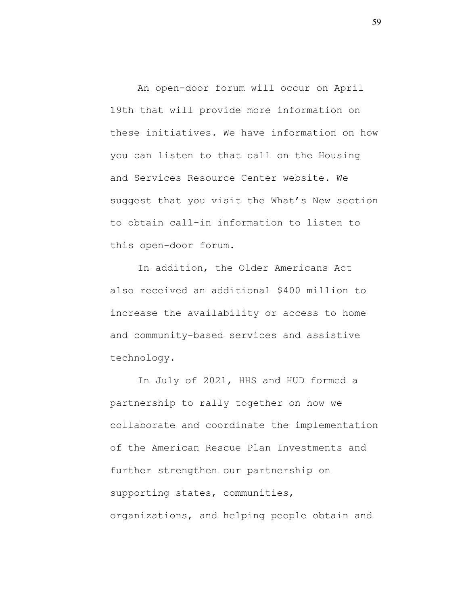An open-door forum will occur on April 19th that will provide more information on these initiatives. We have information on how you can listen to that call on the Housing and Services Resource Center website. We suggest that you visit the What's New section to obtain call-in information to listen to this open-door forum.

In addition, the Older Americans Act also received an additional \$400 million to increase the availability or access to home and community-based services and assistive technology.

In July of 2021, HHS and HUD formed a partnership to rally together on how we collaborate and coordinate the implementation of the American Rescue Plan Investments and further strengthen our partnership on supporting states, communities, organizations, and helping people obtain and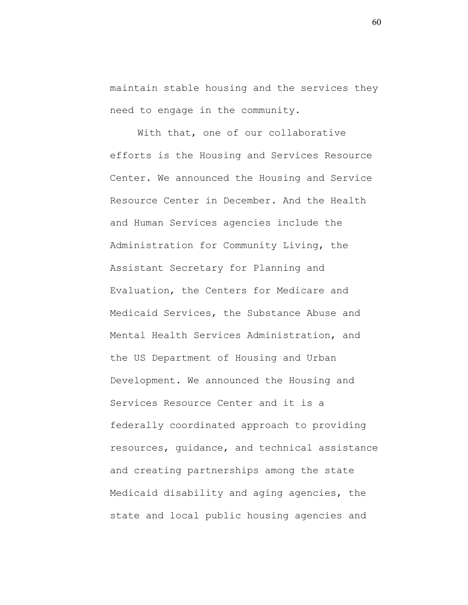maintain stable housing and the services they need to engage in the community.

With that, one of our collaborative efforts is the Housing and Services Resource Center. We announced the Housing and Service Resource Center in December. And the Health and Human Services agencies include the Administration for Community Living, the Assistant Secretary for Planning and Evaluation, the Centers for Medicare and Medicaid Services, the Substance Abuse and Mental Health Services Administration, and the US Department of Housing and Urban Development. We announced the Housing and Services Resource Center and it is a federally coordinated approach to providing resources, guidance, and technical assistance and creating partnerships among the state Medicaid disability and aging agencies, the state and local public housing agencies and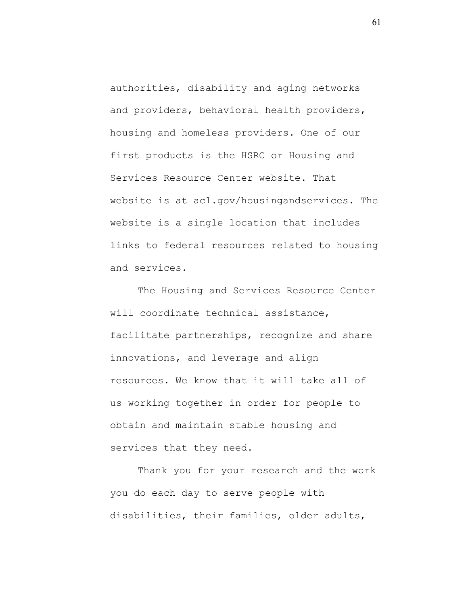authorities, disability and aging networks and providers, behavioral health providers, housing and homeless providers. One of our first products is the HSRC or Housing and Services Resource Center website. That website is at acl.gov/housingandservices. The website is a single location that includes links to federal resources related to housing and services.

The Housing and Services Resource Center will coordinate technical assistance, facilitate partnerships, recognize and share innovations, and leverage and align resources. We know that it will take all of us working together in order for people to obtain and maintain stable housing and services that they need.

Thank you for your research and the work you do each day to serve people with disabilities, their families, older adults,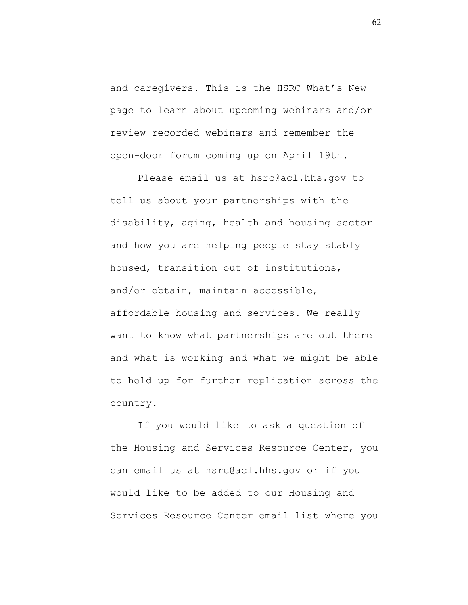and caregivers. This is the HSRC What's New page to learn about upcoming webinars and/or review recorded webinars and remember the open-door forum coming up on April 19th.

Please email us at hsrc@acl.hhs.gov to tell us about your partnerships with the disability, aging, health and housing sector and how you are helping people stay stably housed, transition out of institutions, and/or obtain, maintain accessible, affordable housing and services. We really want to know what partnerships are out there and what is working and what we might be able to hold up for further replication across the country.

If you would like to ask a question of the Housing and Services Resource Center, you can email us at hsrc@acl.hhs.gov or if you would like to be added to our Housing and Services Resource Center email list where you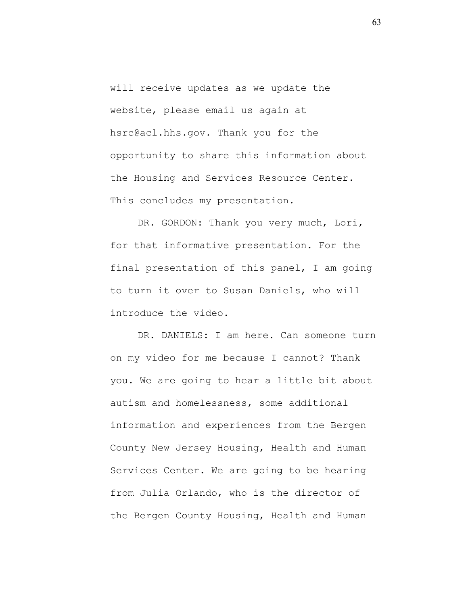will receive updates as we update the website, please email us again at hsrc@acl.hhs.gov. Thank you for the opportunity to share this information about the Housing and Services Resource Center. This concludes my presentation.

DR. GORDON: Thank you very much, Lori, for that informative presentation. For the final presentation of this panel, I am going to turn it over to Susan Daniels, who will introduce the video.

DR. DANIELS: I am here. Can someone turn on my video for me because I cannot? Thank you. We are going to hear a little bit about autism and homelessness, some additional information and experiences from the Bergen County New Jersey Housing, Health and Human Services Center. We are going to be hearing from Julia Orlando, who is the director of the Bergen County Housing, Health and Human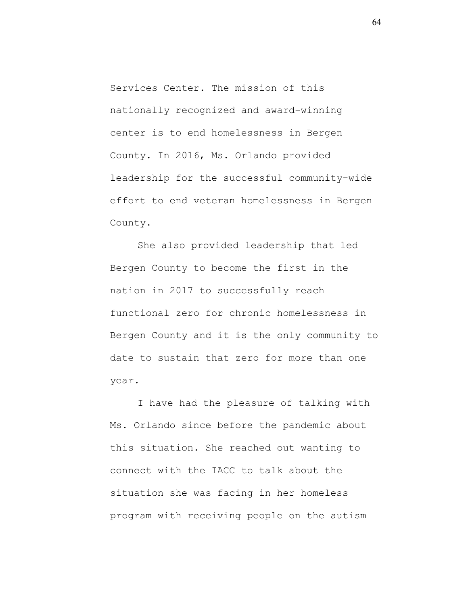Services Center. The mission of this nationally recognized and award-winning center is to end homelessness in Bergen County. In 2016, Ms. Orlando provided leadership for the successful community-wide effort to end veteran homelessness in Bergen County.

She also provided leadership that led Bergen County to become the first in the nation in 2017 to successfully reach functional zero for chronic homelessness in Bergen County and it is the only community to date to sustain that zero for more than one year.

I have had the pleasure of talking with Ms. Orlando since before the pandemic about this situation. She reached out wanting to connect with the IACC to talk about the situation she was facing in her homeless program with receiving people on the autism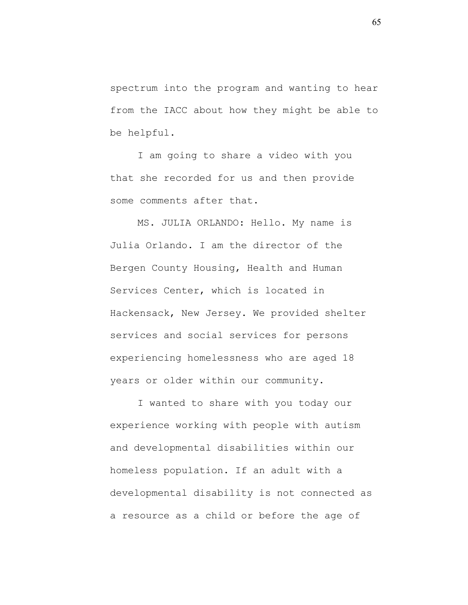spectrum into the program and wanting to hear from the IACC about how they might be able to be helpful.

I am going to share a video with you that she recorded for us and then provide some comments after that.

MS. JULIA ORLANDO: Hello. My name is Julia Orlando. I am the director of the Bergen County Housing, Health and Human Services Center, which is located in Hackensack, New Jersey. We provided shelter services and social services for persons experiencing homelessness who are aged 18 years or older within our community.

I wanted to share with you today our experience working with people with autism and developmental disabilities within our homeless population. If an adult with a developmental disability is not connected as a resource as a child or before the age of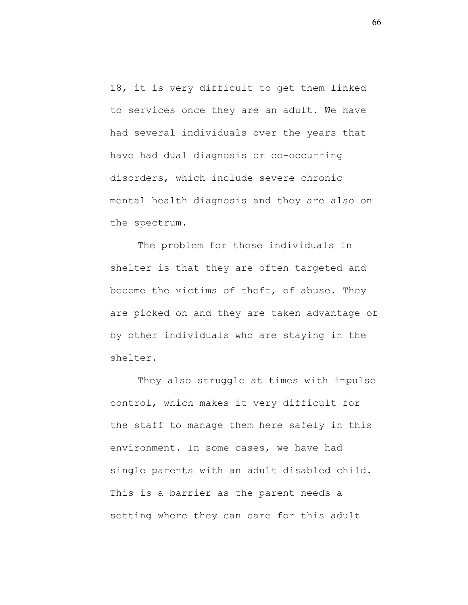18, it is very difficult to get them linked to services once they are an adult. We have had several individuals over the years that have had dual diagnosis or co-occurring disorders, which include severe chronic mental health diagnosis and they are also on the spectrum.

The problem for those individuals in shelter is that they are often targeted and become the victims of theft, of abuse. They are picked on and they are taken advantage of by other individuals who are staying in the shelter.

They also struggle at times with impulse control, which makes it very difficult for the staff to manage them here safely in this environment. In some cases, we have had single parents with an adult disabled child. This is a barrier as the parent needs a setting where they can care for this adult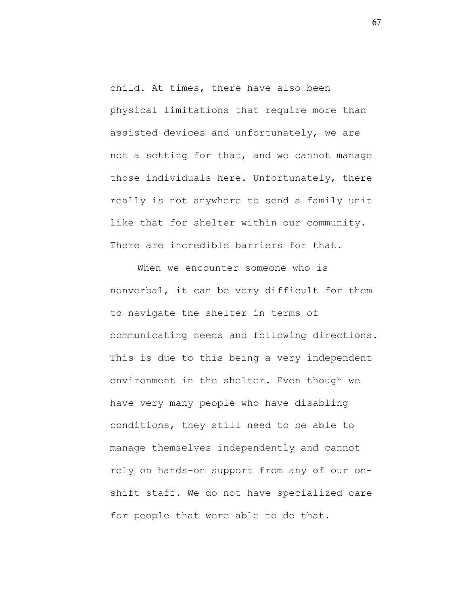child. At times, there have also been physical limitations that require more than assisted devices and unfortunately, we are not a setting for that, and we cannot manage those individuals here. Unfortunately, there really is not anywhere to send a family unit like that for shelter within our community. There are incredible barriers for that.

When we encounter someone who is nonverbal, it can be very difficult for them to navigate the shelter in terms of communicating needs and following directions. This is due to this being a very independent environment in the shelter. Even though we have very many people who have disabling conditions, they still need to be able to manage themselves independently and cannot rely on hands-on support from any of our onshift staff. We do not have specialized care for people that were able to do that.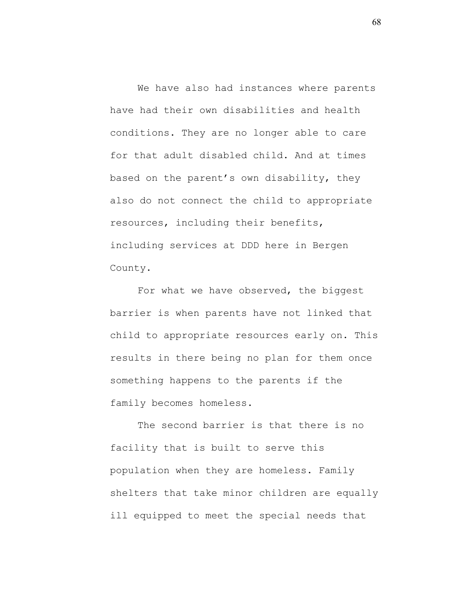We have also had instances where parents have had their own disabilities and health conditions. They are no longer able to care for that adult disabled child. And at times based on the parent's own disability, they also do not connect the child to appropriate resources, including their benefits, including services at DDD here in Bergen County.

For what we have observed, the biggest barrier is when parents have not linked that child to appropriate resources early on. This results in there being no plan for them once something happens to the parents if the family becomes homeless.

The second barrier is that there is no facility that is built to serve this population when they are homeless. Family shelters that take minor children are equally ill equipped to meet the special needs that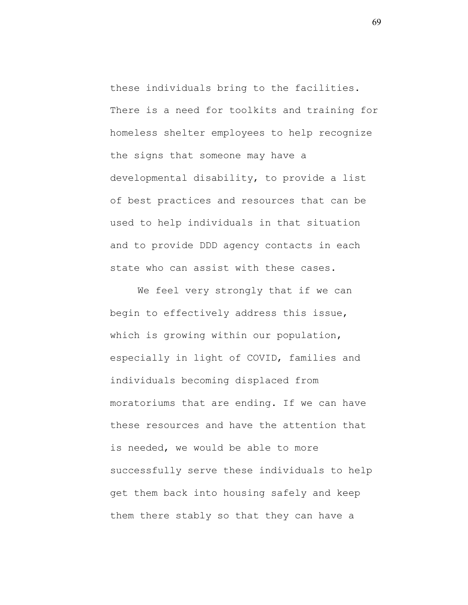these individuals bring to the facilities. There is a need for toolkits and training for homeless shelter employees to help recognize the signs that someone may have a developmental disability, to provide a list of best practices and resources that can be used to help individuals in that situation and to provide DDD agency contacts in each state who can assist with these cases.

We feel very strongly that if we can begin to effectively address this issue, which is growing within our population, especially in light of COVID, families and individuals becoming displaced from moratoriums that are ending. If we can have these resources and have the attention that is needed, we would be able to more successfully serve these individuals to help get them back into housing safely and keep them there stably so that they can have a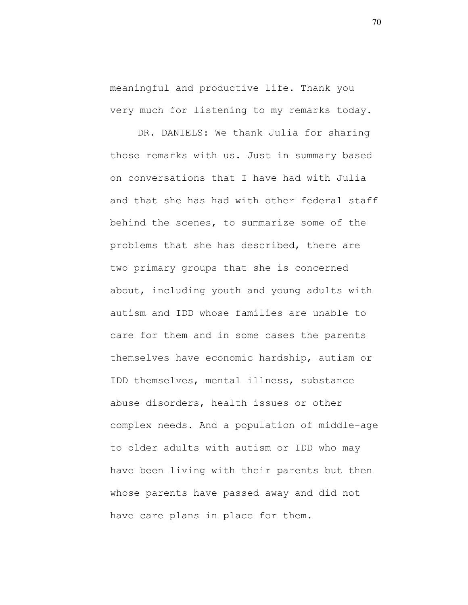meaningful and productive life. Thank you very much for listening to my remarks today.

DR. DANIELS: We thank Julia for sharing those remarks with us. Just in summary based on conversations that I have had with Julia and that she has had with other federal staff behind the scenes, to summarize some of the problems that she has described, there are two primary groups that she is concerned about, including youth and young adults with autism and IDD whose families are unable to care for them and in some cases the parents themselves have economic hardship, autism or IDD themselves, mental illness, substance abuse disorders, health issues or other complex needs. And a population of middle-age to older adults with autism or IDD who may have been living with their parents but then whose parents have passed away and did not have care plans in place for them.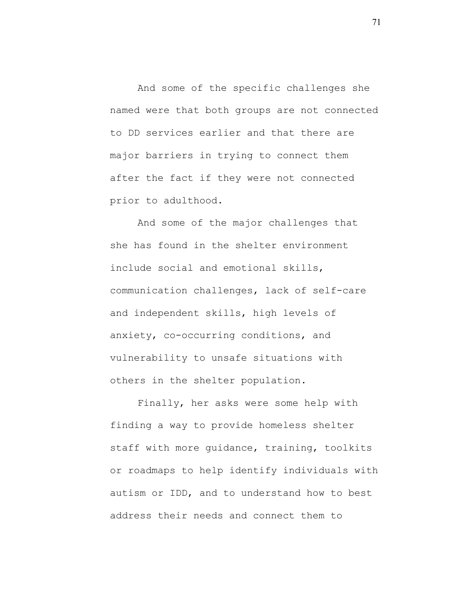And some of the specific challenges she named were that both groups are not connected to DD services earlier and that there are major barriers in trying to connect them after the fact if they were not connected prior to adulthood.

And some of the major challenges that she has found in the shelter environment include social and emotional skills, communication challenges, lack of self-care and independent skills, high levels of anxiety, co-occurring conditions, and vulnerability to unsafe situations with others in the shelter population.

Finally, her asks were some help with finding a way to provide homeless shelter staff with more guidance, training, toolkits or roadmaps to help identify individuals with autism or IDD, and to understand how to best address their needs and connect them to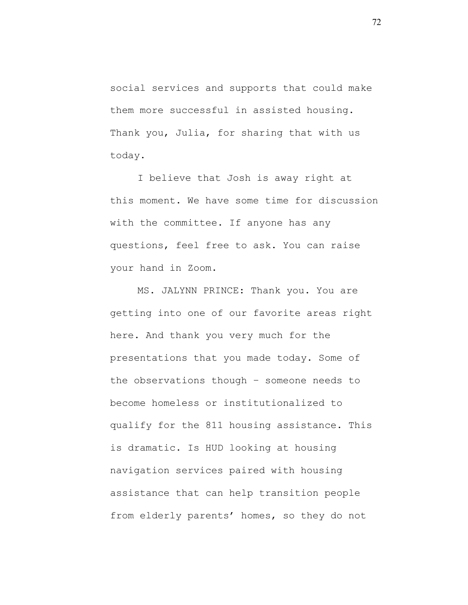social services and supports that could make them more successful in assisted housing. Thank you, Julia, for sharing that with us today.

I believe that Josh is away right at this moment. We have some time for discussion with the committee. If anyone has any questions, feel free to ask. You can raise your hand in Zoom.

MS. JALYNN PRINCE: Thank you. You are getting into one of our favorite areas right here. And thank you very much for the presentations that you made today. Some of the observations though – someone needs to become homeless or institutionalized to qualify for the 811 housing assistance. This is dramatic. Is HUD looking at housing navigation services paired with housing assistance that can help transition people from elderly parents' homes, so they do not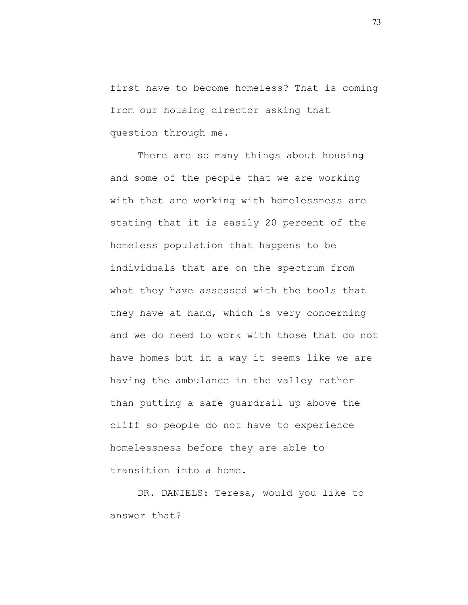first have to become homeless? That is coming from our housing director asking that question through me.

There are so many things about housing and some of the people that we are working with that are working with homelessness are stating that it is easily 20 percent of the homeless population that happens to be individuals that are on the spectrum from what they have assessed with the tools that they have at hand, which is very concerning and we do need to work with those that do not have homes but in a way it seems like we are having the ambulance in the valley rather than putting a safe guardrail up above the cliff so people do not have to experience homelessness before they are able to transition into a home.

DR. DANIELS: Teresa, would you like to answer that?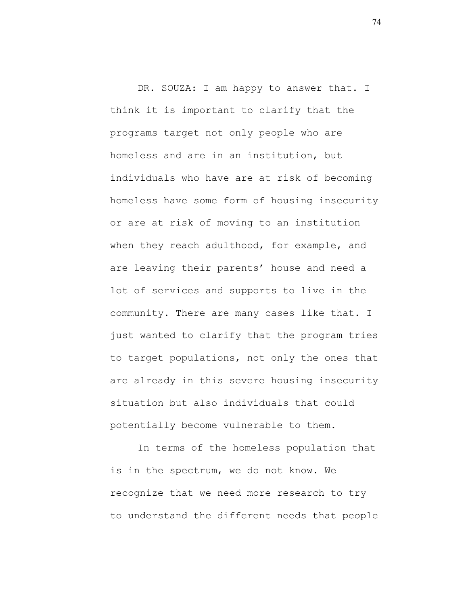DR. SOUZA: I am happy to answer that. I think it is important to clarify that the programs target not only people who are homeless and are in an institution, but individuals who have are at risk of becoming homeless have some form of housing insecurity or are at risk of moving to an institution when they reach adulthood, for example, and are leaving their parents' house and need a lot of services and supports to live in the community. There are many cases like that. I just wanted to clarify that the program tries to target populations, not only the ones that are already in this severe housing insecurity situation but also individuals that could potentially become vulnerable to them.

In terms of the homeless population that is in the spectrum, we do not know. We recognize that we need more research to try to understand the different needs that people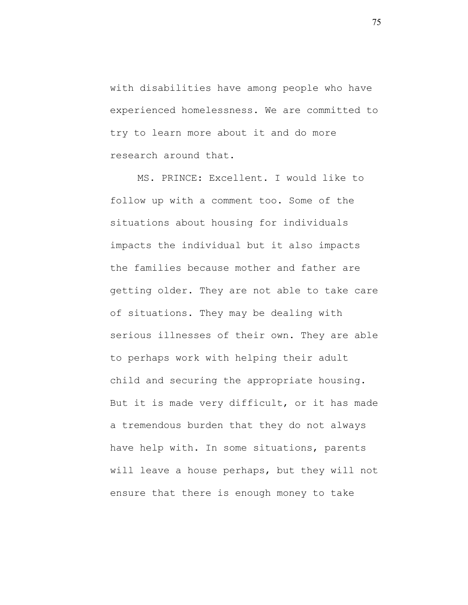with disabilities have among people who have experienced homelessness. We are committed to try to learn more about it and do more research around that.

MS. PRINCE: Excellent. I would like to follow up with a comment too. Some of the situations about housing for individuals impacts the individual but it also impacts the families because mother and father are getting older. They are not able to take care of situations. They may be dealing with serious illnesses of their own. They are able to perhaps work with helping their adult child and securing the appropriate housing. But it is made very difficult, or it has made a tremendous burden that they do not always have help with. In some situations, parents will leave a house perhaps, but they will not ensure that there is enough money to take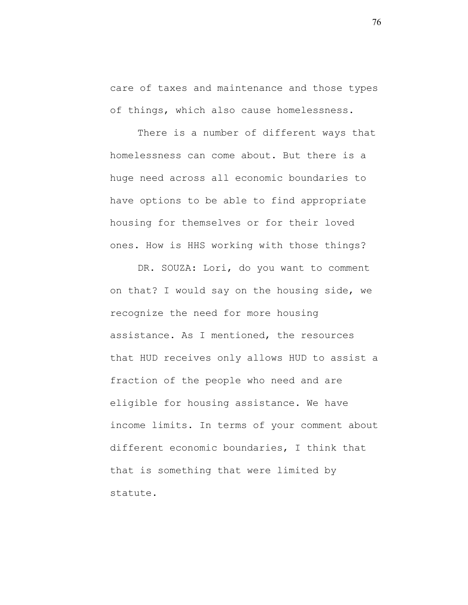care of taxes and maintenance and those types of things, which also cause homelessness.

There is a number of different ways that homelessness can come about. But there is a huge need across all economic boundaries to have options to be able to find appropriate housing for themselves or for their loved ones. How is HHS working with those things?

DR. SOUZA: Lori, do you want to comment on that? I would say on the housing side, we recognize the need for more housing assistance. As I mentioned, the resources that HUD receives only allows HUD to assist a fraction of the people who need and are eligible for housing assistance. We have income limits. In terms of your comment about different economic boundaries, I think that that is something that were limited by statute.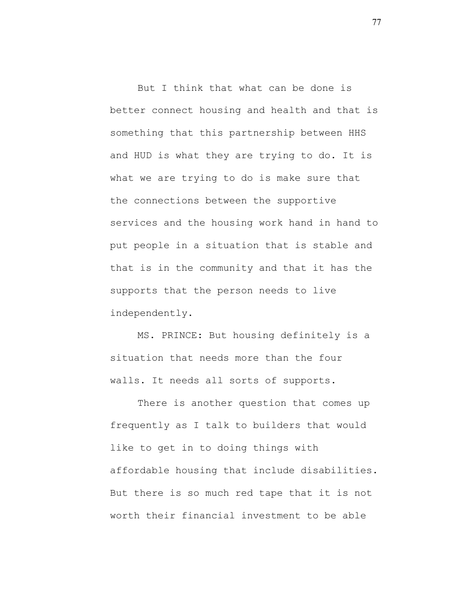But I think that what can be done is better connect housing and health and that is something that this partnership between HHS and HUD is what they are trying to do. It is what we are trying to do is make sure that the connections between the supportive services and the housing work hand in hand to put people in a situation that is stable and that is in the community and that it has the supports that the person needs to live independently.

MS. PRINCE: But housing definitely is a situation that needs more than the four walls. It needs all sorts of supports.

There is another question that comes up frequently as I talk to builders that would like to get in to doing things with affordable housing that include disabilities. But there is so much red tape that it is not worth their financial investment to be able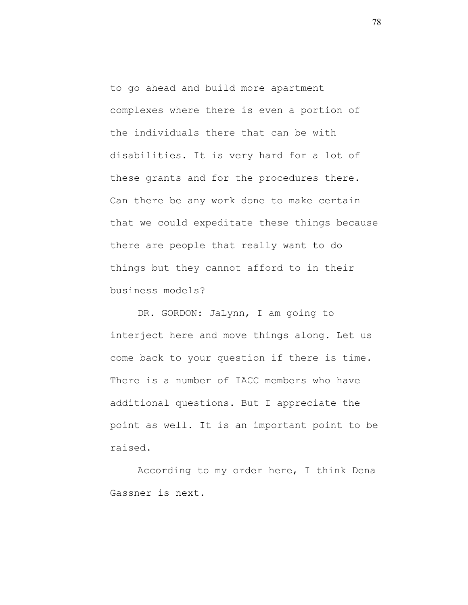to go ahead and build more apartment complexes where there is even a portion of the individuals there that can be with disabilities. It is very hard for a lot of these grants and for the procedures there. Can there be any work done to make certain that we could expeditate these things because there are people that really want to do things but they cannot afford to in their business models?

DR. GORDON: JaLynn, I am going to interject here and move things along. Let us come back to your question if there is time. There is a number of IACC members who have additional questions. But I appreciate the point as well. It is an important point to be raised.

According to my order here, I think Dena Gassner is next.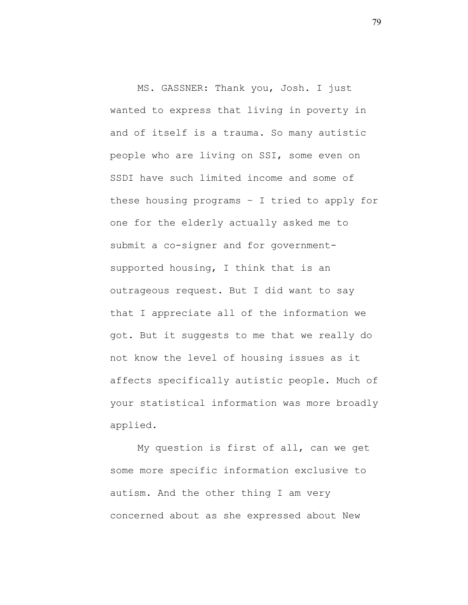MS. GASSNER: Thank you, Josh. I just wanted to express that living in poverty in and of itself is a trauma. So many autistic people who are living on SSI, some even on SSDI have such limited income and some of these housing programs – I tried to apply for one for the elderly actually asked me to submit a co-signer and for governmentsupported housing, I think that is an outrageous request. But I did want to say that I appreciate all of the information we got. But it suggests to me that we really do not know the level of housing issues as it affects specifically autistic people. Much of your statistical information was more broadly applied.

My question is first of all, can we get some more specific information exclusive to autism. And the other thing I am very concerned about as she expressed about New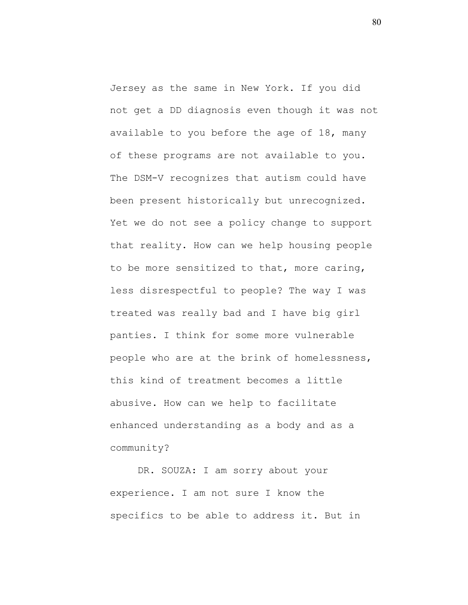Jersey as the same in New York. If you did not get a DD diagnosis even though it was not available to you before the age of 18, many of these programs are not available to you. The DSM-V recognizes that autism could have been present historically but unrecognized. Yet we do not see a policy change to support that reality. How can we help housing people to be more sensitized to that, more caring, less disrespectful to people? The way I was treated was really bad and I have big girl panties. I think for some more vulnerable people who are at the brink of homelessness, this kind of treatment becomes a little abusive. How can we help to facilitate enhanced understanding as a body and as a community?

DR. SOUZA: I am sorry about your experience. I am not sure I know the specifics to be able to address it. But in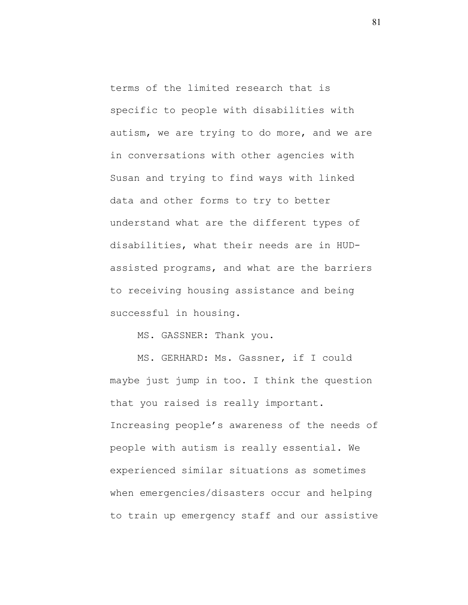terms of the limited research that is specific to people with disabilities with autism, we are trying to do more, and we are in conversations with other agencies with Susan and trying to find ways with linked data and other forms to try to better understand what are the different types of disabilities, what their needs are in HUDassisted programs, and what are the barriers to receiving housing assistance and being successful in housing.

MS. GASSNER: Thank you.

MS. GERHARD: Ms. Gassner, if I could maybe just jump in too. I think the question that you raised is really important. Increasing people's awareness of the needs of people with autism is really essential. We experienced similar situations as sometimes when emergencies/disasters occur and helping to train up emergency staff and our assistive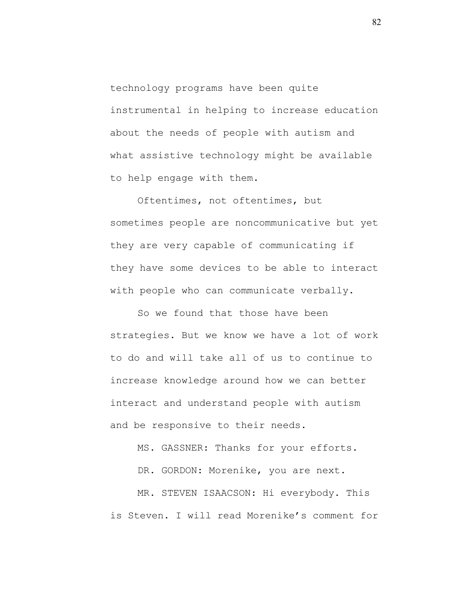technology programs have been quite instrumental in helping to increase education about the needs of people with autism and what assistive technology might be available to help engage with them.

Oftentimes, not oftentimes, but sometimes people are noncommunicative but yet they are very capable of communicating if they have some devices to be able to interact with people who can communicate verbally.

So we found that those have been strategies. But we know we have a lot of work to do and will take all of us to continue to increase knowledge around how we can better interact and understand people with autism and be responsive to their needs.

MS. GASSNER: Thanks for your efforts.

DR. GORDON: Morenike, you are next.

MR. STEVEN ISAACSON: Hi everybody. This is Steven. I will read Morenike's comment for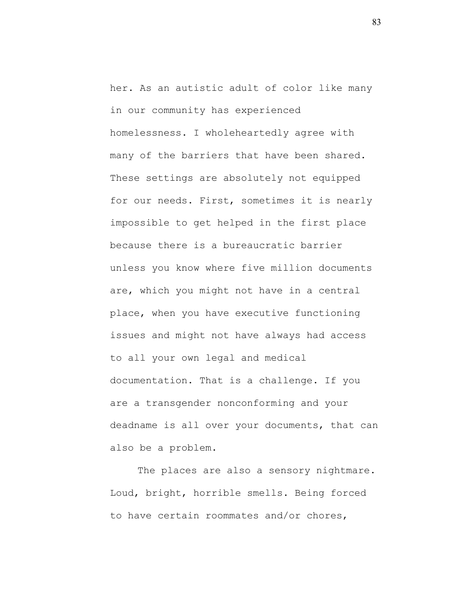her. As an autistic adult of color like many in our community has experienced homelessness. I wholeheartedly agree with many of the barriers that have been shared. These settings are absolutely not equipped for our needs. First, sometimes it is nearly impossible to get helped in the first place because there is a bureaucratic barrier unless you know where five million documents are, which you might not have in a central place, when you have executive functioning issues and might not have always had access to all your own legal and medical documentation. That is a challenge. If you are a transgender nonconforming and your deadname is all over your documents, that can also be a problem.

The places are also a sensory nightmare. Loud, bright, horrible smells. Being forced to have certain roommates and/or chores,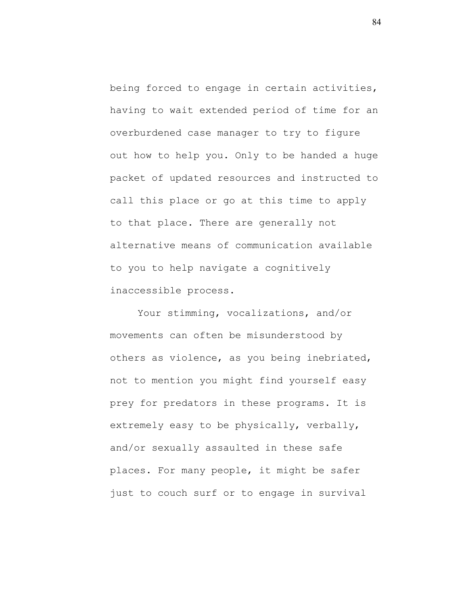being forced to engage in certain activities, having to wait extended period of time for an overburdened case manager to try to figure out how to help you. Only to be handed a huge packet of updated resources and instructed to call this place or go at this time to apply to that place. There are generally not alternative means of communication available to you to help navigate a cognitively inaccessible process.

Your stimming, vocalizations, and/or movements can often be misunderstood by others as violence, as you being inebriated, not to mention you might find yourself easy prey for predators in these programs. It is extremely easy to be physically, verbally, and/or sexually assaulted in these safe places. For many people, it might be safer just to couch surf or to engage in survival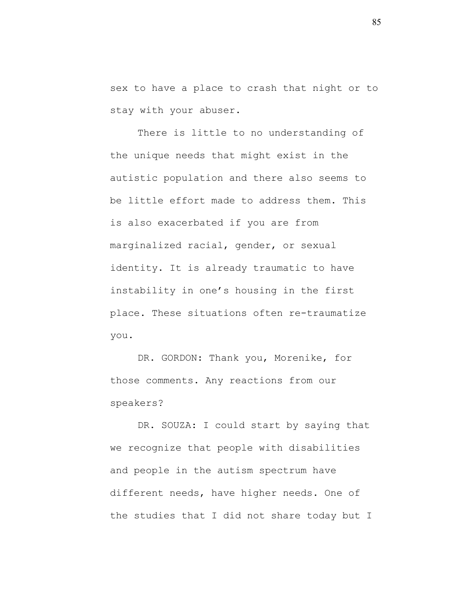sex to have a place to crash that night or to stay with your abuser.

There is little to no understanding of the unique needs that might exist in the autistic population and there also seems to be little effort made to address them. This is also exacerbated if you are from marginalized racial, gender, or sexual identity. It is already traumatic to have instability in one's housing in the first place. These situations often re-traumatize you.

DR. GORDON: Thank you, Morenike, for those comments. Any reactions from our speakers?

DR. SOUZA: I could start by saying that we recognize that people with disabilities and people in the autism spectrum have different needs, have higher needs. One of the studies that I did not share today but I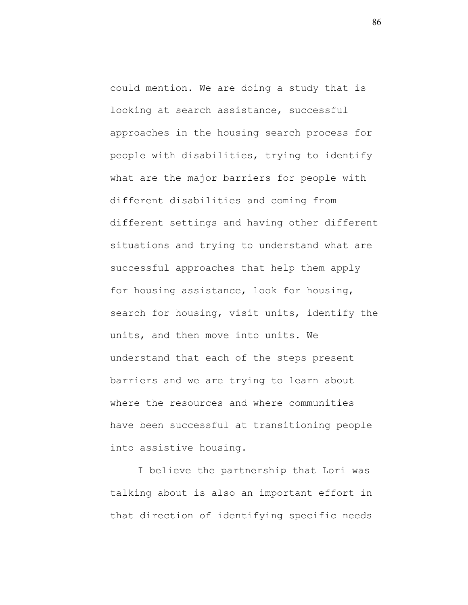could mention. We are doing a study that is looking at search assistance, successful approaches in the housing search process for people with disabilities, trying to identify what are the major barriers for people with different disabilities and coming from different settings and having other different situations and trying to understand what are successful approaches that help them apply for housing assistance, look for housing, search for housing, visit units, identify the units, and then move into units. We understand that each of the steps present barriers and we are trying to learn about where the resources and where communities have been successful at transitioning people into assistive housing.

I believe the partnership that Lori was talking about is also an important effort in that direction of identifying specific needs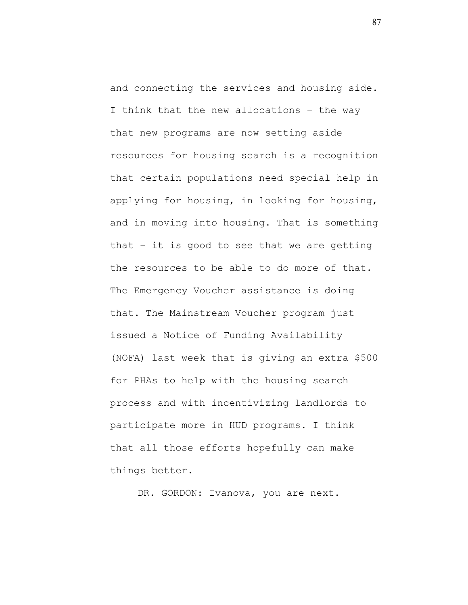and connecting the services and housing side. I think that the new allocations – the way that new programs are now setting aside resources for housing search is a recognition that certain populations need special help in applying for housing, in looking for housing, and in moving into housing. That is something that – it is good to see that we are getting the resources to be able to do more of that. The Emergency Voucher assistance is doing that. The Mainstream Voucher program just issued a Notice of Funding Availability (NOFA) last week that is giving an extra \$500 for PHAs to help with the housing search process and with incentivizing landlords to participate more in HUD programs. I think that all those efforts hopefully can make things better.

DR. GORDON: Ivanova, you are next.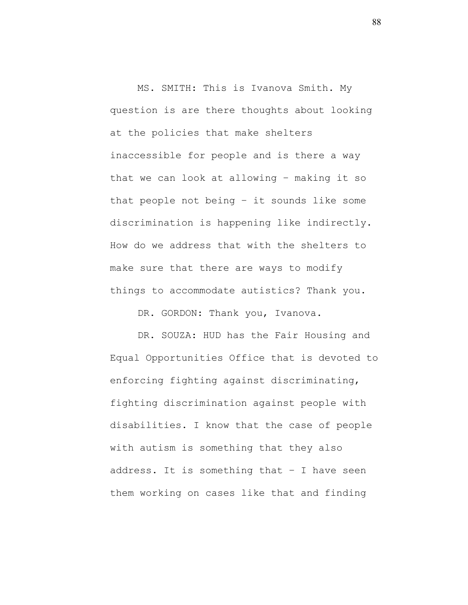MS. SMITH: This is Ivanova Smith. My question is are there thoughts about looking at the policies that make shelters inaccessible for people and is there a way that we can look at allowing – making it so that people not being – it sounds like some discrimination is happening like indirectly. How do we address that with the shelters to make sure that there are ways to modify things to accommodate autistics? Thank you.

DR. GORDON: Thank you, Ivanova.

DR. SOUZA: HUD has the Fair Housing and Equal Opportunities Office that is devoted to enforcing fighting against discriminating, fighting discrimination against people with disabilities. I know that the case of people with autism is something that they also address. It is something that – I have seen them working on cases like that and finding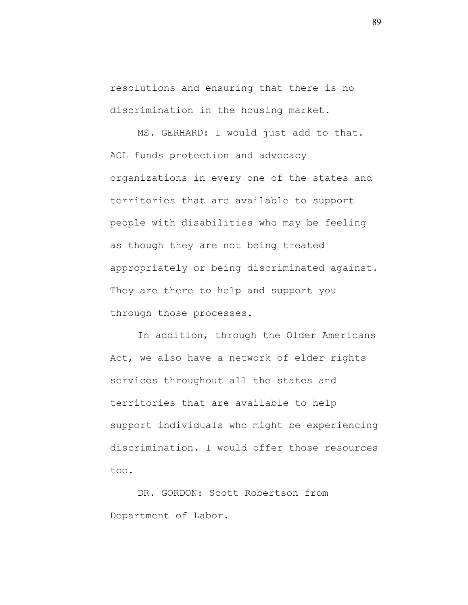resolutions and ensuring that there is no discrimination in the housing market.

MS. GERHARD: I would just add to that. ACL funds protection and advocacy organizations in every one of the states and territories that are available to support people with disabilities who may be feeling as though they are not being treated appropriately or being discriminated against. They are there to help and support you through those processes.

In addition, through the Older Americans Act, we also have a network of elder rights services throughout all the states and territories that are available to help support individuals who might be experiencing discrimination. I would offer those resources too.

DR. GORDON: Scott Robertson from Department of Labor.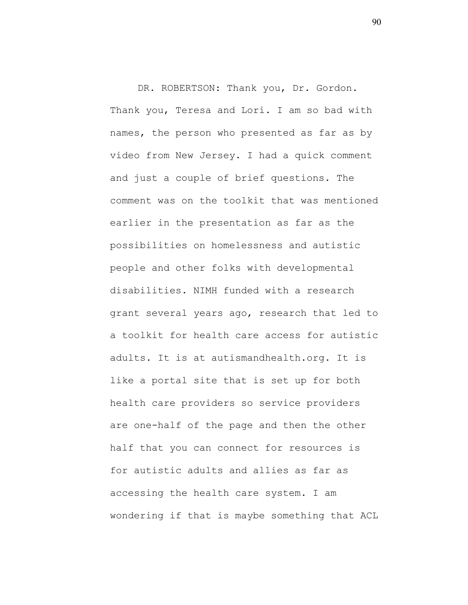DR. ROBERTSON: Thank you, Dr. Gordon. Thank you, Teresa and Lori. I am so bad with names, the person who presented as far as by video from New Jersey. I had a quick comment and just a couple of brief questions. The comment was on the toolkit that was mentioned earlier in the presentation as far as the possibilities on homelessness and autistic people and other folks with developmental disabilities. NIMH funded with a research grant several years ago, research that led to a toolkit for health care access for autistic adults. It is at autismandhealth.org. It is like a portal site that is set up for both health care providers so service providers are one-half of the page and then the other half that you can connect for resources is for autistic adults and allies as far as accessing the health care system. I am wondering if that is maybe something that ACL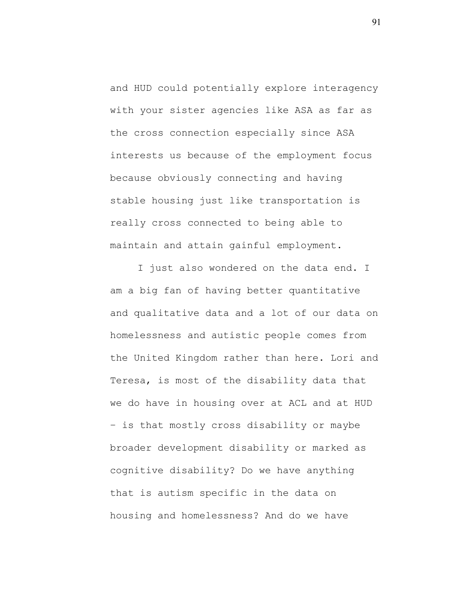and HUD could potentially explore interagency with your sister agencies like ASA as far as the cross connection especially since ASA interests us because of the employment focus because obviously connecting and having stable housing just like transportation is really cross connected to being able to maintain and attain gainful employment.

I just also wondered on the data end. I am a big fan of having better quantitative and qualitative data and a lot of our data on homelessness and autistic people comes from the United Kingdom rather than here. Lori and Teresa, is most of the disability data that we do have in housing over at ACL and at HUD – is that mostly cross disability or maybe broader development disability or marked as cognitive disability? Do we have anything that is autism specific in the data on housing and homelessness? And do we have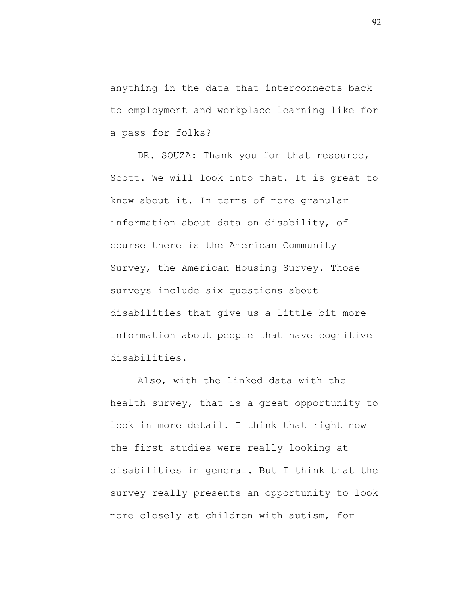anything in the data that interconnects back to employment and workplace learning like for a pass for folks?

DR. SOUZA: Thank you for that resource, Scott. We will look into that. It is great to know about it. In terms of more granular information about data on disability, of course there is the American Community Survey, the American Housing Survey. Those surveys include six questions about disabilities that give us a little bit more information about people that have cognitive disabilities.

Also, with the linked data with the health survey, that is a great opportunity to look in more detail. I think that right now the first studies were really looking at disabilities in general. But I think that the survey really presents an opportunity to look more closely at children with autism, for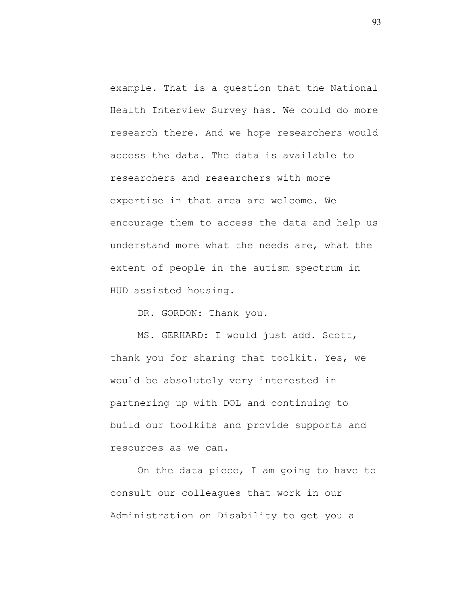example. That is a question that the National Health Interview Survey has. We could do more research there. And we hope researchers would access the data. The data is available to researchers and researchers with more expertise in that area are welcome. We encourage them to access the data and help us understand more what the needs are, what the extent of people in the autism spectrum in HUD assisted housing.

DR. GORDON: Thank you.

MS. GERHARD: I would just add. Scott, thank you for sharing that toolkit. Yes, we would be absolutely very interested in partnering up with DOL and continuing to build our toolkits and provide supports and resources as we can.

On the data piece, I am going to have to consult our colleagues that work in our Administration on Disability to get you a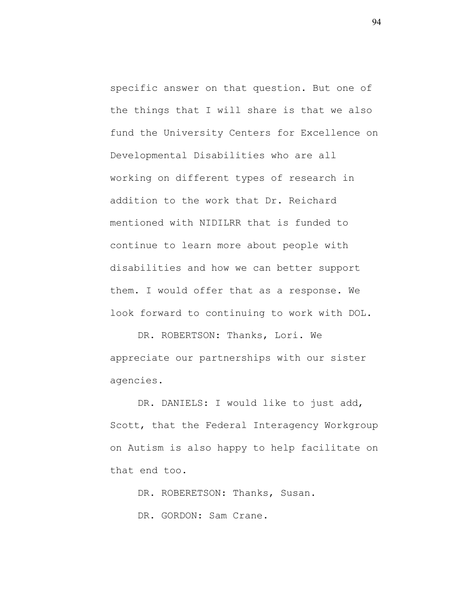specific answer on that question. But one of the things that I will share is that we also fund the University Centers for Excellence on Developmental Disabilities who are all working on different types of research in addition to the work that Dr. Reichard mentioned with NIDILRR that is funded to continue to learn more about people with disabilities and how we can better support them. I would offer that as a response. We look forward to continuing to work with DOL.

DR. ROBERTSON: Thanks, Lori. We appreciate our partnerships with our sister agencies.

DR. DANIELS: I would like to just add, Scott, that the Federal Interagency Workgroup on Autism is also happy to help facilitate on that end too.

DR. ROBERETSON: Thanks, Susan.

DR. GORDON: Sam Crane.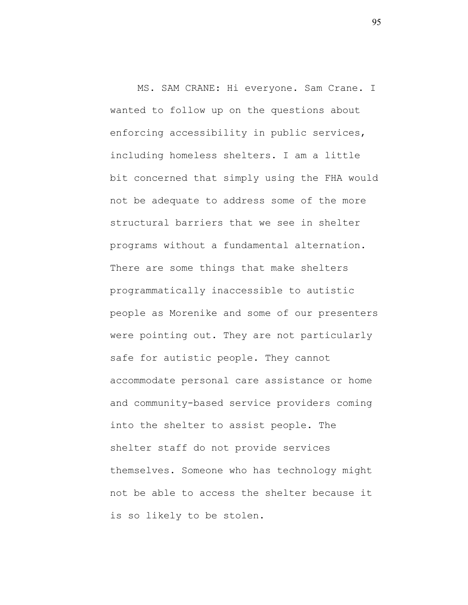MS. SAM CRANE: Hi everyone. Sam Crane. I wanted to follow up on the questions about enforcing accessibility in public services, including homeless shelters. I am a little bit concerned that simply using the FHA would not be adequate to address some of the more structural barriers that we see in shelter programs without a fundamental alternation. There are some things that make shelters programmatically inaccessible to autistic people as Morenike and some of our presenters were pointing out. They are not particularly safe for autistic people. They cannot accommodate personal care assistance or home and community-based service providers coming into the shelter to assist people. The shelter staff do not provide services themselves. Someone who has technology might not be able to access the shelter because it is so likely to be stolen.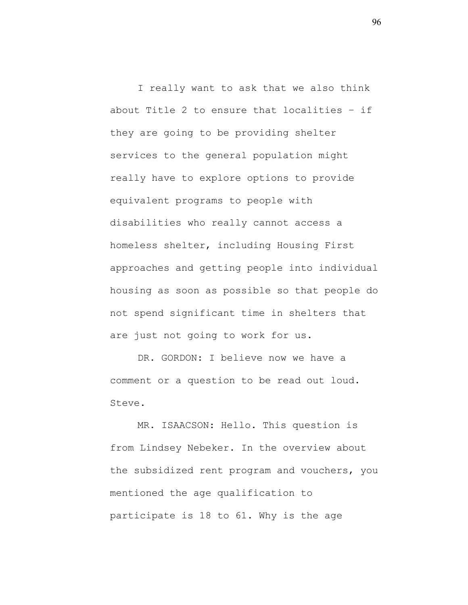I really want to ask that we also think about Title 2 to ensure that localities – if they are going to be providing shelter services to the general population might really have to explore options to provide equivalent programs to people with disabilities who really cannot access a homeless shelter, including Housing First approaches and getting people into individual housing as soon as possible so that people do not spend significant time in shelters that are just not going to work for us.

DR. GORDON: I believe now we have a comment or a question to be read out loud. Steve.

MR. ISAACSON: Hello. This question is from Lindsey Nebeker. In the overview about the subsidized rent program and vouchers, you mentioned the age qualification to participate is 18 to 61. Why is the age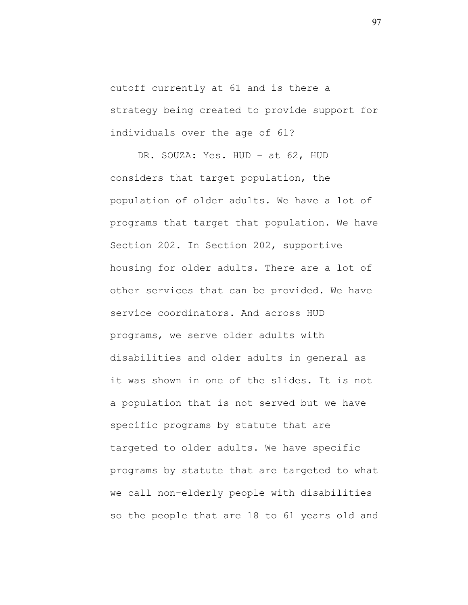cutoff currently at 61 and is there a strategy being created to provide support for individuals over the age of 61?

DR. SOUZA: Yes. HUD – at 62, HUD considers that target population, the population of older adults. We have a lot of programs that target that population. We have Section 202. In Section 202, supportive housing for older adults. There are a lot of other services that can be provided. We have service coordinators. And across HUD programs, we serve older adults with disabilities and older adults in general as it was shown in one of the slides. It is not a population that is not served but we have specific programs by statute that are targeted to older adults. We have specific programs by statute that are targeted to what we call non-elderly people with disabilities so the people that are 18 to 61 years old and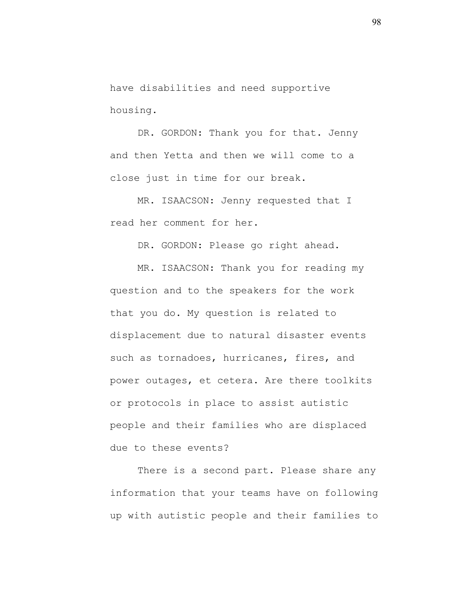have disabilities and need supportive housing.

DR. GORDON: Thank you for that. Jenny and then Yetta and then we will come to a close just in time for our break.

MR. ISAACSON: Jenny requested that I read her comment for her.

DR. GORDON: Please go right ahead.

MR. ISAACSON: Thank you for reading my question and to the speakers for the work that you do. My question is related to displacement due to natural disaster events such as tornadoes, hurricanes, fires, and power outages, et cetera. Are there toolkits or protocols in place to assist autistic people and their families who are displaced due to these events?

There is a second part. Please share any information that your teams have on following up with autistic people and their families to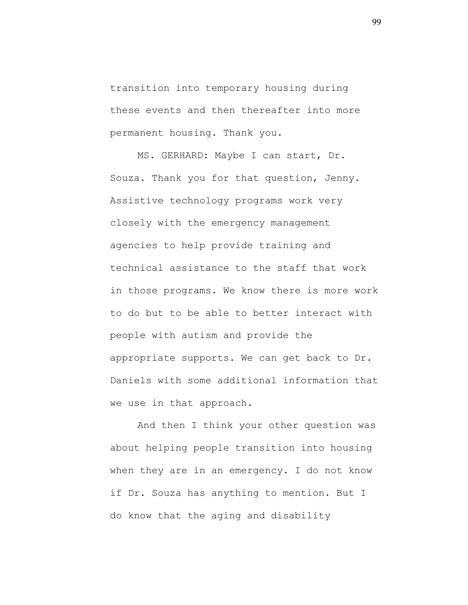transition into temporary housing during these events and then thereafter into more permanent housing. Thank you.

MS. GERHARD: Maybe I can start, Dr. Souza. Thank you for that question, Jenny. Assistive technology programs work very closely with the emergency management agencies to help provide training and technical assistance to the staff that work in those programs. We know there is more work to do but to be able to better interact with people with autism and provide the appropriate supports. We can get back to Dr. Daniels with some additional information that we use in that approach.

And then I think your other question was about helping people transition into housing when they are in an emergency. I do not know if Dr. Souza has anything to mention. But I do know that the aging and disability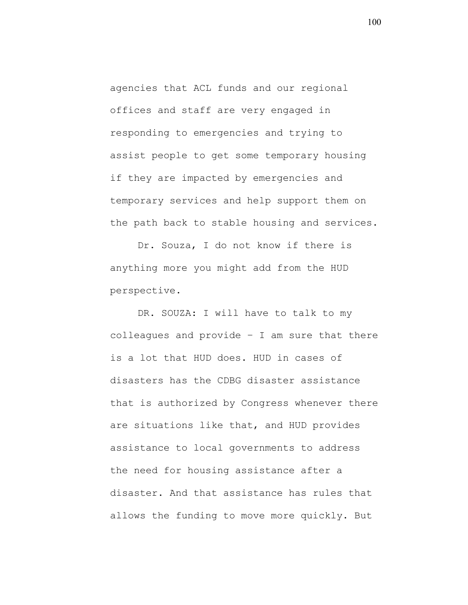agencies that ACL funds and our regional offices and staff are very engaged in responding to emergencies and trying to assist people to get some temporary housing if they are impacted by emergencies and temporary services and help support them on the path back to stable housing and services.

Dr. Souza, I do not know if there is anything more you might add from the HUD perspective.

DR. SOUZA: I will have to talk to my colleagues and provide – I am sure that there is a lot that HUD does. HUD in cases of disasters has the CDBG disaster assistance that is authorized by Congress whenever there are situations like that, and HUD provides assistance to local governments to address the need for housing assistance after a disaster. And that assistance has rules that allows the funding to move more quickly. But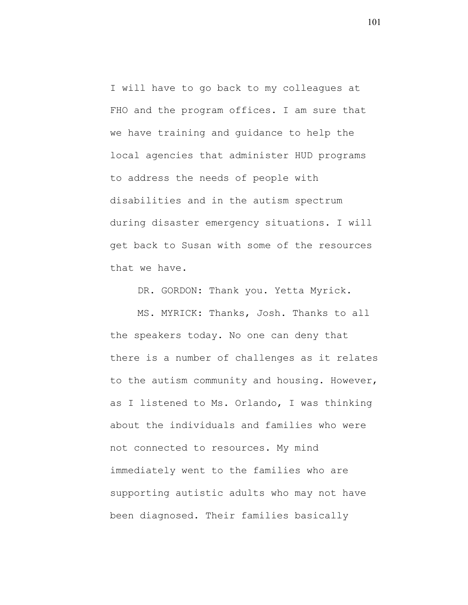I will have to go back to my colleagues at FHO and the program offices. I am sure that we have training and guidance to help the local agencies that administer HUD programs to address the needs of people with disabilities and in the autism spectrum during disaster emergency situations. I will get back to Susan with some of the resources that we have.

DR. GORDON: Thank you. Yetta Myrick.

MS. MYRICK: Thanks, Josh. Thanks to all the speakers today. No one can deny that there is a number of challenges as it relates to the autism community and housing. However, as I listened to Ms. Orlando, I was thinking about the individuals and families who were not connected to resources. My mind immediately went to the families who are supporting autistic adults who may not have been diagnosed. Their families basically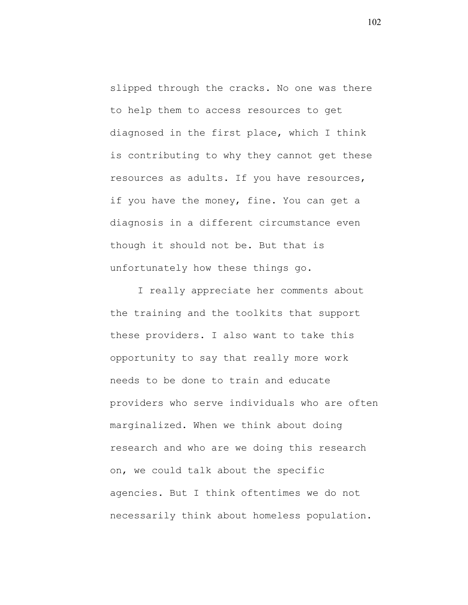slipped through the cracks. No one was there to help them to access resources to get diagnosed in the first place, which I think is contributing to why they cannot get these resources as adults. If you have resources, if you have the money, fine. You can get a diagnosis in a different circumstance even though it should not be. But that is unfortunately how these things go.

I really appreciate her comments about the training and the toolkits that support these providers. I also want to take this opportunity to say that really more work needs to be done to train and educate providers who serve individuals who are often marginalized. When we think about doing research and who are we doing this research on, we could talk about the specific agencies. But I think oftentimes we do not necessarily think about homeless population.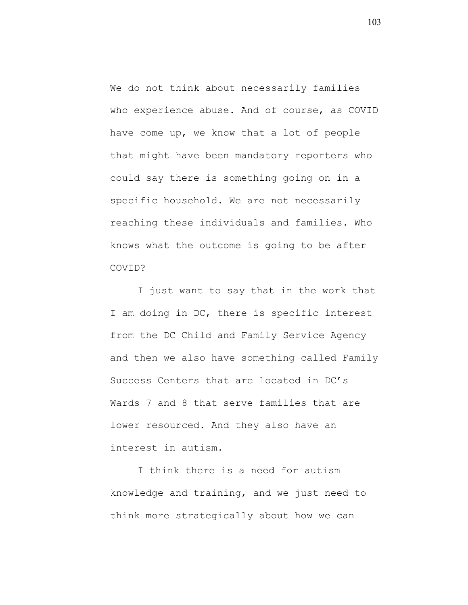We do not think about necessarily families who experience abuse. And of course, as COVID have come up, we know that a lot of people that might have been mandatory reporters who could say there is something going on in a specific household. We are not necessarily reaching these individuals and families. Who knows what the outcome is going to be after COVID?

I just want to say that in the work that I am doing in DC, there is specific interest from the DC Child and Family Service Agency and then we also have something called Family Success Centers that are located in DC's Wards 7 and 8 that serve families that are lower resourced. And they also have an interest in autism.

I think there is a need for autism knowledge and training, and we just need to think more strategically about how we can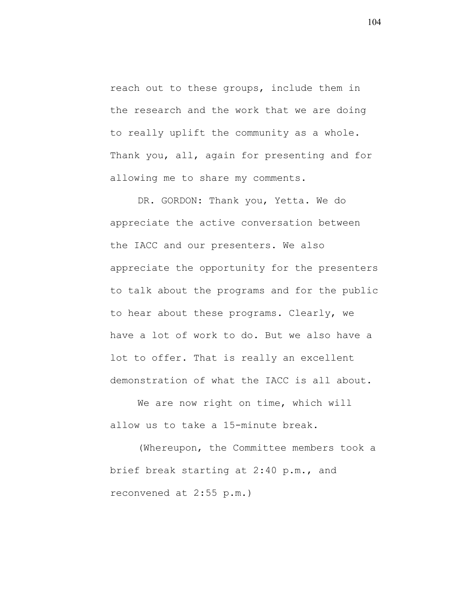reach out to these groups, include them in the research and the work that we are doing to really uplift the community as a whole. Thank you, all, again for presenting and for allowing me to share my comments.

DR. GORDON: Thank you, Yetta. We do appreciate the active conversation between the IACC and our presenters. We also appreciate the opportunity for the presenters to talk about the programs and for the public to hear about these programs. Clearly, we have a lot of work to do. But we also have a lot to offer. That is really an excellent demonstration of what the IACC is all about.

We are now right on time, which will allow us to take a 15-minute break.

(Whereupon, the Committee members took a brief break starting at 2:40 p.m., and reconvened at 2:55 p.m.)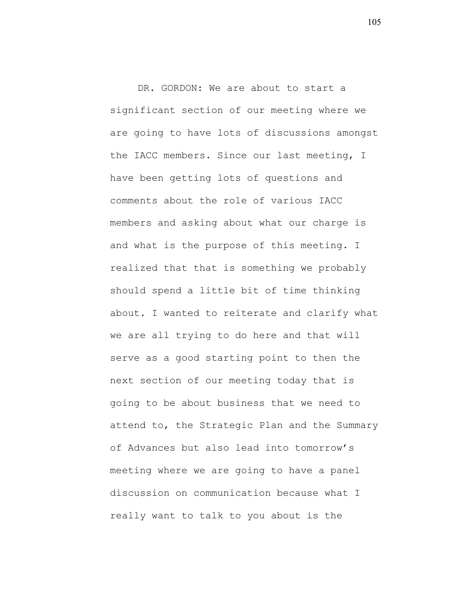DR. GORDON: We are about to start a significant section of our meeting where we are going to have lots of discussions amongst the IACC members. Since our last meeting, I have been getting lots of questions and comments about the role of various IACC members and asking about what our charge is and what is the purpose of this meeting. I realized that that is something we probably should spend a little bit of time thinking about. I wanted to reiterate and clarify what we are all trying to do here and that will serve as a good starting point to then the next section of our meeting today that is going to be about business that we need to attend to, the Strategic Plan and the Summary of Advances but also lead into tomorrow's meeting where we are going to have a panel discussion on communication because what I really want to talk to you about is the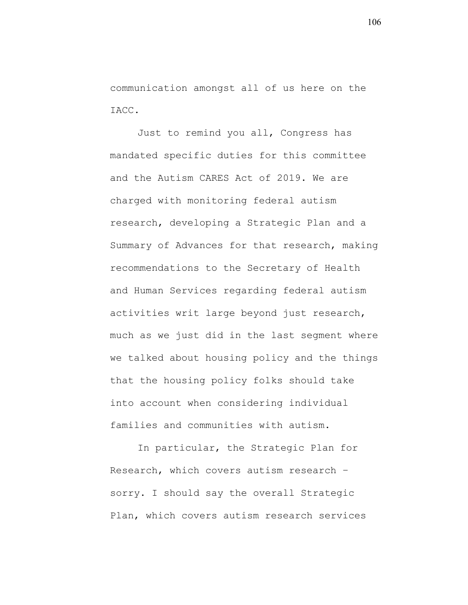communication amongst all of us here on the IACC.

Just to remind you all, Congress has mandated specific duties for this committee and the Autism CARES Act of 2019. We are charged with monitoring federal autism research, developing a Strategic Plan and a Summary of Advances for that research, making recommendations to the Secretary of Health and Human Services regarding federal autism activities writ large beyond just research, much as we just did in the last segment where we talked about housing policy and the things that the housing policy folks should take into account when considering individual families and communities with autism.

In particular, the Strategic Plan for Research, which covers autism research – sorry. I should say the overall Strategic Plan, which covers autism research services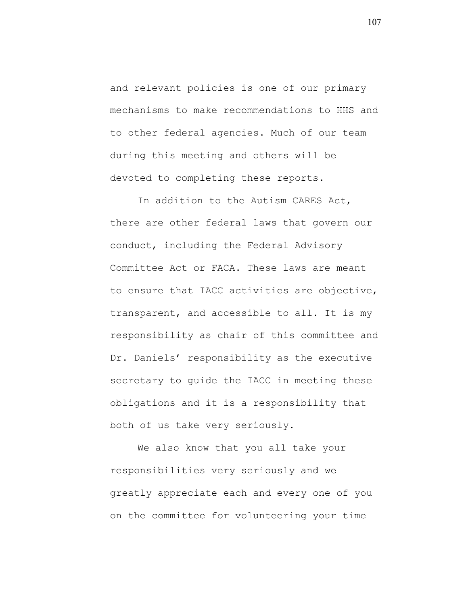and relevant policies is one of our primary mechanisms to make recommendations to HHS and to other federal agencies. Much of our team during this meeting and others will be devoted to completing these reports.

In addition to the Autism CARES Act, there are other federal laws that govern our conduct, including the Federal Advisory Committee Act or FACA. These laws are meant to ensure that IACC activities are objective, transparent, and accessible to all. It is my responsibility as chair of this committee and Dr. Daniels' responsibility as the executive secretary to guide the IACC in meeting these obligations and it is a responsibility that both of us take very seriously.

We also know that you all take your responsibilities very seriously and we greatly appreciate each and every one of you on the committee for volunteering your time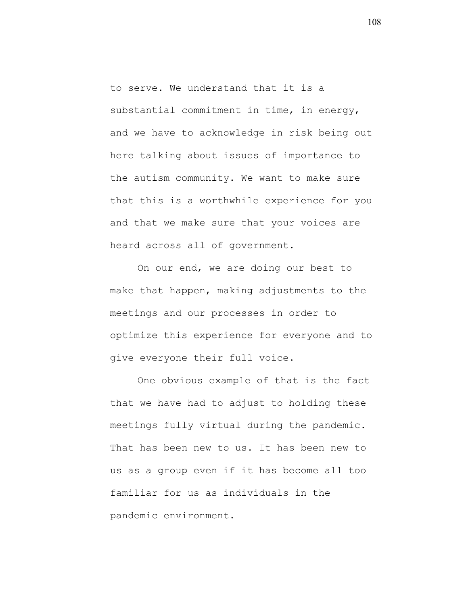to serve. We understand that it is a substantial commitment in time, in energy, and we have to acknowledge in risk being out here talking about issues of importance to the autism community. We want to make sure that this is a worthwhile experience for you and that we make sure that your voices are heard across all of government.

On our end, we are doing our best to make that happen, making adjustments to the meetings and our processes in order to optimize this experience for everyone and to give everyone their full voice.

One obvious example of that is the fact that we have had to adjust to holding these meetings fully virtual during the pandemic. That has been new to us. It has been new to us as a group even if it has become all too familiar for us as individuals in the pandemic environment.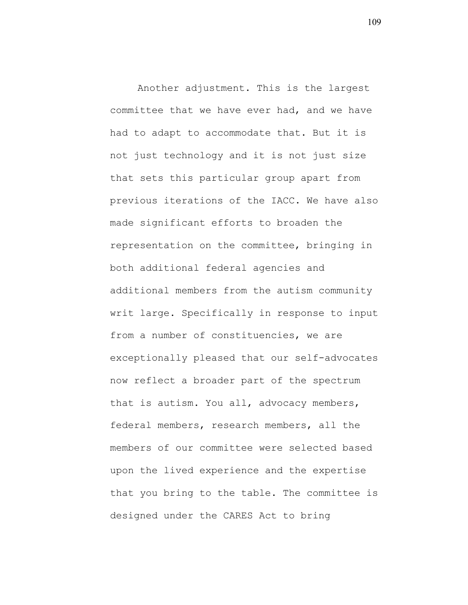Another adjustment. This is the largest committee that we have ever had, and we have had to adapt to accommodate that. But it is not just technology and it is not just size that sets this particular group apart from previous iterations of the IACC. We have also made significant efforts to broaden the representation on the committee, bringing in both additional federal agencies and additional members from the autism community writ large. Specifically in response to input from a number of constituencies, we are exceptionally pleased that our self-advocates now reflect a broader part of the spectrum that is autism. You all, advocacy members, federal members, research members, all the members of our committee were selected based upon the lived experience and the expertise that you bring to the table. The committee is designed under the CARES Act to bring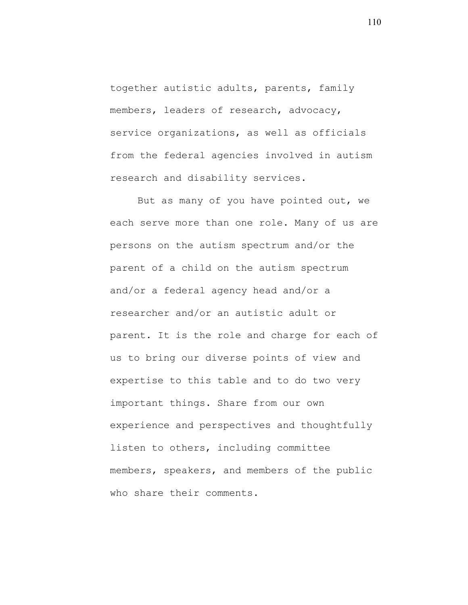together autistic adults, parents, family members, leaders of research, advocacy, service organizations, as well as officials from the federal agencies involved in autism research and disability services.

But as many of you have pointed out, we each serve more than one role. Many of us are persons on the autism spectrum and/or the parent of a child on the autism spectrum and/or a federal agency head and/or a researcher and/or an autistic adult or parent. It is the role and charge for each of us to bring our diverse points of view and expertise to this table and to do two very important things. Share from our own experience and perspectives and thoughtfully listen to others, including committee members, speakers, and members of the public who share their comments.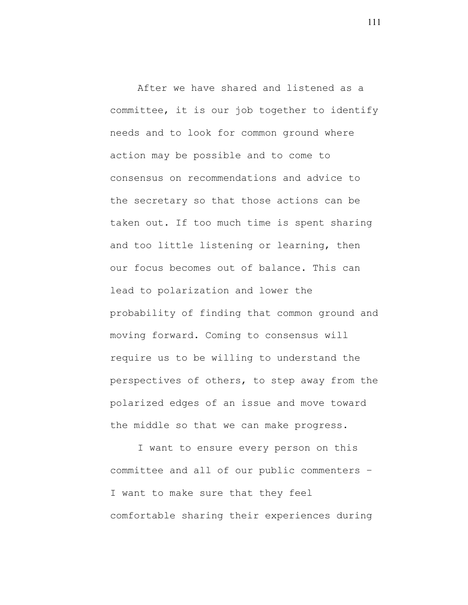After we have shared and listened as a committee, it is our job together to identify needs and to look for common ground where action may be possible and to come to consensus on recommendations and advice to the secretary so that those actions can be taken out. If too much time is spent sharing and too little listening or learning, then our focus becomes out of balance. This can lead to polarization and lower the probability of finding that common ground and moving forward. Coming to consensus will require us to be willing to understand the perspectives of others, to step away from the polarized edges of an issue and move toward the middle so that we can make progress.

I want to ensure every person on this committee and all of our public commenters – I want to make sure that they feel comfortable sharing their experiences during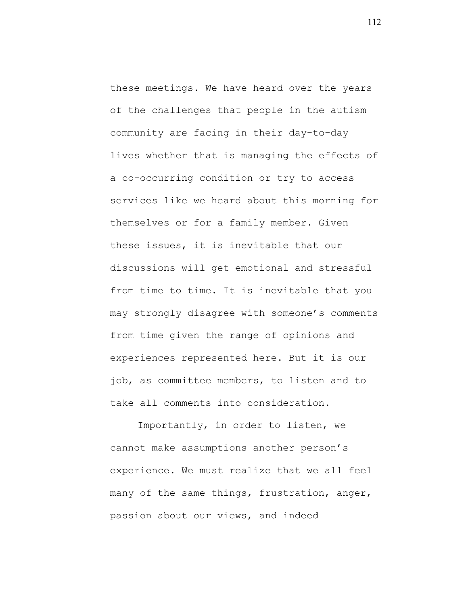these meetings. We have heard over the years of the challenges that people in the autism community are facing in their day-to-day lives whether that is managing the effects of a co-occurring condition or try to access services like we heard about this morning for themselves or for a family member. Given these issues, it is inevitable that our discussions will get emotional and stressful from time to time. It is inevitable that you may strongly disagree with someone's comments from time given the range of opinions and experiences represented here. But it is our job, as committee members, to listen and to take all comments into consideration.

Importantly, in order to listen, we cannot make assumptions another person's experience. We must realize that we all feel many of the same things, frustration, anger, passion about our views, and indeed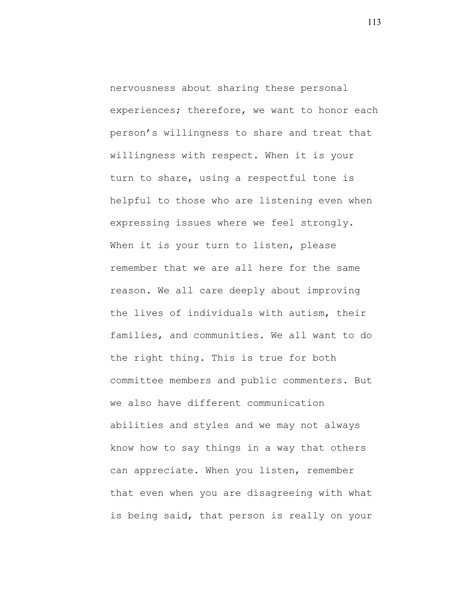nervousness about sharing these personal experiences; therefore, we want to honor each person's willingness to share and treat that willingness with respect. When it is your turn to share, using a respectful tone is helpful to those who are listening even when expressing issues where we feel strongly. When it is your turn to listen, please remember that we are all here for the same reason. We all care deeply about improving the lives of individuals with autism, their families, and communities. We all want to do the right thing. This is true for both committee members and public commenters. But we also have different communication abilities and styles and we may not always know how to say things in a way that others can appreciate. When you listen, remember that even when you are disagreeing with what is being said, that person is really on your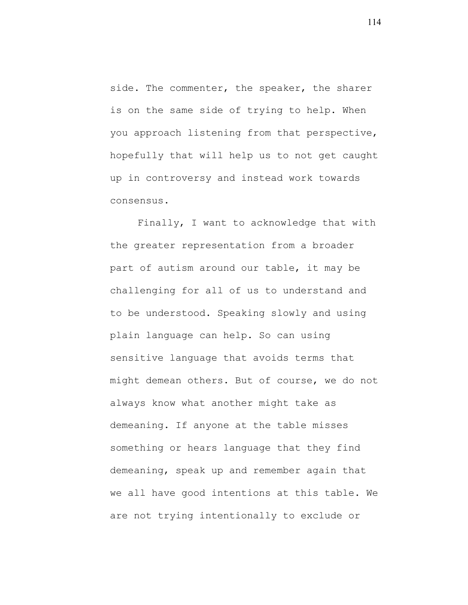side. The commenter, the speaker, the sharer is on the same side of trying to help. When you approach listening from that perspective, hopefully that will help us to not get caught up in controversy and instead work towards consensus.

Finally, I want to acknowledge that with the greater representation from a broader part of autism around our table, it may be challenging for all of us to understand and to be understood. Speaking slowly and using plain language can help. So can using sensitive language that avoids terms that might demean others. But of course, we do not always know what another might take as demeaning. If anyone at the table misses something or hears language that they find demeaning, speak up and remember again that we all have good intentions at this table. We are not trying intentionally to exclude or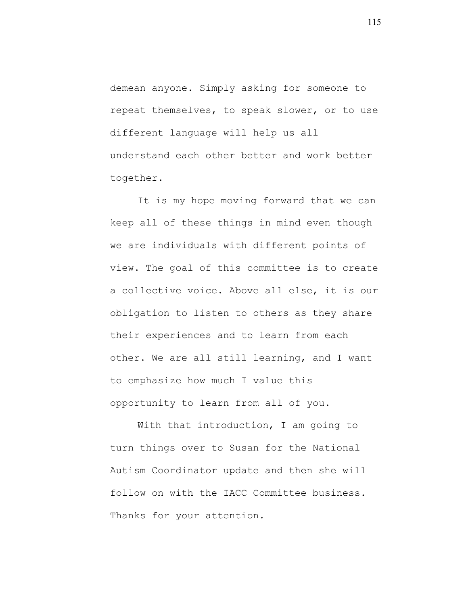demean anyone. Simply asking for someone to repeat themselves, to speak slower, or to use different language will help us all understand each other better and work better together.

It is my hope moving forward that we can keep all of these things in mind even though we are individuals with different points of view. The goal of this committee is to create a collective voice. Above all else, it is our obligation to listen to others as they share their experiences and to learn from each other. We are all still learning, and I want to emphasize how much I value this opportunity to learn from all of you.

With that introduction, I am going to turn things over to Susan for the National Autism Coordinator update and then she will follow on with the IACC Committee business. Thanks for your attention.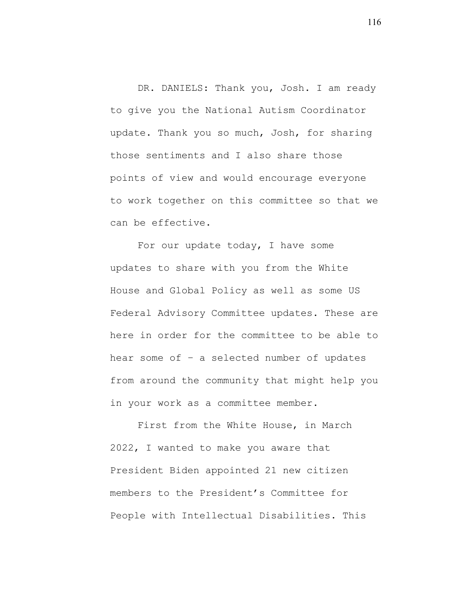DR. DANIELS: Thank you, Josh. I am ready to give you the National Autism Coordinator update. Thank you so much, Josh, for sharing those sentiments and I also share those points of view and would encourage everyone to work together on this committee so that we can be effective.

For our update today, I have some updates to share with you from the White House and Global Policy as well as some US Federal Advisory Committee updates. These are here in order for the committee to be able to hear some of – a selected number of updates from around the community that might help you in your work as a committee member.

First from the White House, in March 2022, I wanted to make you aware that President Biden appointed 21 new citizen members to the President's Committee for People with Intellectual Disabilities. This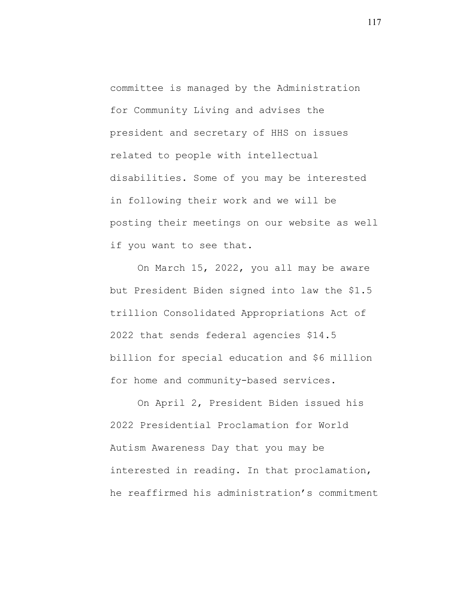committee is managed by the Administration for Community Living and advises the president and secretary of HHS on issues related to people with intellectual disabilities. Some of you may be interested in following their work and we will be posting their meetings on our website as well if you want to see that.

On March 15, 2022, you all may be aware but President Biden signed into law the \$1.5 trillion Consolidated Appropriations Act of 2022 that sends federal agencies \$14.5 billion for special education and \$6 million for home and community-based services.

On April 2, President Biden issued his 2022 Presidential Proclamation for World Autism Awareness Day that you may be interested in reading. In that proclamation, he reaffirmed his administration's commitment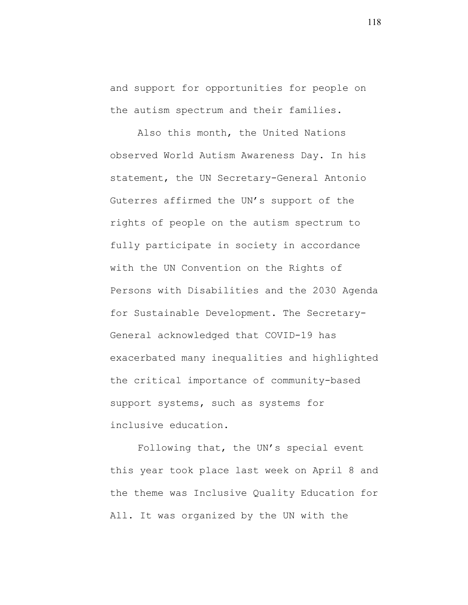and support for opportunities for people on the autism spectrum and their families.

Also this month, the United Nations observed World Autism Awareness Day. In his statement, the UN Secretary-General Antonio Guterres affirmed the UN's support of the rights of people on the autism spectrum to fully participate in society in accordance with the UN Convention on the Rights of Persons with Disabilities and the 2030 Agenda for Sustainable Development. The Secretary-General acknowledged that COVID-19 has exacerbated many inequalities and highlighted the critical importance of community-based support systems, such as systems for inclusive education.

Following that, the UN's special event this year took place last week on April 8 and the theme was Inclusive Quality Education for All. It was organized by the UN with the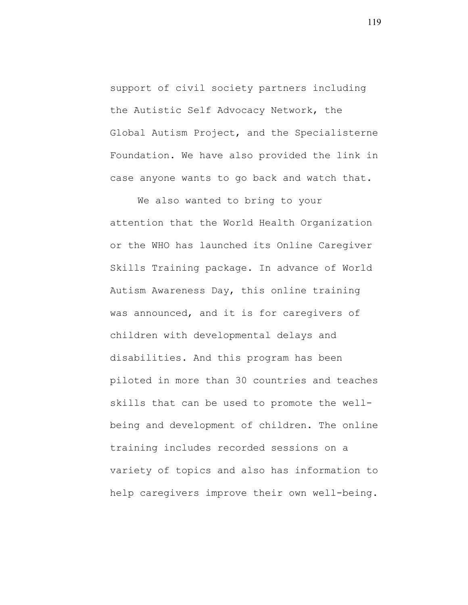support of civil society partners including the Autistic Self Advocacy Network, the Global Autism Project, and the Specialisterne Foundation. We have also provided the link in case anyone wants to go back and watch that.

We also wanted to bring to your attention that the World Health Organization or the WHO has launched its Online Caregiver Skills Training package. In advance of World Autism Awareness Day, this online training was announced, and it is for caregivers of children with developmental delays and disabilities. And this program has been piloted in more than 30 countries and teaches skills that can be used to promote the wellbeing and development of children. The online training includes recorded sessions on a variety of topics and also has information to help caregivers improve their own well-being.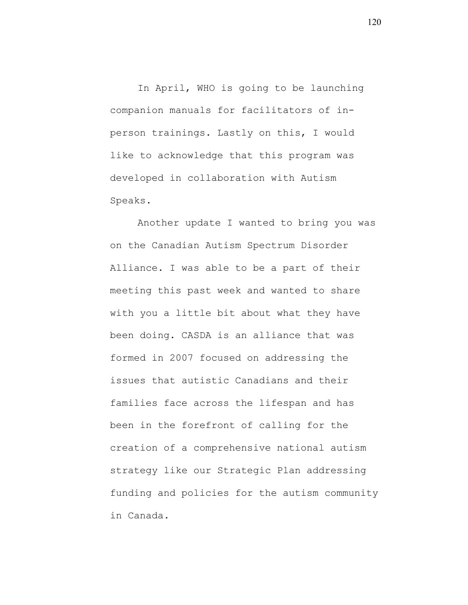In April, WHO is going to be launching companion manuals for facilitators of inperson trainings. Lastly on this, I would like to acknowledge that this program was developed in collaboration with Autism Speaks.

Another update I wanted to bring you was on the Canadian Autism Spectrum Disorder Alliance. I was able to be a part of their meeting this past week and wanted to share with you a little bit about what they have been doing. CASDA is an alliance that was formed in 2007 focused on addressing the issues that autistic Canadians and their families face across the lifespan and has been in the forefront of calling for the creation of a comprehensive national autism strategy like our Strategic Plan addressing funding and policies for the autism community in Canada.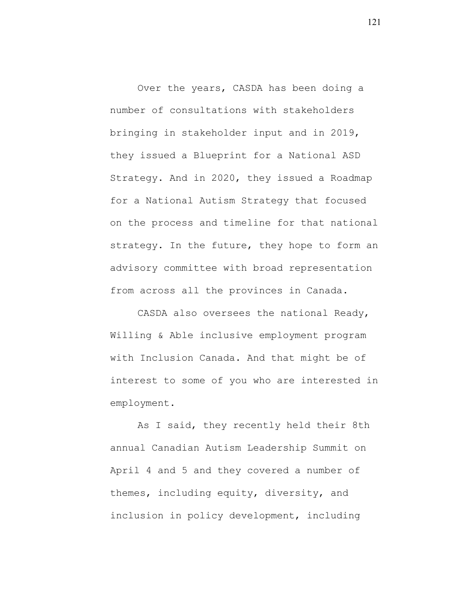Over the years, CASDA has been doing a number of consultations with stakeholders bringing in stakeholder input and in 2019, they issued a Blueprint for a National ASD Strategy. And in 2020, they issued a Roadmap for a National Autism Strategy that focused on the process and timeline for that national strategy. In the future, they hope to form an advisory committee with broad representation from across all the provinces in Canada.

CASDA also oversees the national Ready, Willing & Able inclusive employment program with Inclusion Canada. And that might be of interest to some of you who are interested in employment.

As I said, they recently held their 8th annual Canadian Autism Leadership Summit on April 4 and 5 and they covered a number of themes, including equity, diversity, and inclusion in policy development, including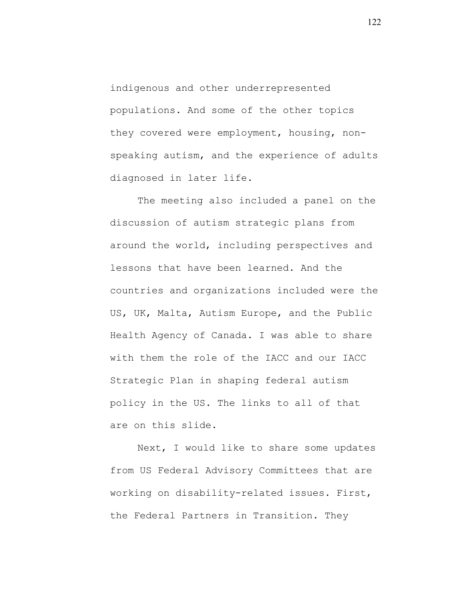indigenous and other underrepresented populations. And some of the other topics they covered were employment, housing, nonspeaking autism, and the experience of adults diagnosed in later life.

The meeting also included a panel on the discussion of autism strategic plans from around the world, including perspectives and lessons that have been learned. And the countries and organizations included were the US, UK, Malta, Autism Europe, and the Public Health Agency of Canada. I was able to share with them the role of the IACC and our IACC Strategic Plan in shaping federal autism policy in the US. The links to all of that are on this slide.

Next, I would like to share some updates from US Federal Advisory Committees that are working on disability-related issues. First, the Federal Partners in Transition. They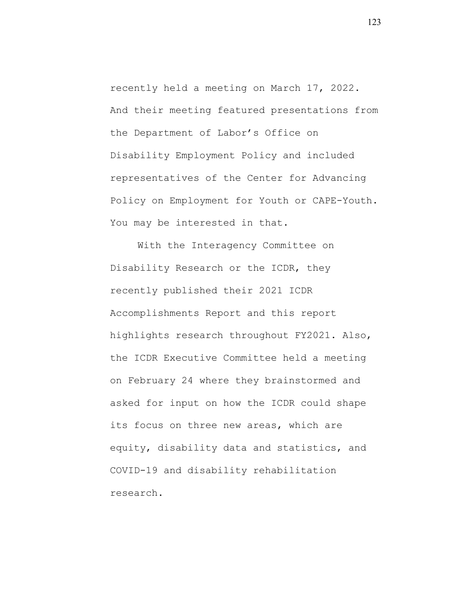recently held a meeting on March 17, 2022. And their meeting featured presentations from the Department of Labor's Office on Disability Employment Policy and included representatives of the Center for Advancing Policy on Employment for Youth or CAPE-Youth. You may be interested in that.

With the Interagency Committee on Disability Research or the ICDR, they recently published their 2021 ICDR Accomplishments Report and this report highlights research throughout FY2021. Also, the ICDR Executive Committee held a meeting on February 24 where they brainstormed and asked for input on how the ICDR could shape its focus on three new areas, which are equity, disability data and statistics, and COVID-19 and disability rehabilitation research.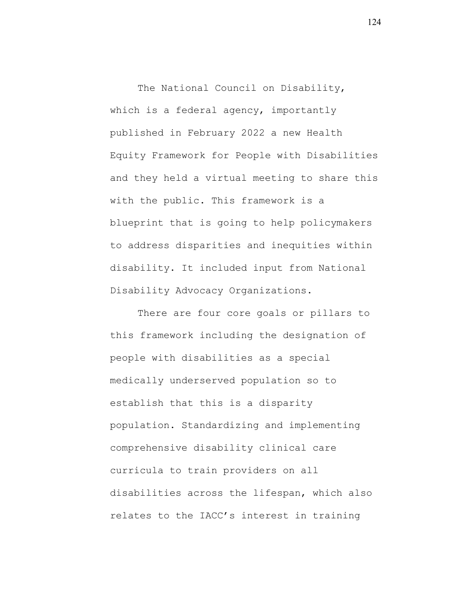The National Council on Disability, which is a federal agency, importantly published in February 2022 a new Health Equity Framework for People with Disabilities and they held a virtual meeting to share this with the public. This framework is a blueprint that is going to help policymakers to address disparities and inequities within disability. It included input from National Disability Advocacy Organizations.

There are four core goals or pillars to this framework including the designation of people with disabilities as a special medically underserved population so to establish that this is a disparity population. Standardizing and implementing comprehensive disability clinical care curricula to train providers on all disabilities across the lifespan, which also relates to the IACC's interest in training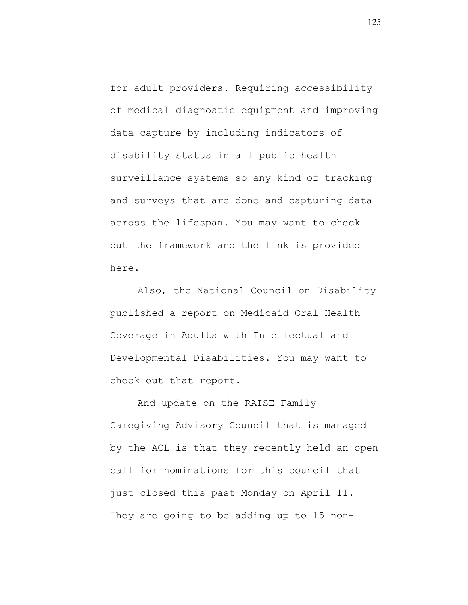for adult providers. Requiring accessibility of medical diagnostic equipment and improving data capture by including indicators of disability status in all public health surveillance systems so any kind of tracking and surveys that are done and capturing data across the lifespan. You may want to check out the framework and the link is provided here.

Also, the National Council on Disability published a report on Medicaid Oral Health Coverage in Adults with Intellectual and Developmental Disabilities. You may want to check out that report.

And update on the RAISE Family Caregiving Advisory Council that is managed by the ACL is that they recently held an open call for nominations for this council that just closed this past Monday on April 11. They are going to be adding up to 15 non-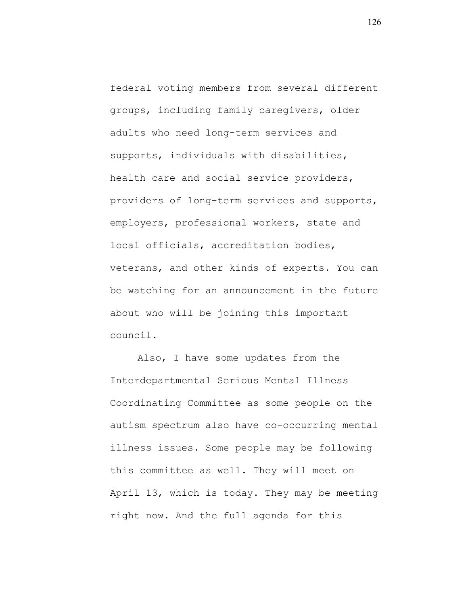federal voting members from several different groups, including family caregivers, older adults who need long-term services and supports, individuals with disabilities, health care and social service providers, providers of long-term services and supports, employers, professional workers, state and local officials, accreditation bodies, veterans, and other kinds of experts. You can be watching for an announcement in the future about who will be joining this important council.

Also, I have some updates from the Interdepartmental Serious Mental Illness Coordinating Committee as some people on the autism spectrum also have co-occurring mental illness issues. Some people may be following this committee as well. They will meet on April 13, which is today. They may be meeting right now. And the full agenda for this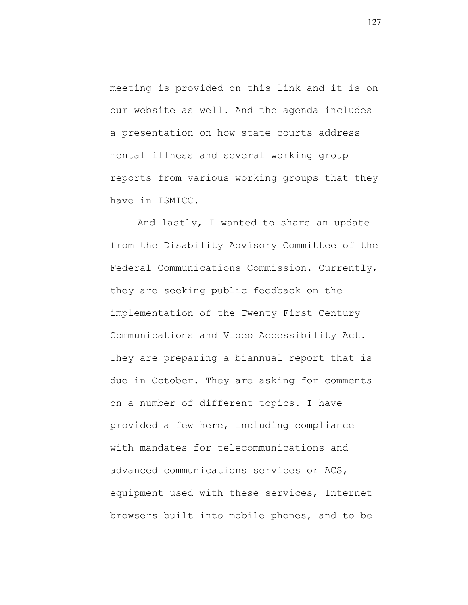meeting is provided on this link and it is on our website as well. And the agenda includes a presentation on how state courts address mental illness and several working group reports from various working groups that they have in ISMICC.

And lastly, I wanted to share an update from the Disability Advisory Committee of the Federal Communications Commission. Currently, they are seeking public feedback on the implementation of the Twenty-First Century Communications and Video Accessibility Act. They are preparing a biannual report that is due in October. They are asking for comments on a number of different topics. I have provided a few here, including compliance with mandates for telecommunications and advanced communications services or ACS, equipment used with these services, Internet browsers built into mobile phones, and to be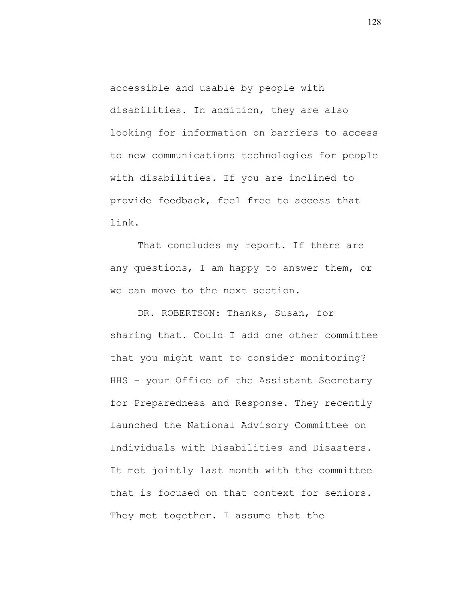accessible and usable by people with disabilities. In addition, they are also looking for information on barriers to access to new communications technologies for people with disabilities. If you are inclined to provide feedback, feel free to access that link.

That concludes my report. If there are any questions, I am happy to answer them, or we can move to the next section.

DR. ROBERTSON: Thanks, Susan, for sharing that. Could I add one other committee that you might want to consider monitoring? HHS – your Office of the Assistant Secretary for Preparedness and Response. They recently launched the National Advisory Committee on Individuals with Disabilities and Disasters. It met jointly last month with the committee that is focused on that context for seniors. They met together. I assume that the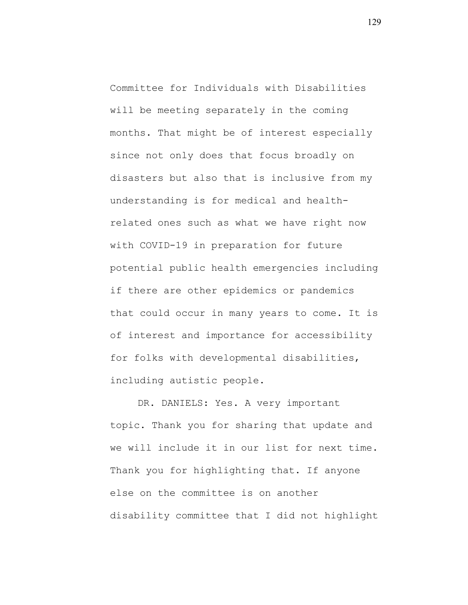Committee for Individuals with Disabilities will be meeting separately in the coming months. That might be of interest especially since not only does that focus broadly on disasters but also that is inclusive from my understanding is for medical and healthrelated ones such as what we have right now with COVID-19 in preparation for future potential public health emergencies including if there are other epidemics or pandemics that could occur in many years to come. It is of interest and importance for accessibility for folks with developmental disabilities, including autistic people.

DR. DANIELS: Yes. A very important topic. Thank you for sharing that update and we will include it in our list for next time. Thank you for highlighting that. If anyone else on the committee is on another disability committee that I did not highlight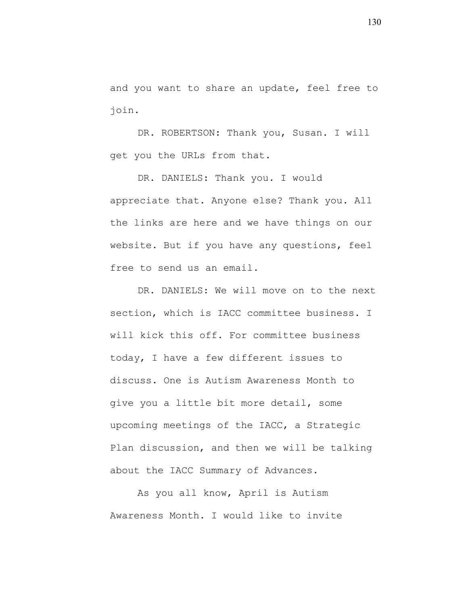and you want to share an update, feel free to join.

DR. ROBERTSON: Thank you, Susan. I will get you the URLs from that.

DR. DANIELS: Thank you. I would appreciate that. Anyone else? Thank you. All the links are here and we have things on our website. But if you have any questions, feel free to send us an email.

DR. DANIELS: We will move on to the next section, which is IACC committee business. I will kick this off. For committee business today, I have a few different issues to discuss. One is Autism Awareness Month to give you a little bit more detail, some upcoming meetings of the IACC, a Strategic Plan discussion, and then we will be talking about the IACC Summary of Advances.

As you all know, April is Autism Awareness Month. I would like to invite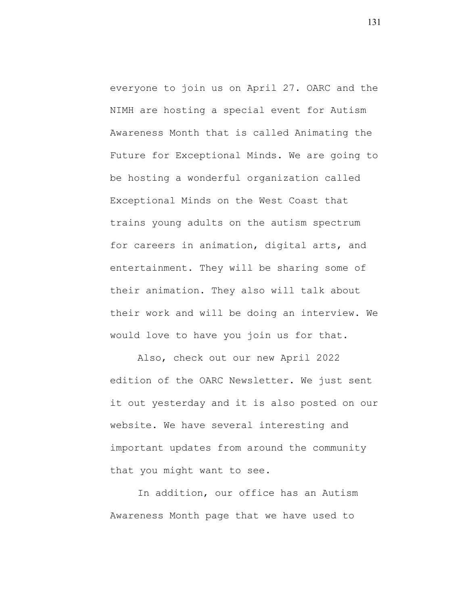everyone to join us on April 27. OARC and the NIMH are hosting a special event for Autism Awareness Month that is called Animating the Future for Exceptional Minds. We are going to be hosting a wonderful organization called Exceptional Minds on the West Coast that trains young adults on the autism spectrum for careers in animation, digital arts, and entertainment. They will be sharing some of their animation. They also will talk about their work and will be doing an interview. We would love to have you join us for that.

Also, check out our new April 2022 edition of the OARC Newsletter. We just sent it out yesterday and it is also posted on our website. We have several interesting and important updates from around the community that you might want to see.

In addition, our office has an Autism Awareness Month page that we have used to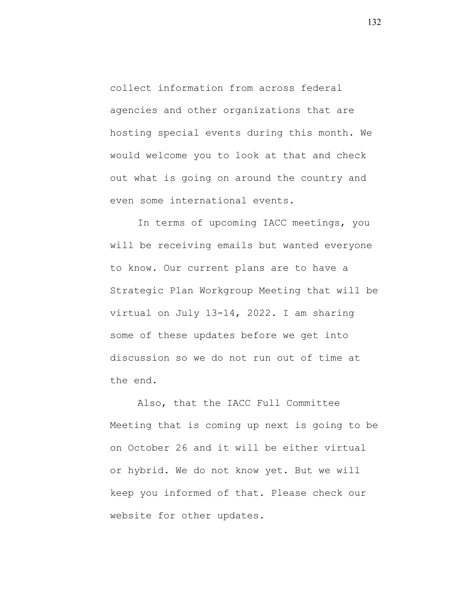collect information from across federal agencies and other organizations that are hosting special events during this month. We would welcome you to look at that and check out what is going on around the country and even some international events.

In terms of upcoming IACC meetings, you will be receiving emails but wanted everyone to know. Our current plans are to have a Strategic Plan Workgroup Meeting that will be virtual on July 13-14, 2022. I am sharing some of these updates before we get into discussion so we do not run out of time at the end.

Also, that the IACC Full Committee Meeting that is coming up next is going to be on October 26 and it will be either virtual or hybrid. We do not know yet. But we will keep you informed of that. Please check our website for other updates.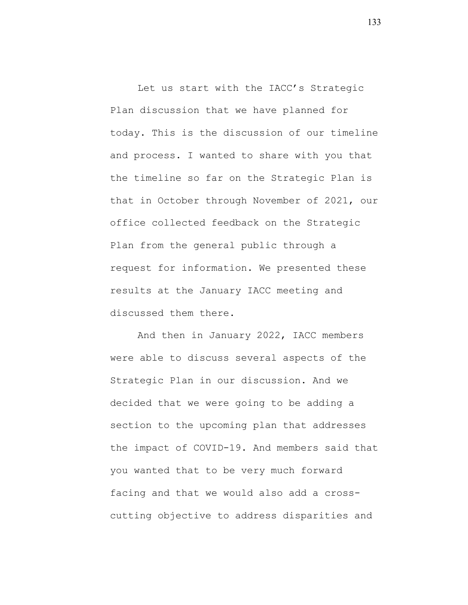Let us start with the IACC's Strategic Plan discussion that we have planned for today. This is the discussion of our timeline and process. I wanted to share with you that the timeline so far on the Strategic Plan is that in October through November of 2021, our office collected feedback on the Strategic Plan from the general public through a request for information. We presented these results at the January IACC meeting and discussed them there.

And then in January 2022, IACC members were able to discuss several aspects of the Strategic Plan in our discussion. And we decided that we were going to be adding a section to the upcoming plan that addresses the impact of COVID-19. And members said that you wanted that to be very much forward facing and that we would also add a crosscutting objective to address disparities and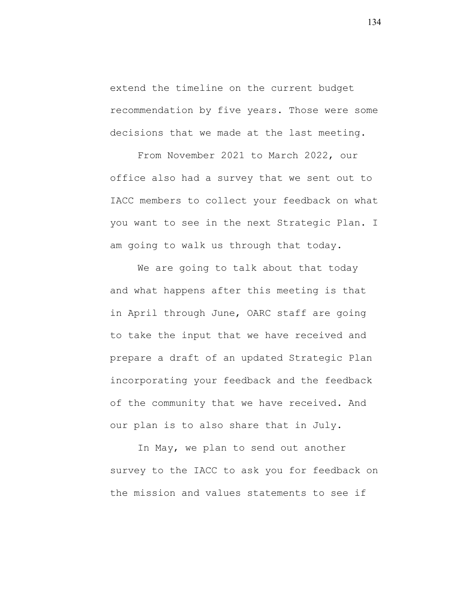extend the timeline on the current budget recommendation by five years. Those were some decisions that we made at the last meeting.

From November 2021 to March 2022, our office also had a survey that we sent out to IACC members to collect your feedback on what you want to see in the next Strategic Plan. I am going to walk us through that today.

We are going to talk about that today and what happens after this meeting is that in April through June, OARC staff are going to take the input that we have received and prepare a draft of an updated Strategic Plan incorporating your feedback and the feedback of the community that we have received. And our plan is to also share that in July.

In May, we plan to send out another survey to the IACC to ask you for feedback on the mission and values statements to see if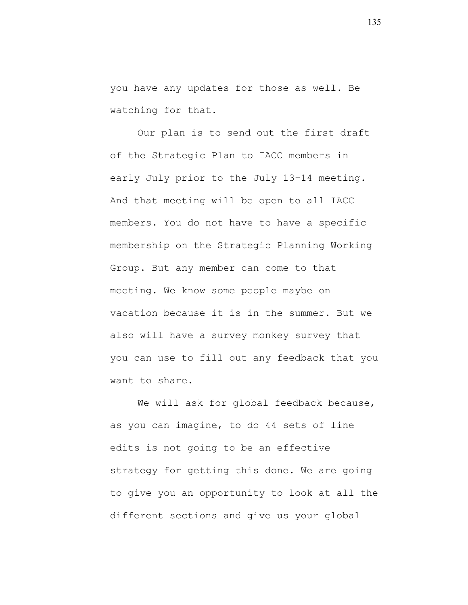you have any updates for those as well. Be watching for that.

Our plan is to send out the first draft of the Strategic Plan to IACC members in early July prior to the July 13-14 meeting. And that meeting will be open to all IACC members. You do not have to have a specific membership on the Strategic Planning Working Group. But any member can come to that meeting. We know some people maybe on vacation because it is in the summer. But we also will have a survey monkey survey that you can use to fill out any feedback that you want to share.

We will ask for global feedback because, as you can imagine, to do 44 sets of line edits is not going to be an effective strategy for getting this done. We are going to give you an opportunity to look at all the different sections and give us your global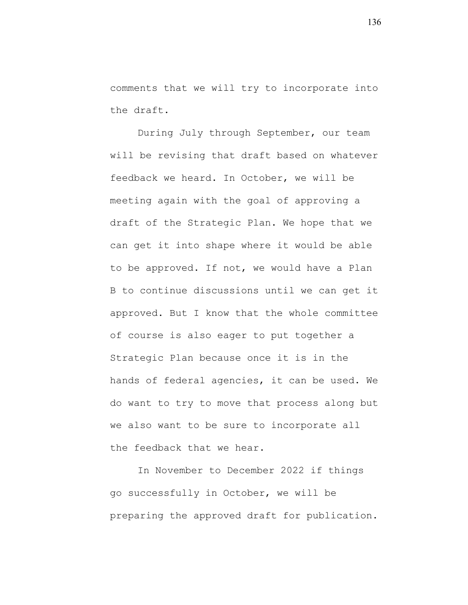comments that we will try to incorporate into the draft.

During July through September, our team will be revising that draft based on whatever feedback we heard. In October, we will be meeting again with the goal of approving a draft of the Strategic Plan. We hope that we can get it into shape where it would be able to be approved. If not, we would have a Plan B to continue discussions until we can get it approved. But I know that the whole committee of course is also eager to put together a Strategic Plan because once it is in the hands of federal agencies, it can be used. We do want to try to move that process along but we also want to be sure to incorporate all the feedback that we hear.

In November to December 2022 if things go successfully in October, we will be preparing the approved draft for publication.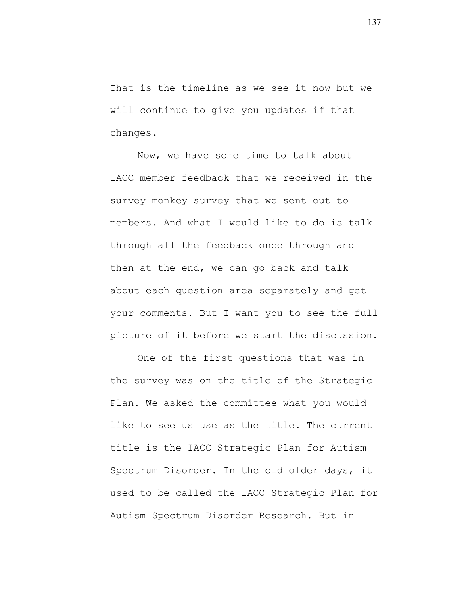That is the timeline as we see it now but we will continue to give you updates if that changes.

Now, we have some time to talk about IACC member feedback that we received in the survey monkey survey that we sent out to members. And what I would like to do is talk through all the feedback once through and then at the end, we can go back and talk about each question area separately and get your comments. But I want you to see the full picture of it before we start the discussion.

One of the first questions that was in the survey was on the title of the Strategic Plan. We asked the committee what you would like to see us use as the title. The current title is the IACC Strategic Plan for Autism Spectrum Disorder. In the old older days, it used to be called the IACC Strategic Plan for Autism Spectrum Disorder Research. But in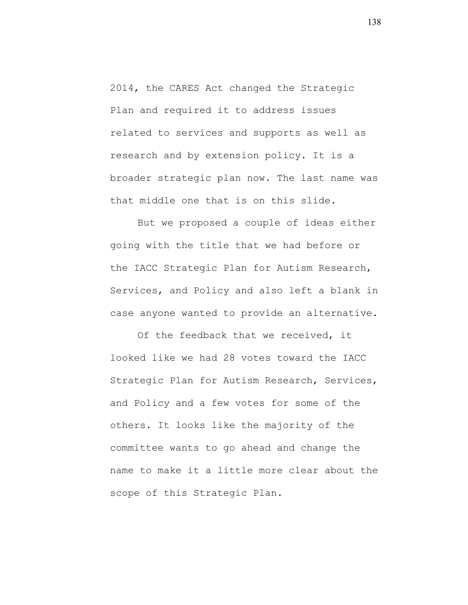2014, the CARES Act changed the Strategic Plan and required it to address issues related to services and supports as well as research and by extension policy. It is a broader strategic plan now. The last name was that middle one that is on this slide.

But we proposed a couple of ideas either going with the title that we had before or the IACC Strategic Plan for Autism Research, Services, and Policy and also left a blank in case anyone wanted to provide an alternative.

Of the feedback that we received, it looked like we had 28 votes toward the IACC Strategic Plan for Autism Research, Services, and Policy and a few votes for some of the others. It looks like the majority of the committee wants to go ahead and change the name to make it a little more clear about the scope of this Strategic Plan.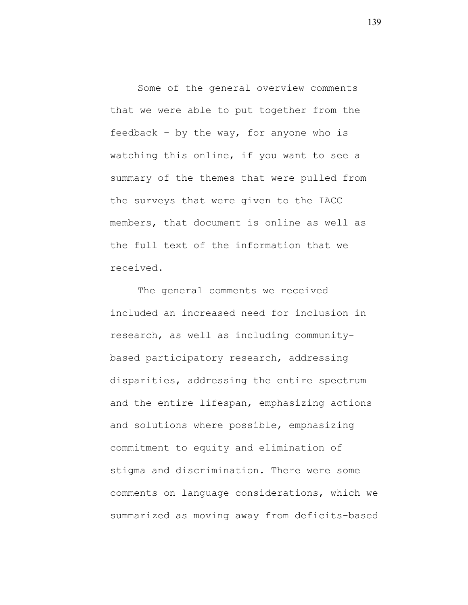Some of the general overview comments that we were able to put together from the feedback – by the way, for anyone who is watching this online, if you want to see a summary of the themes that were pulled from the surveys that were given to the IACC members, that document is online as well as the full text of the information that we received.

The general comments we received included an increased need for inclusion in research, as well as including communitybased participatory research, addressing disparities, addressing the entire spectrum and the entire lifespan, emphasizing actions and solutions where possible, emphasizing commitment to equity and elimination of stigma and discrimination. There were some comments on language considerations, which we summarized as moving away from deficits-based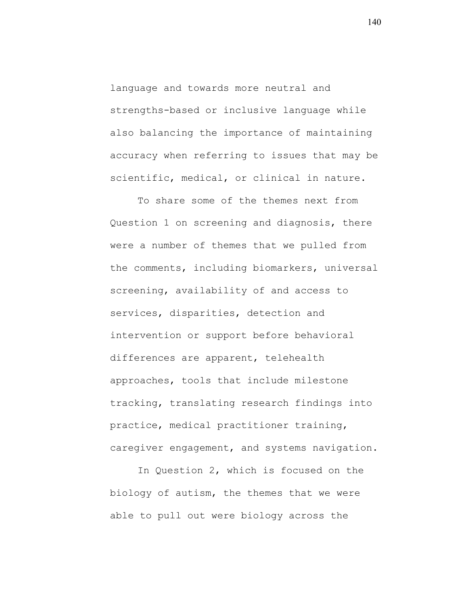language and towards more neutral and strengths-based or inclusive language while also balancing the importance of maintaining accuracy when referring to issues that may be scientific, medical, or clinical in nature.

To share some of the themes next from Question 1 on screening and diagnosis, there were a number of themes that we pulled from the comments, including biomarkers, universal screening, availability of and access to services, disparities, detection and intervention or support before behavioral differences are apparent, telehealth approaches, tools that include milestone tracking, translating research findings into practice, medical practitioner training, caregiver engagement, and systems navigation.

In Question 2, which is focused on the biology of autism, the themes that we were able to pull out were biology across the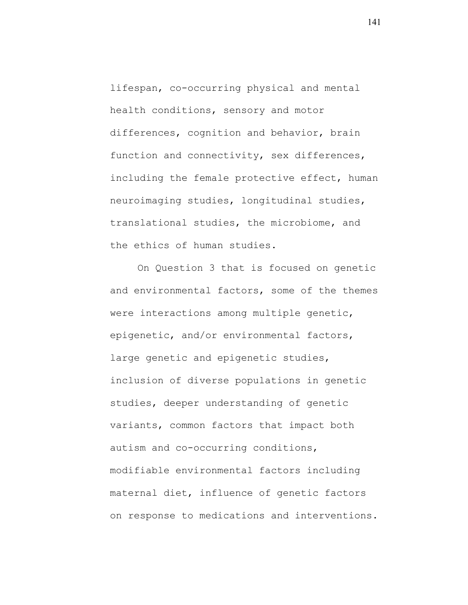lifespan, co-occurring physical and mental health conditions, sensory and motor differences, cognition and behavior, brain function and connectivity, sex differences, including the female protective effect, human neuroimaging studies, longitudinal studies, translational studies, the microbiome, and the ethics of human studies.

On Question 3 that is focused on genetic and environmental factors, some of the themes were interactions among multiple genetic, epigenetic, and/or environmental factors, large genetic and epigenetic studies, inclusion of diverse populations in genetic studies, deeper understanding of genetic variants, common factors that impact both autism and co-occurring conditions, modifiable environmental factors including maternal diet, influence of genetic factors on response to medications and interventions.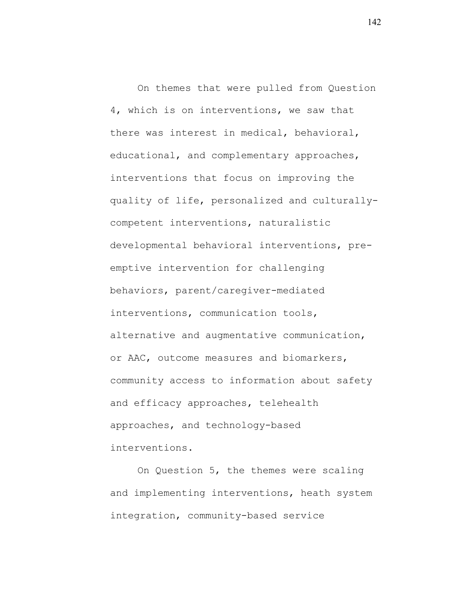On themes that were pulled from Question 4, which is on interventions, we saw that there was interest in medical, behavioral, educational, and complementary approaches, interventions that focus on improving the quality of life, personalized and culturallycompetent interventions, naturalistic developmental behavioral interventions, preemptive intervention for challenging behaviors, parent/caregiver-mediated interventions, communication tools, alternative and augmentative communication, or AAC, outcome measures and biomarkers, community access to information about safety and efficacy approaches, telehealth approaches, and technology-based interventions.

On Question 5, the themes were scaling and implementing interventions, heath system integration, community-based service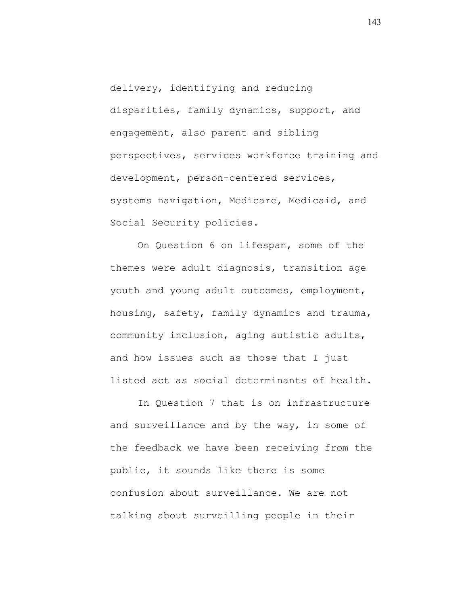delivery, identifying and reducing disparities, family dynamics, support, and engagement, also parent and sibling perspectives, services workforce training and development, person-centered services, systems navigation, Medicare, Medicaid, and Social Security policies.

On Question 6 on lifespan, some of the themes were adult diagnosis, transition age youth and young adult outcomes, employment, housing, safety, family dynamics and trauma, community inclusion, aging autistic adults, and how issues such as those that I just listed act as social determinants of health.

In Question 7 that is on infrastructure and surveillance and by the way, in some of the feedback we have been receiving from the public, it sounds like there is some confusion about surveillance. We are not talking about surveilling people in their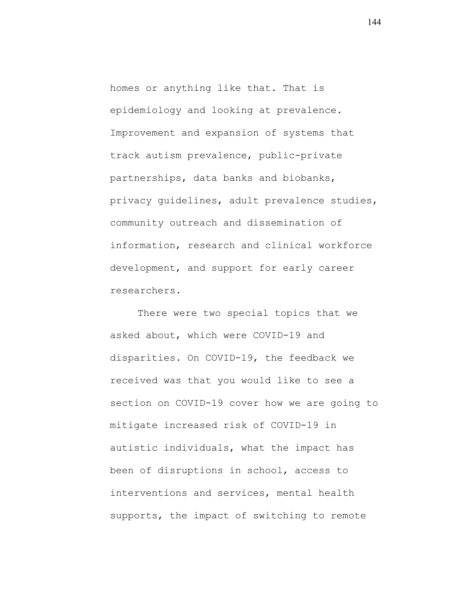homes or anything like that. That is epidemiology and looking at prevalence. Improvement and expansion of systems that track autism prevalence, public-private partnerships, data banks and biobanks, privacy guidelines, adult prevalence studies, community outreach and dissemination of information, research and clinical workforce development, and support for early career researchers.

There were two special topics that we asked about, which were COVID-19 and disparities. On COVID-19, the feedback we received was that you would like to see a section on COVID-19 cover how we are going to mitigate increased risk of COVID-19 in autistic individuals, what the impact has been of disruptions in school, access to interventions and services, mental health supports, the impact of switching to remote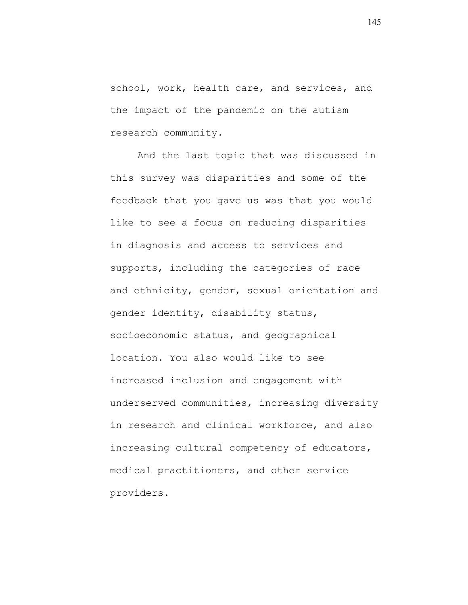school, work, health care, and services, and the impact of the pandemic on the autism research community.

And the last topic that was discussed in this survey was disparities and some of the feedback that you gave us was that you would like to see a focus on reducing disparities in diagnosis and access to services and supports, including the categories of race and ethnicity, gender, sexual orientation and gender identity, disability status, socioeconomic status, and geographical location. You also would like to see increased inclusion and engagement with underserved communities, increasing diversity in research and clinical workforce, and also increasing cultural competency of educators, medical practitioners, and other service providers.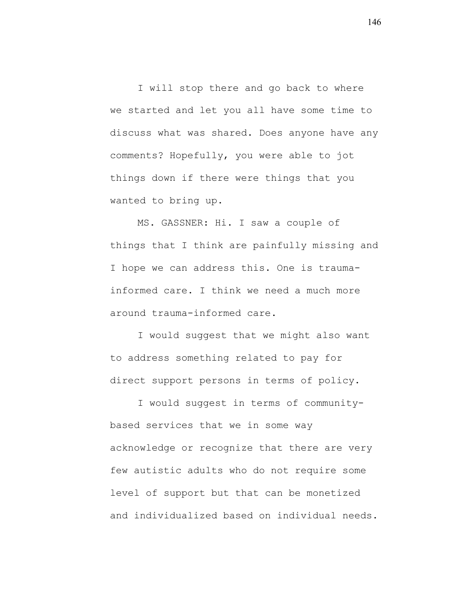I will stop there and go back to where we started and let you all have some time to discuss what was shared. Does anyone have any comments? Hopefully, you were able to jot things down if there were things that you wanted to bring up.

MS. GASSNER: Hi. I saw a couple of things that I think are painfully missing and I hope we can address this. One is traumainformed care. I think we need a much more around trauma-informed care.

I would suggest that we might also want to address something related to pay for direct support persons in terms of policy.

I would suggest in terms of communitybased services that we in some way acknowledge or recognize that there are very few autistic adults who do not require some level of support but that can be monetized and individualized based on individual needs.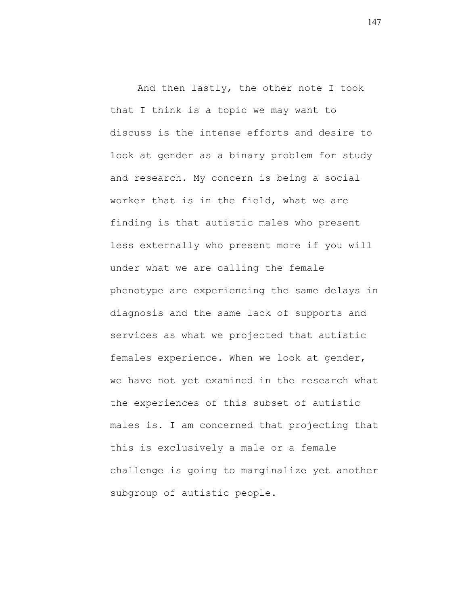And then lastly, the other note I took that I think is a topic we may want to discuss is the intense efforts and desire to look at gender as a binary problem for study and research. My concern is being a social worker that is in the field, what we are finding is that autistic males who present less externally who present more if you will under what we are calling the female phenotype are experiencing the same delays in diagnosis and the same lack of supports and services as what we projected that autistic females experience. When we look at gender, we have not yet examined in the research what the experiences of this subset of autistic males is. I am concerned that projecting that this is exclusively a male or a female challenge is going to marginalize yet another subgroup of autistic people.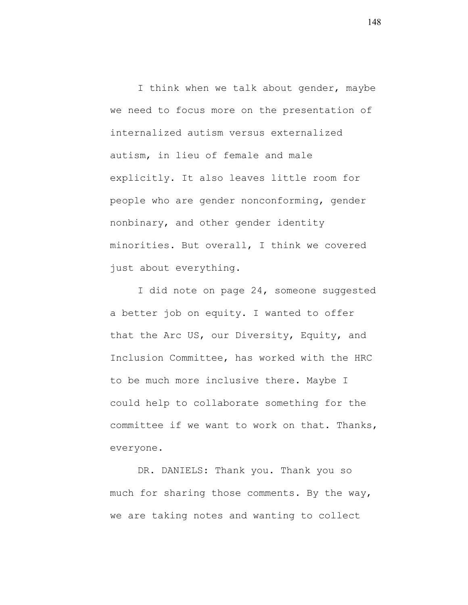I think when we talk about gender, maybe we need to focus more on the presentation of internalized autism versus externalized autism, in lieu of female and male explicitly. It also leaves little room for people who are gender nonconforming, gender nonbinary, and other gender identity minorities. But overall, I think we covered just about everything.

I did note on page 24, someone suggested a better job on equity. I wanted to offer that the Arc US, our Diversity, Equity, and Inclusion Committee, has worked with the HRC to be much more inclusive there. Maybe I could help to collaborate something for the committee if we want to work on that. Thanks, everyone.

DR. DANIELS: Thank you. Thank you so much for sharing those comments. By the way, we are taking notes and wanting to collect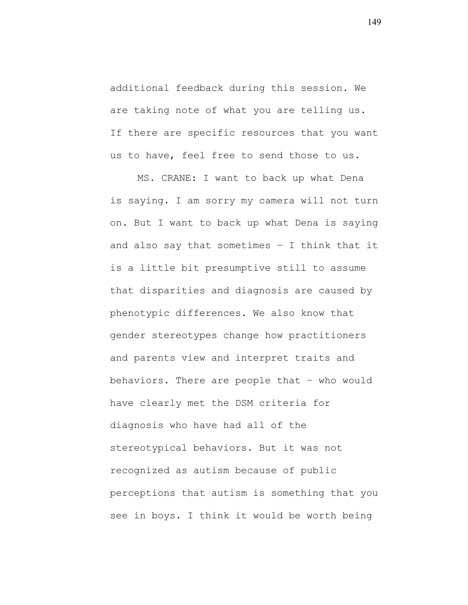additional feedback during this session. We are taking note of what you are telling us. If there are specific resources that you want us to have, feel free to send those to us.

MS. CRANE: I want to back up what Dena is saying. I am sorry my camera will not turn on. But I want to back up what Dena is saying and also say that sometimes – I think that it is a little bit presumptive still to assume that disparities and diagnosis are caused by phenotypic differences. We also know that gender stereotypes change how practitioners and parents view and interpret traits and behaviors. There are people that – who would have clearly met the DSM criteria for diagnosis who have had all of the stereotypical behaviors. But it was not recognized as autism because of public perceptions that autism is something that you see in boys. I think it would be worth being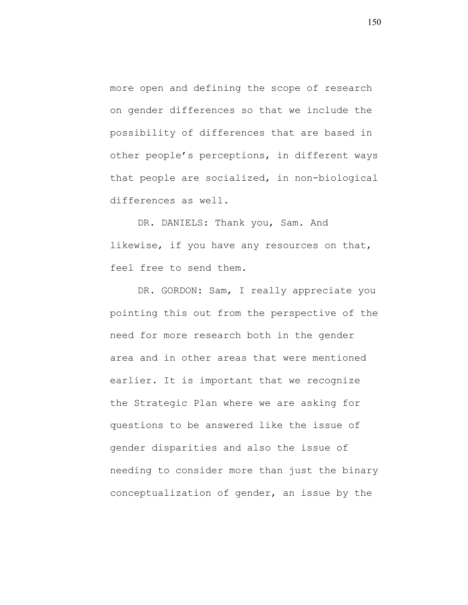more open and defining the scope of research on gender differences so that we include the possibility of differences that are based in other people's perceptions, in different ways that people are socialized, in non-biological differences as well.

DR. DANIELS: Thank you, Sam. And likewise, if you have any resources on that, feel free to send them.

DR. GORDON: Sam, I really appreciate you pointing this out from the perspective of the need for more research both in the gender area and in other areas that were mentioned earlier. It is important that we recognize the Strategic Plan where we are asking for questions to be answered like the issue of gender disparities and also the issue of needing to consider more than just the binary conceptualization of gender, an issue by the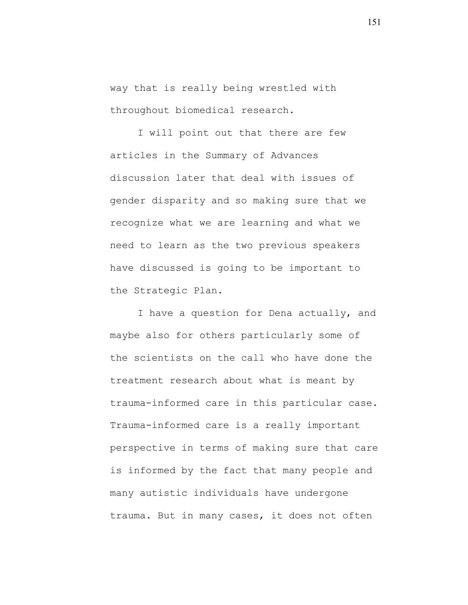way that is really being wrestled with throughout biomedical research.

I will point out that there are few articles in the Summary of Advances discussion later that deal with issues of gender disparity and so making sure that we recognize what we are learning and what we need to learn as the two previous speakers have discussed is going to be important to the Strategic Plan.

I have a question for Dena actually, and maybe also for others particularly some of the scientists on the call who have done the treatment research about what is meant by trauma-informed care in this particular case. Trauma-informed care is a really important perspective in terms of making sure that care is informed by the fact that many people and many autistic individuals have undergone trauma. But in many cases, it does not often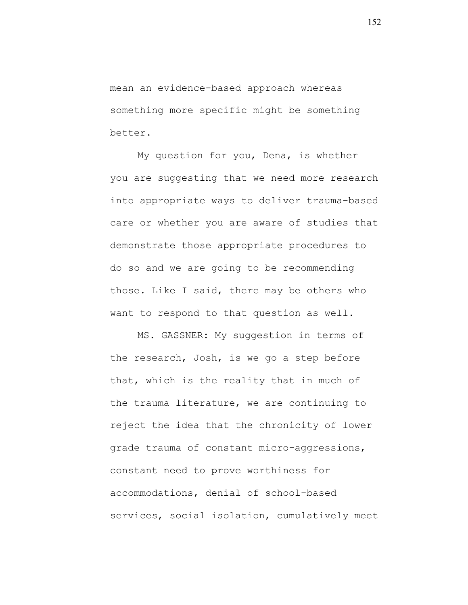mean an evidence-based approach whereas something more specific might be something better.

My question for you, Dena, is whether you are suggesting that we need more research into appropriate ways to deliver trauma-based care or whether you are aware of studies that demonstrate those appropriate procedures to do so and we are going to be recommending those. Like I said, there may be others who want to respond to that question as well.

MS. GASSNER: My suggestion in terms of the research, Josh, is we go a step before that, which is the reality that in much of the trauma literature, we are continuing to reject the idea that the chronicity of lower grade trauma of constant micro-aggressions, constant need to prove worthiness for accommodations, denial of school-based services, social isolation, cumulatively meet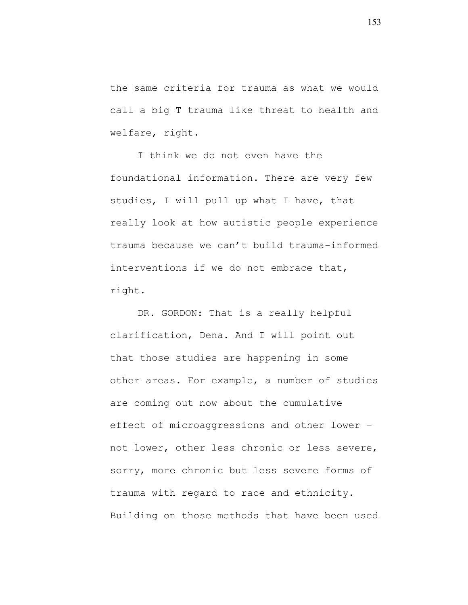the same criteria for trauma as what we would call a big T trauma like threat to health and welfare, right.

I think we do not even have the foundational information. There are very few studies, I will pull up what I have, that really look at how autistic people experience trauma because we can't build trauma-informed interventions if we do not embrace that, right.

DR. GORDON: That is a really helpful clarification, Dena. And I will point out that those studies are happening in some other areas. For example, a number of studies are coming out now about the cumulative effect of microaggressions and other lower – not lower, other less chronic or less severe, sorry, more chronic but less severe forms of trauma with regard to race and ethnicity. Building on those methods that have been used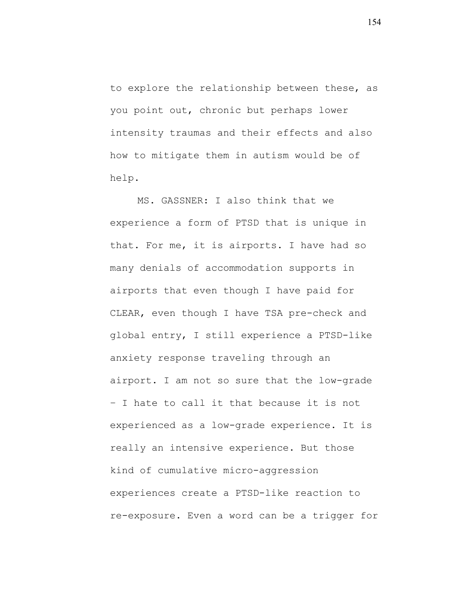to explore the relationship between these, as you point out, chronic but perhaps lower intensity traumas and their effects and also how to mitigate them in autism would be of help.

MS. GASSNER: I also think that we experience a form of PTSD that is unique in that. For me, it is airports. I have had so many denials of accommodation supports in airports that even though I have paid for CLEAR, even though I have TSA pre-check and global entry, I still experience a PTSD-like anxiety response traveling through an airport. I am not so sure that the low-grade – I hate to call it that because it is not experienced as a low-grade experience. It is really an intensive experience. But those kind of cumulative micro-aggression experiences create a PTSD-like reaction to re-exposure. Even a word can be a trigger for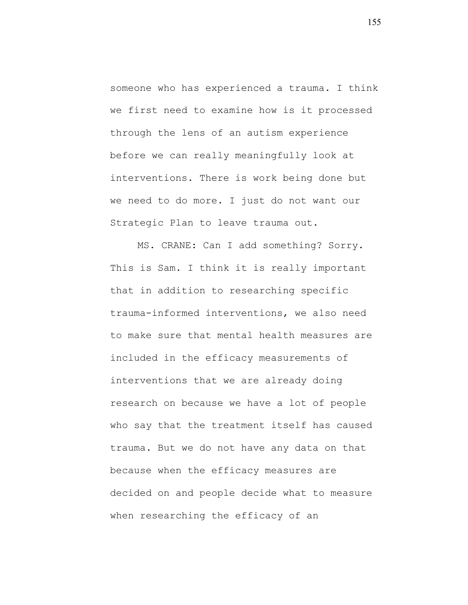someone who has experienced a trauma. I think we first need to examine how is it processed through the lens of an autism experience before we can really meaningfully look at interventions. There is work being done but we need to do more. I just do not want our Strategic Plan to leave trauma out.

MS. CRANE: Can I add something? Sorry. This is Sam. I think it is really important that in addition to researching specific trauma-informed interventions, we also need to make sure that mental health measures are included in the efficacy measurements of interventions that we are already doing research on because we have a lot of people who say that the treatment itself has caused trauma. But we do not have any data on that because when the efficacy measures are decided on and people decide what to measure when researching the efficacy of an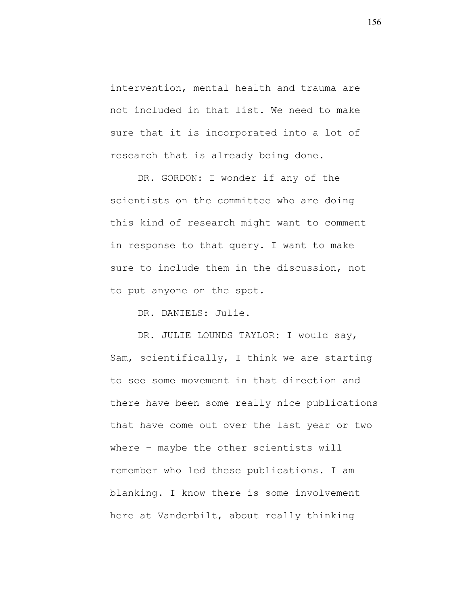intervention, mental health and trauma are not included in that list. We need to make sure that it is incorporated into a lot of research that is already being done.

DR. GORDON: I wonder if any of the scientists on the committee who are doing this kind of research might want to comment in response to that query. I want to make sure to include them in the discussion, not to put anyone on the spot.

DR. DANIELS: Julie.

DR. JULIE LOUNDS TAYLOR: I would say, Sam, scientifically, I think we are starting to see some movement in that direction and there have been some really nice publications that have come out over the last year or two where – maybe the other scientists will remember who led these publications. I am blanking. I know there is some involvement here at Vanderbilt, about really thinking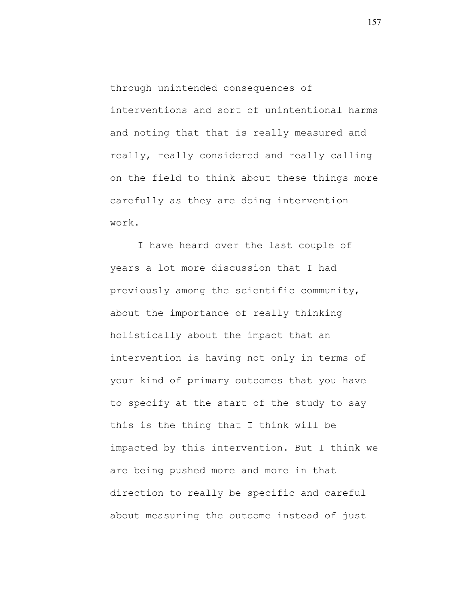through unintended consequences of interventions and sort of unintentional harms and noting that that is really measured and really, really considered and really calling on the field to think about these things more carefully as they are doing intervention work.

I have heard over the last couple of years a lot more discussion that I had previously among the scientific community, about the importance of really thinking holistically about the impact that an intervention is having not only in terms of your kind of primary outcomes that you have to specify at the start of the study to say this is the thing that I think will be impacted by this intervention. But I think we are being pushed more and more in that direction to really be specific and careful about measuring the outcome instead of just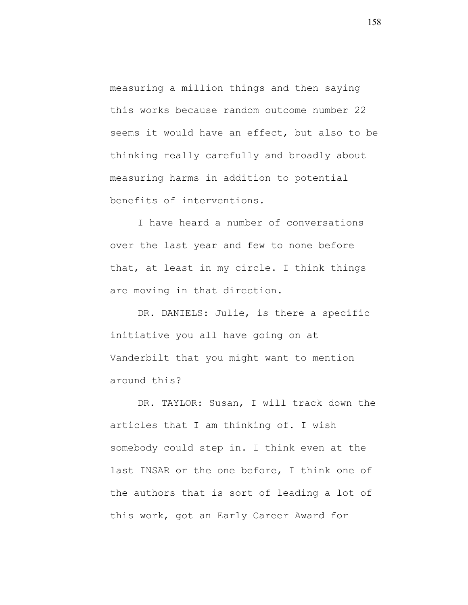measuring a million things and then saying this works because random outcome number 22 seems it would have an effect, but also to be thinking really carefully and broadly about measuring harms in addition to potential benefits of interventions.

I have heard a number of conversations over the last year and few to none before that, at least in my circle. I think things are moving in that direction.

DR. DANIELS: Julie, is there a specific initiative you all have going on at Vanderbilt that you might want to mention around this?

DR. TAYLOR: Susan, I will track down the articles that I am thinking of. I wish somebody could step in. I think even at the last INSAR or the one before, I think one of the authors that is sort of leading a lot of this work, got an Early Career Award for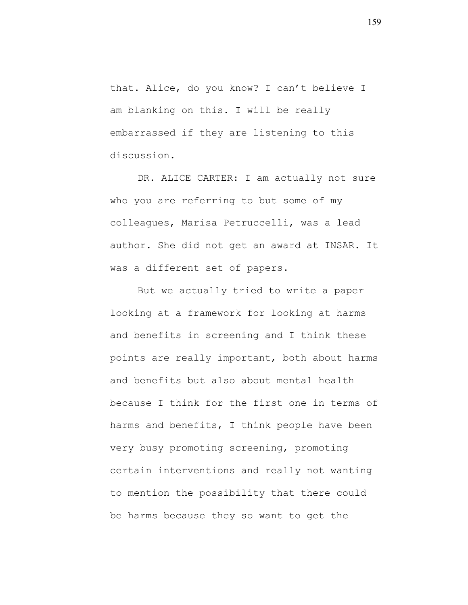that. Alice, do you know? I can't believe I am blanking on this. I will be really embarrassed if they are listening to this discussion.

DR. ALICE CARTER: I am actually not sure who you are referring to but some of my colleagues, Marisa Petruccelli, was a lead author. She did not get an award at INSAR. It was a different set of papers.

But we actually tried to write a paper looking at a framework for looking at harms and benefits in screening and I think these points are really important, both about harms and benefits but also about mental health because I think for the first one in terms of harms and benefits, I think people have been very busy promoting screening, promoting certain interventions and really not wanting to mention the possibility that there could be harms because they so want to get the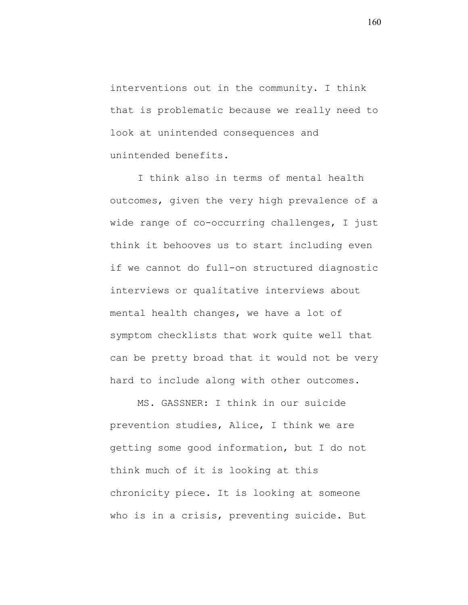interventions out in the community. I think that is problematic because we really need to look at unintended consequences and unintended benefits.

I think also in terms of mental health outcomes, given the very high prevalence of a wide range of co-occurring challenges, I just think it behooves us to start including even if we cannot do full-on structured diagnostic interviews or qualitative interviews about mental health changes, we have a lot of symptom checklists that work quite well that can be pretty broad that it would not be very hard to include along with other outcomes.

MS. GASSNER: I think in our suicide prevention studies, Alice, I think we are getting some good information, but I do not think much of it is looking at this chronicity piece. It is looking at someone who is in a crisis, preventing suicide. But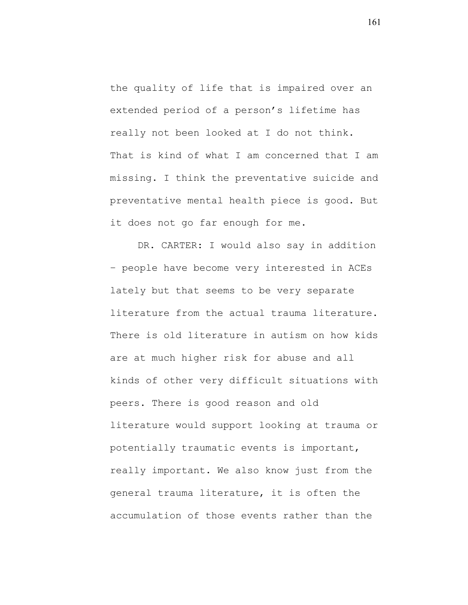the quality of life that is impaired over an extended period of a person's lifetime has really not been looked at I do not think. That is kind of what I am concerned that I am missing. I think the preventative suicide and preventative mental health piece is good. But it does not go far enough for me.

DR. CARTER: I would also say in addition – people have become very interested in ACEs lately but that seems to be very separate literature from the actual trauma literature. There is old literature in autism on how kids are at much higher risk for abuse and all kinds of other very difficult situations with peers. There is good reason and old literature would support looking at trauma or potentially traumatic events is important, really important. We also know just from the general trauma literature, it is often the accumulation of those events rather than the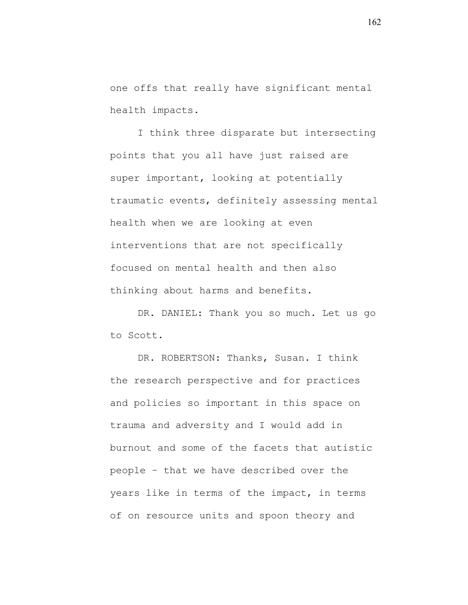one offs that really have significant mental health impacts.

I think three disparate but intersecting points that you all have just raised are super important, looking at potentially traumatic events, definitely assessing mental health when we are looking at even interventions that are not specifically focused on mental health and then also thinking about harms and benefits.

DR. DANIEL: Thank you so much. Let us go to Scott.

DR. ROBERTSON: Thanks, Susan. I think the research perspective and for practices and policies so important in this space on trauma and adversity and I would add in burnout and some of the facets that autistic people – that we have described over the years like in terms of the impact, in terms of on resource units and spoon theory and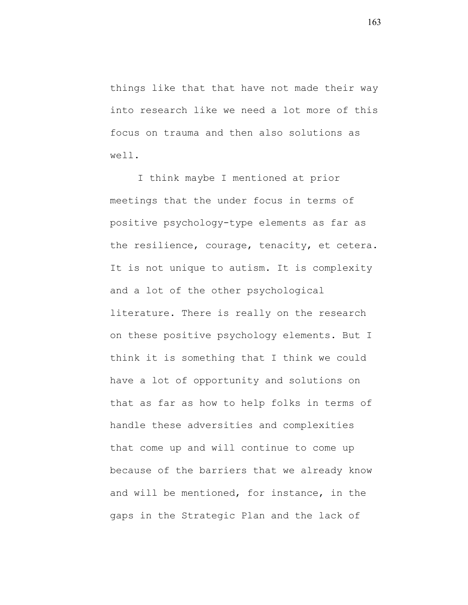things like that that have not made their way into research like we need a lot more of this focus on trauma and then also solutions as well.

I think maybe I mentioned at prior meetings that the under focus in terms of positive psychology-type elements as far as the resilience, courage, tenacity, et cetera. It is not unique to autism. It is complexity and a lot of the other psychological literature. There is really on the research on these positive psychology elements. But I think it is something that I think we could have a lot of opportunity and solutions on that as far as how to help folks in terms of handle these adversities and complexities that come up and will continue to come up because of the barriers that we already know and will be mentioned, for instance, in the gaps in the Strategic Plan and the lack of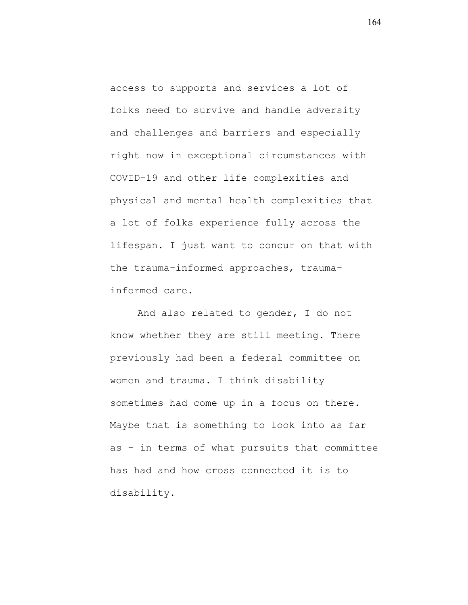access to supports and services a lot of folks need to survive and handle adversity and challenges and barriers and especially right now in exceptional circumstances with COVID-19 and other life complexities and physical and mental health complexities that a lot of folks experience fully across the lifespan. I just want to concur on that with the trauma-informed approaches, traumainformed care.

And also related to gender, I do not know whether they are still meeting. There previously had been a federal committee on women and trauma. I think disability sometimes had come up in a focus on there. Maybe that is something to look into as far as – in terms of what pursuits that committee has had and how cross connected it is to disability.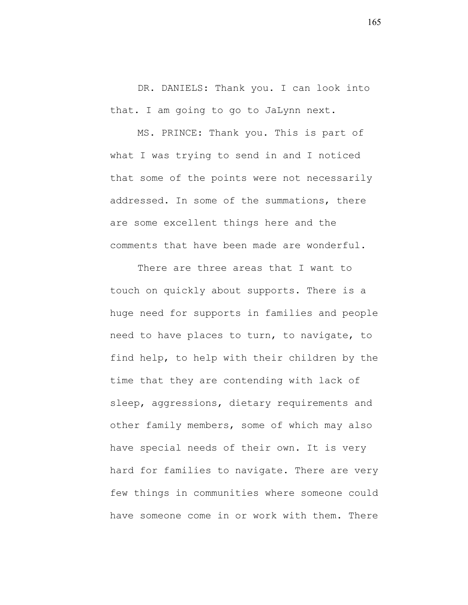DR. DANIELS: Thank you. I can look into that. I am going to go to JaLynn next.

MS. PRINCE: Thank you. This is part of what I was trying to send in and I noticed that some of the points were not necessarily addressed. In some of the summations, there are some excellent things here and the comments that have been made are wonderful.

There are three areas that I want to touch on quickly about supports. There is a huge need for supports in families and people need to have places to turn, to navigate, to find help, to help with their children by the time that they are contending with lack of sleep, aggressions, dietary requirements and other family members, some of which may also have special needs of their own. It is very hard for families to navigate. There are very few things in communities where someone could have someone come in or work with them. There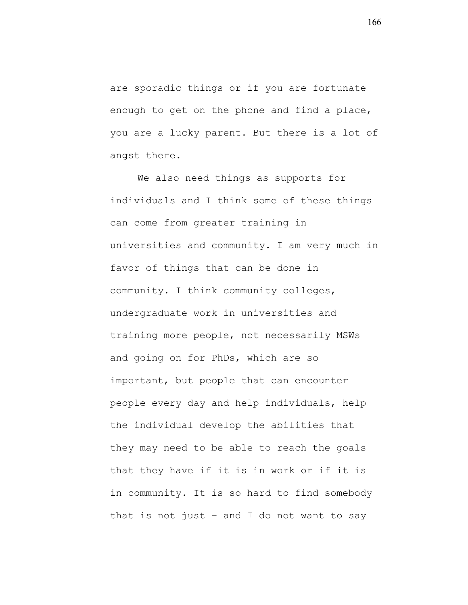are sporadic things or if you are fortunate enough to get on the phone and find a place, you are a lucky parent. But there is a lot of angst there.

We also need things as supports for individuals and I think some of these things can come from greater training in universities and community. I am very much in favor of things that can be done in community. I think community colleges, undergraduate work in universities and training more people, not necessarily MSWs and going on for PhDs, which are so important, but people that can encounter people every day and help individuals, help the individual develop the abilities that they may need to be able to reach the goals that they have if it is in work or if it is in community. It is so hard to find somebody that is not just – and I do not want to say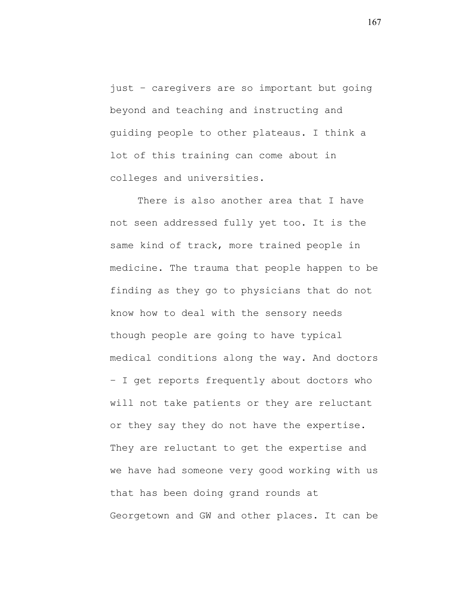just – caregivers are so important but going beyond and teaching and instructing and guiding people to other plateaus. I think a lot of this training can come about in colleges and universities.

There is also another area that I have not seen addressed fully yet too. It is the same kind of track, more trained people in medicine. The trauma that people happen to be finding as they go to physicians that do not know how to deal with the sensory needs though people are going to have typical medical conditions along the way. And doctors – I get reports frequently about doctors who will not take patients or they are reluctant or they say they do not have the expertise. They are reluctant to get the expertise and we have had someone very good working with us that has been doing grand rounds at Georgetown and GW and other places. It can be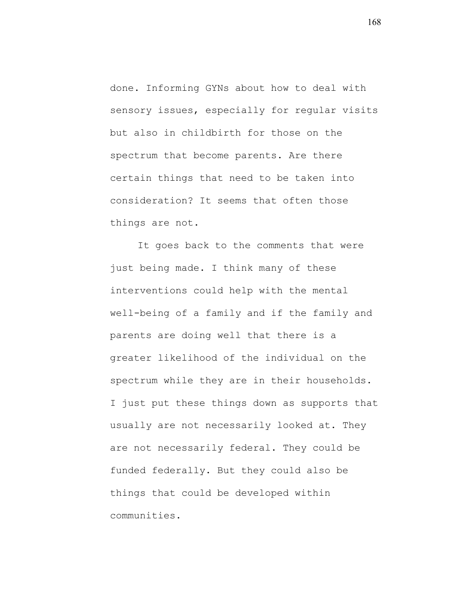done. Informing GYNs about how to deal with sensory issues, especially for reqular visits but also in childbirth for those on the spectrum that become parents. Are there certain things that need to be taken into consideration? It seems that often those things are not.

It goes back to the comments that were just being made. I think many of these interventions could help with the mental well-being of a family and if the family and parents are doing well that there is a greater likelihood of the individual on the spectrum while they are in their households. I just put these things down as supports that usually are not necessarily looked at. They are not necessarily federal. They could be funded federally. But they could also be things that could be developed within communities.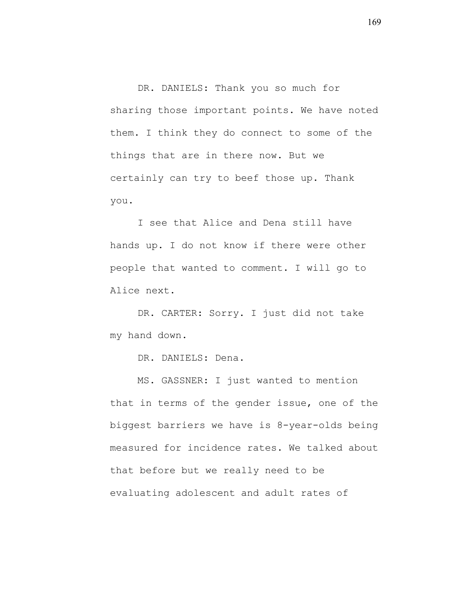DR. DANIELS: Thank you so much for sharing those important points. We have noted them. I think they do connect to some of the things that are in there now. But we certainly can try to beef those up. Thank you.

I see that Alice and Dena still have hands up. I do not know if there were other people that wanted to comment. I will go to Alice next.

DR. CARTER: Sorry. I just did not take my hand down.

DR. DANIELS: Dena.

MS. GASSNER: I just wanted to mention that in terms of the gender issue, one of the biggest barriers we have is 8-year-olds being measured for incidence rates. We talked about that before but we really need to be evaluating adolescent and adult rates of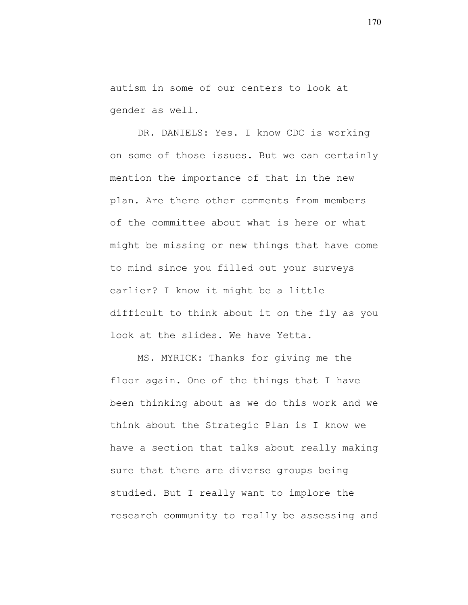autism in some of our centers to look at gender as well.

DR. DANIELS: Yes. I know CDC is working on some of those issues. But we can certainly mention the importance of that in the new plan. Are there other comments from members of the committee about what is here or what might be missing or new things that have come to mind since you filled out your surveys earlier? I know it might be a little difficult to think about it on the fly as you look at the slides. We have Yetta.

MS. MYRICK: Thanks for giving me the floor again. One of the things that I have been thinking about as we do this work and we think about the Strategic Plan is I know we have a section that talks about really making sure that there are diverse groups being studied. But I really want to implore the research community to really be assessing and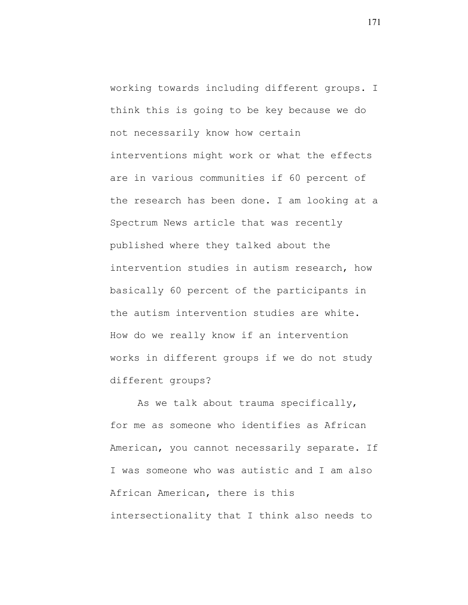working towards including different groups. I think this is going to be key because we do not necessarily know how certain interventions might work or what the effects are in various communities if 60 percent of the research has been done. I am looking at a Spectrum News article that was recently published where they talked about the intervention studies in autism research, how basically 60 percent of the participants in the autism intervention studies are white. How do we really know if an intervention works in different groups if we do not study different groups?

As we talk about trauma specifically, for me as someone who identifies as African American, you cannot necessarily separate. If I was someone who was autistic and I am also African American, there is this intersectionality that I think also needs to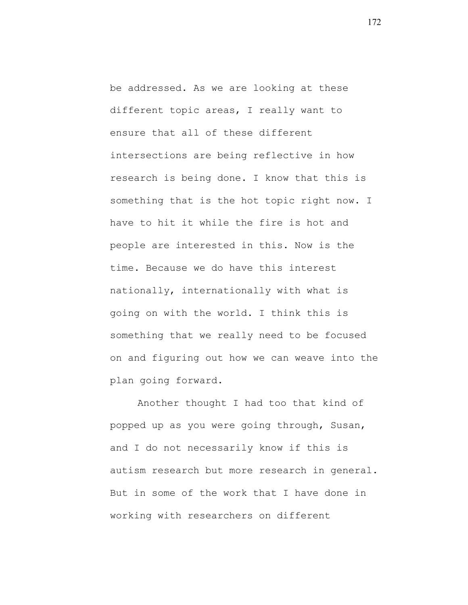be addressed. As we are looking at these different topic areas, I really want to ensure that all of these different intersections are being reflective in how research is being done. I know that this is something that is the hot topic right now. I have to hit it while the fire is hot and people are interested in this. Now is the time. Because we do have this interest nationally, internationally with what is going on with the world. I think this is something that we really need to be focused on and figuring out how we can weave into the plan going forward.

Another thought I had too that kind of popped up as you were going through, Susan, and I do not necessarily know if this is autism research but more research in general. But in some of the work that I have done in working with researchers on different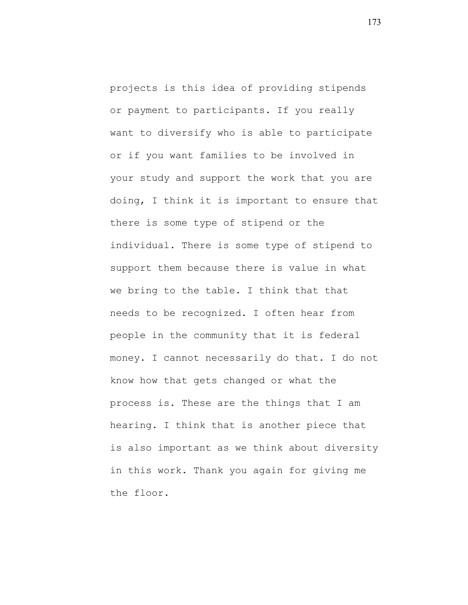projects is this idea of providing stipends or payment to participants. If you really want to diversify who is able to participate or if you want families to be involved in your study and support the work that you are doing, I think it is important to ensure that there is some type of stipend or the individual. There is some type of stipend to support them because there is value in what we bring to the table. I think that that needs to be recognized. I often hear from people in the community that it is federal money. I cannot necessarily do that. I do not know how that gets changed or what the process is. These are the things that I am hearing. I think that is another piece that is also important as we think about diversity in this work. Thank you again for giving me the floor.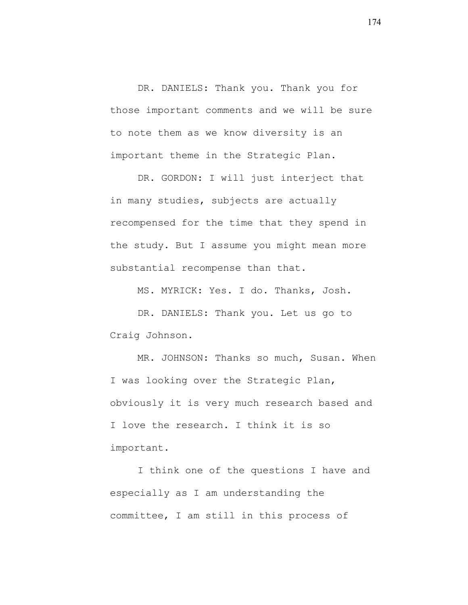DR. DANIELS: Thank you. Thank you for those important comments and we will be sure to note them as we know diversity is an important theme in the Strategic Plan.

DR. GORDON: I will just interject that in many studies, subjects are actually recompensed for the time that they spend in the study. But I assume you might mean more substantial recompense than that.

MS. MYRICK: Yes. I do. Thanks, Josh.

DR. DANIELS: Thank you. Let us go to Craig Johnson.

MR. JOHNSON: Thanks so much, Susan. When I was looking over the Strategic Plan, obviously it is very much research based and I love the research. I think it is so important.

I think one of the questions I have and especially as I am understanding the committee, I am still in this process of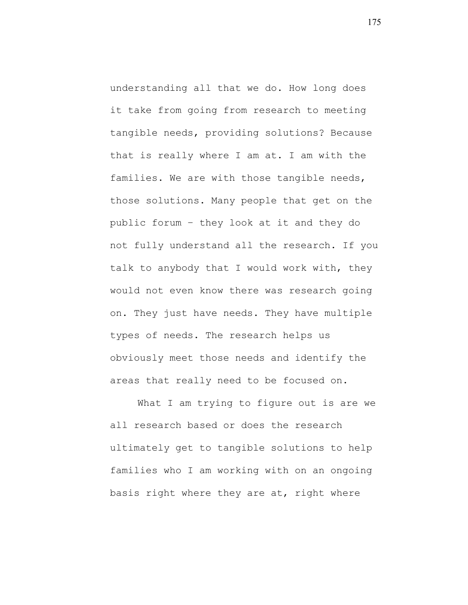understanding all that we do. How long does it take from going from research to meeting tangible needs, providing solutions? Because that is really where I am at. I am with the families. We are with those tangible needs, those solutions. Many people that get on the public forum – they look at it and they do not fully understand all the research. If you talk to anybody that I would work with, they would not even know there was research going on. They just have needs. They have multiple types of needs. The research helps us obviously meet those needs and identify the areas that really need to be focused on.

What I am trying to figure out is are we all research based or does the research ultimately get to tangible solutions to help families who I am working with on an ongoing basis right where they are at, right where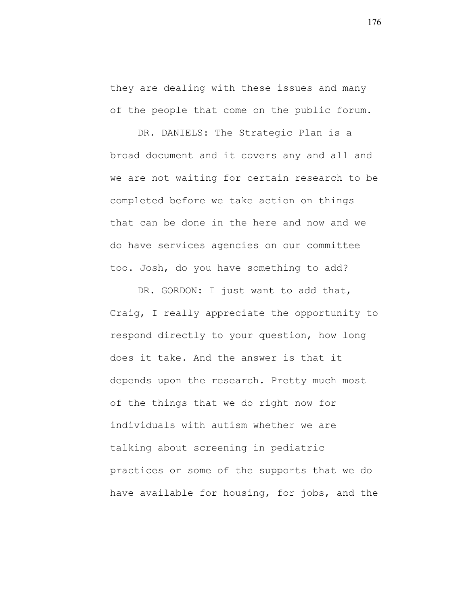they are dealing with these issues and many of the people that come on the public forum.

DR. DANIELS: The Strategic Plan is a broad document and it covers any and all and we are not waiting for certain research to be completed before we take action on things that can be done in the here and now and we do have services agencies on our committee too. Josh, do you have something to add?

DR. GORDON: I just want to add that, Craig, I really appreciate the opportunity to respond directly to your question, how long does it take. And the answer is that it depends upon the research. Pretty much most of the things that we do right now for individuals with autism whether we are talking about screening in pediatric practices or some of the supports that we do have available for housing, for jobs, and the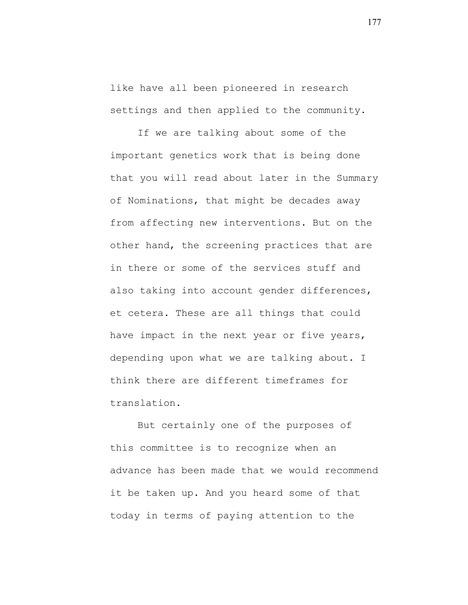like have all been pioneered in research settings and then applied to the community.

If we are talking about some of the important genetics work that is being done that you will read about later in the Summary of Nominations, that might be decades away from affecting new interventions. But on the other hand, the screening practices that are in there or some of the services stuff and also taking into account gender differences, et cetera. These are all things that could have impact in the next year or five years, depending upon what we are talking about. I think there are different timeframes for translation.

But certainly one of the purposes of this committee is to recognize when an advance has been made that we would recommend it be taken up. And you heard some of that today in terms of paying attention to the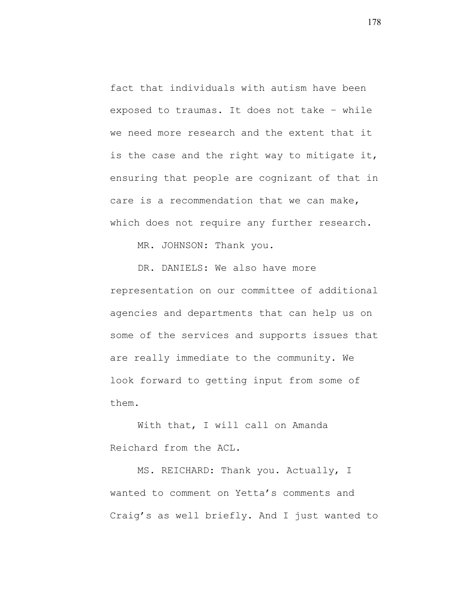fact that individuals with autism have been exposed to traumas. It does not take – while we need more research and the extent that it is the case and the right way to mitigate it, ensuring that people are cognizant of that in care is a recommendation that we can make, which does not require any further research.

MR. JOHNSON: Thank you.

DR. DANIELS: We also have more representation on our committee of additional agencies and departments that can help us on some of the services and supports issues that are really immediate to the community. We look forward to getting input from some of them.

With that, I will call on Amanda Reichard from the ACL.

MS. REICHARD: Thank you. Actually, I wanted to comment on Yetta's comments and Craig's as well briefly. And I just wanted to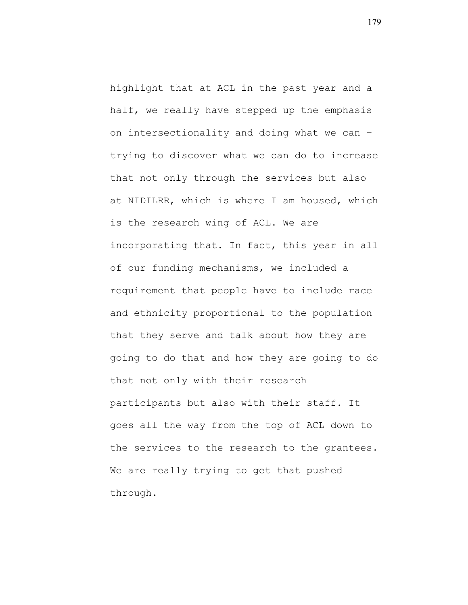highlight that at ACL in the past year and a half, we really have stepped up the emphasis on intersectionality and doing what we can – trying to discover what we can do to increase that not only through the services but also at NIDILRR, which is where I am housed, which is the research wing of ACL. We are incorporating that. In fact, this year in all of our funding mechanisms, we included a requirement that people have to include race and ethnicity proportional to the population that they serve and talk about how they are going to do that and how they are going to do that not only with their research participants but also with their staff. It goes all the way from the top of ACL down to the services to the research to the grantees. We are really trying to get that pushed through.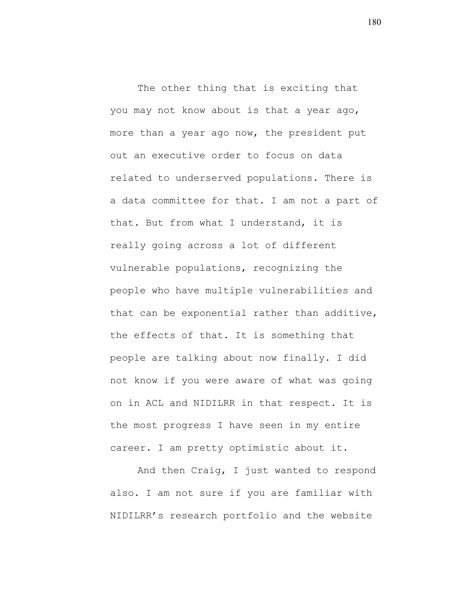The other thing that is exciting that you may not know about is that a year ago, more than a year ago now, the president put out an executive order to focus on data related to underserved populations. There is a data committee for that. I am not a part of that. But from what I understand, it is really going across a lot of different vulnerable populations, recognizing the people who have multiple vulnerabilities and that can be exponential rather than additive, the effects of that. It is something that people are talking about now finally. I did not know if you were aware of what was going on in ACL and NIDILRR in that respect. It is the most progress I have seen in my entire career. I am pretty optimistic about it.

And then Craig, I just wanted to respond also. I am not sure if you are familiar with NIDILRR's research portfolio and the website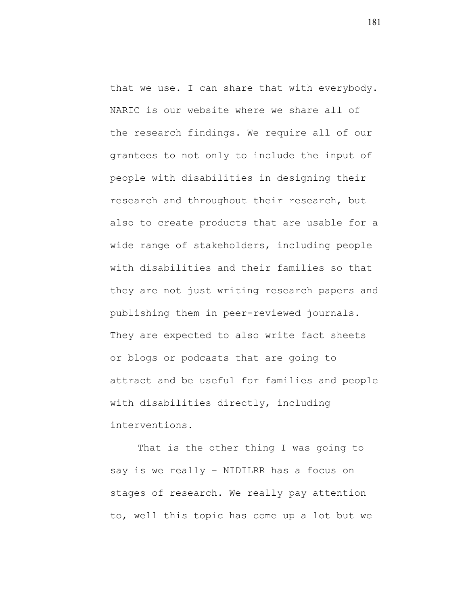that we use. I can share that with everybody. NARIC is our website where we share all of the research findings. We require all of our grantees to not only to include the input of people with disabilities in designing their research and throughout their research, but also to create products that are usable for a wide range of stakeholders, including people with disabilities and their families so that they are not just writing research papers and publishing them in peer-reviewed journals. They are expected to also write fact sheets or blogs or podcasts that are going to attract and be useful for families and people with disabilities directly, including interventions.

That is the other thing I was going to say is we really – NIDILRR has a focus on stages of research. We really pay attention to, well this topic has come up a lot but we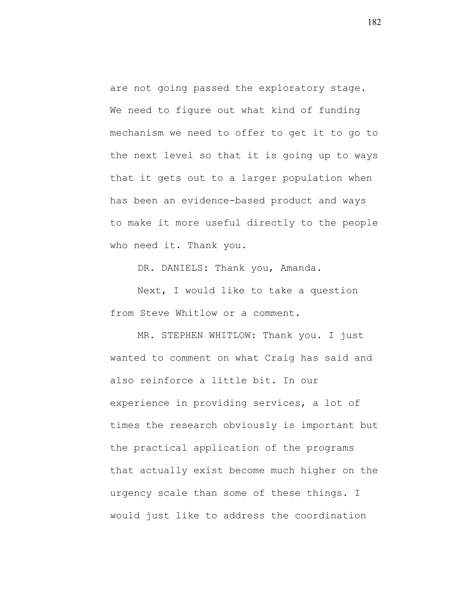are not going passed the exploratory stage. We need to figure out what kind of funding mechanism we need to offer to get it to go to the next level so that it is going up to ways that it gets out to a larger population when has been an evidence-based product and ways to make it more useful directly to the people who need it. Thank you.

DR. DANIELS: Thank you, Amanda.

Next, I would like to take a question from Steve Whitlow or a comment.

MR. STEPHEN WHITLOW: Thank you. I just wanted to comment on what Craig has said and also reinforce a little bit. In our experience in providing services, a lot of times the research obviously is important but the practical application of the programs that actually exist become much higher on the urgency scale than some of these things. I would just like to address the coordination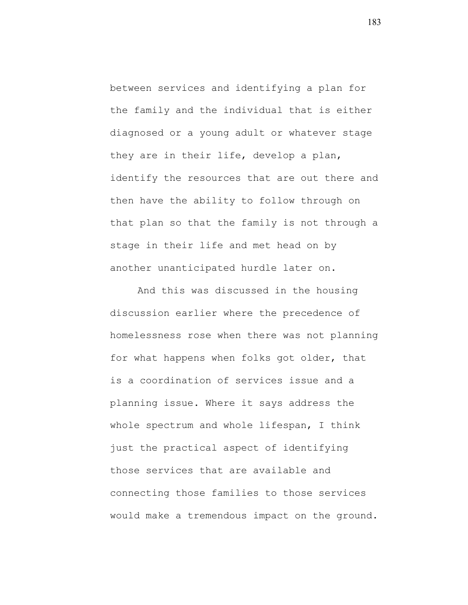between services and identifying a plan for the family and the individual that is either diagnosed or a young adult or whatever stage they are in their life, develop a plan, identify the resources that are out there and then have the ability to follow through on that plan so that the family is not through a stage in their life and met head on by another unanticipated hurdle later on.

And this was discussed in the housing discussion earlier where the precedence of homelessness rose when there was not planning for what happens when folks got older, that is a coordination of services issue and a planning issue. Where it says address the whole spectrum and whole lifespan, I think just the practical aspect of identifying those services that are available and connecting those families to those services would make a tremendous impact on the ground.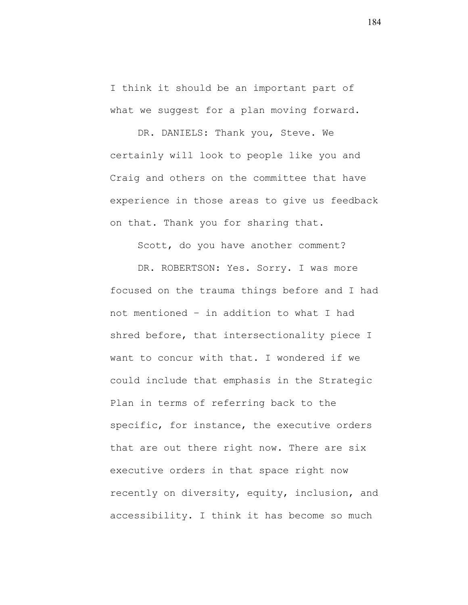I think it should be an important part of what we suggest for a plan moving forward.

DR. DANIELS: Thank you, Steve. We certainly will look to people like you and Craig and others on the committee that have experience in those areas to give us feedback on that. Thank you for sharing that.

Scott, do you have another comment?

DR. ROBERTSON: Yes. Sorry. I was more focused on the trauma things before and I had not mentioned – in addition to what I had shred before, that intersectionality piece I want to concur with that. I wondered if we could include that emphasis in the Strategic Plan in terms of referring back to the specific, for instance, the executive orders that are out there right now. There are six executive orders in that space right now recently on diversity, equity, inclusion, and accessibility. I think it has become so much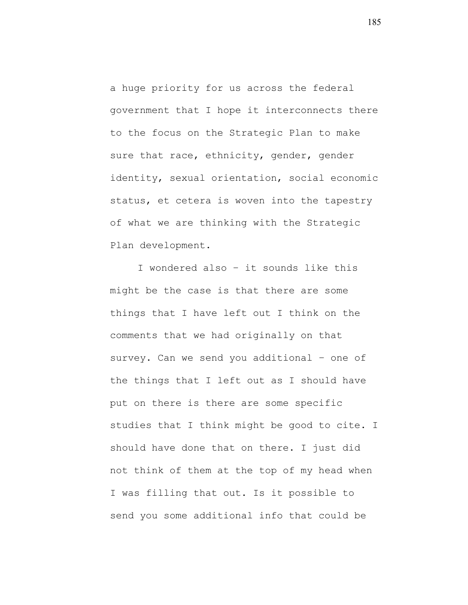a huge priority for us across the federal government that I hope it interconnects there to the focus on the Strategic Plan to make sure that race, ethnicity, gender, gender identity, sexual orientation, social economic status, et cetera is woven into the tapestry of what we are thinking with the Strategic Plan development.

I wondered also – it sounds like this might be the case is that there are some things that I have left out I think on the comments that we had originally on that survey. Can we send you additional – one of the things that I left out as I should have put on there is there are some specific studies that I think might be good to cite. I should have done that on there. I just did not think of them at the top of my head when I was filling that out. Is it possible to send you some additional info that could be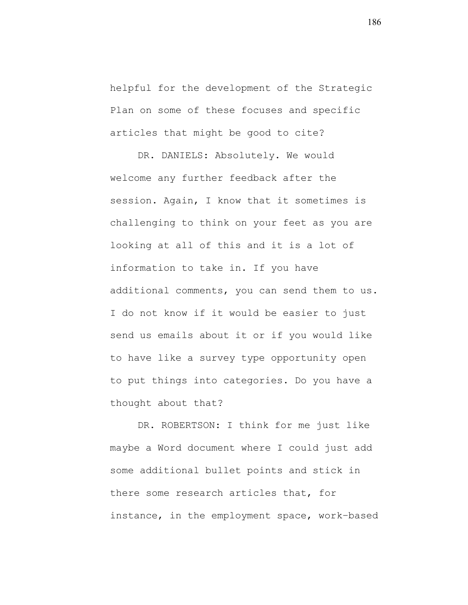helpful for the development of the Strategic Plan on some of these focuses and specific articles that might be good to cite?

DR. DANIELS: Absolutely. We would welcome any further feedback after the session. Again, I know that it sometimes is challenging to think on your feet as you are looking at all of this and it is a lot of information to take in. If you have additional comments, you can send them to us. I do not know if it would be easier to just send us emails about it or if you would like to have like a survey type opportunity open to put things into categories. Do you have a thought about that?

DR. ROBERTSON: I think for me just like maybe a Word document where I could just add some additional bullet points and stick in there some research articles that, for instance, in the employment space, work–based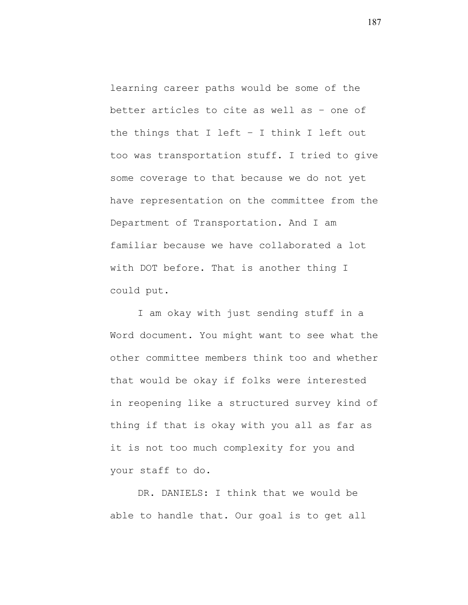learning career paths would be some of the better articles to cite as well as – one of the things that I left – I think I left out too was transportation stuff. I tried to give some coverage to that because we do not yet have representation on the committee from the Department of Transportation. And I am familiar because we have collaborated a lot with DOT before. That is another thing I could put.

I am okay with just sending stuff in a Word document. You might want to see what the other committee members think too and whether that would be okay if folks were interested in reopening like a structured survey kind of thing if that is okay with you all as far as it is not too much complexity for you and your staff to do.

DR. DANIELS: I think that we would be able to handle that. Our goal is to get all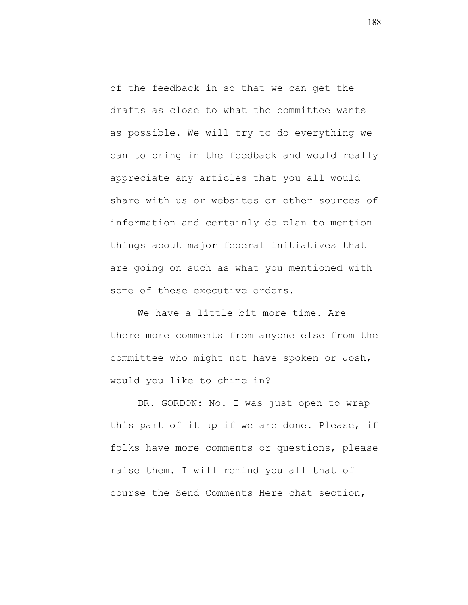of the feedback in so that we can get the drafts as close to what the committee wants as possible. We will try to do everything we can to bring in the feedback and would really appreciate any articles that you all would share with us or websites or other sources of information and certainly do plan to mention things about major federal initiatives that are going on such as what you mentioned with some of these executive orders.

We have a little bit more time. Are there more comments from anyone else from the committee who might not have spoken or Josh, would you like to chime in?

DR. GORDON: No. I was just open to wrap this part of it up if we are done. Please, if folks have more comments or questions, please raise them. I will remind you all that of course the Send Comments Here chat section,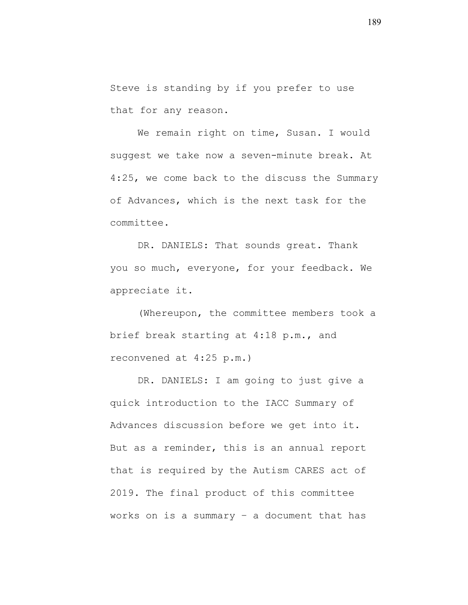Steve is standing by if you prefer to use that for any reason.

We remain right on time, Susan. I would suggest we take now a seven-minute break. At 4:25, we come back to the discuss the Summary of Advances, which is the next task for the committee.

DR. DANIELS: That sounds great. Thank you so much, everyone, for your feedback. We appreciate it.

(Whereupon, the committee members took a brief break starting at 4:18 p.m., and reconvened at 4:25 p.m.)

DR. DANIELS: I am going to just give a quick introduction to the IACC Summary of Advances discussion before we get into it. But as a reminder, this is an annual report that is required by the Autism CARES act of 2019. The final product of this committee works on is a summary – a document that has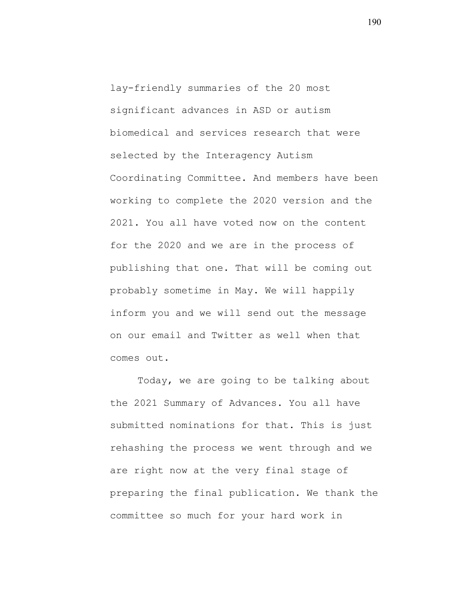lay-friendly summaries of the 20 most significant advances in ASD or autism biomedical and services research that were selected by the Interagency Autism Coordinating Committee. And members have been working to complete the 2020 version and the 2021. You all have voted now on the content for the 2020 and we are in the process of publishing that one. That will be coming out probably sometime in May. We will happily inform you and we will send out the message on our email and Twitter as well when that comes out.

Today, we are going to be talking about the 2021 Summary of Advances. You all have submitted nominations for that. This is just rehashing the process we went through and we are right now at the very final stage of preparing the final publication. We thank the committee so much for your hard work in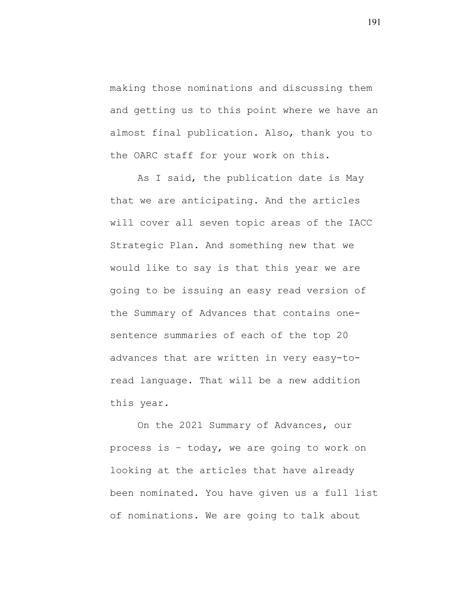making those nominations and discussing them and getting us to this point where we have an almost final publication. Also, thank you to the OARC staff for your work on this.

As I said, the publication date is May that we are anticipating. And the articles will cover all seven topic areas of the IACC Strategic Plan. And something new that we would like to say is that this year we are going to be issuing an easy read version of the Summary of Advances that contains onesentence summaries of each of the top 20 advances that are written in very easy-toread language. That will be a new addition this year.

On the 2021 Summary of Advances, our process is – today, we are going to work on looking at the articles that have already been nominated. You have given us a full list of nominations. We are going to talk about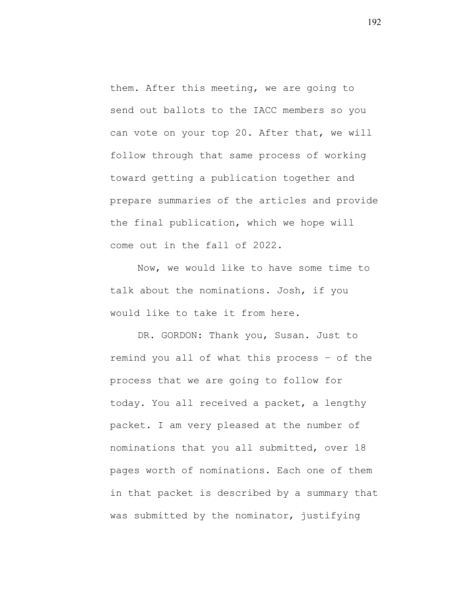them. After this meeting, we are going to send out ballots to the IACC members so you can vote on your top 20. After that, we will follow through that same process of working toward getting a publication together and prepare summaries of the articles and provide the final publication, which we hope will come out in the fall of 2022.

Now, we would like to have some time to talk about the nominations. Josh, if you would like to take it from here.

DR. GORDON: Thank you, Susan. Just to remind you all of what this process – of the process that we are going to follow for today. You all received a packet, a lengthy packet. I am very pleased at the number of nominations that you all submitted, over 18 pages worth of nominations. Each one of them in that packet is described by a summary that was submitted by the nominator, justifying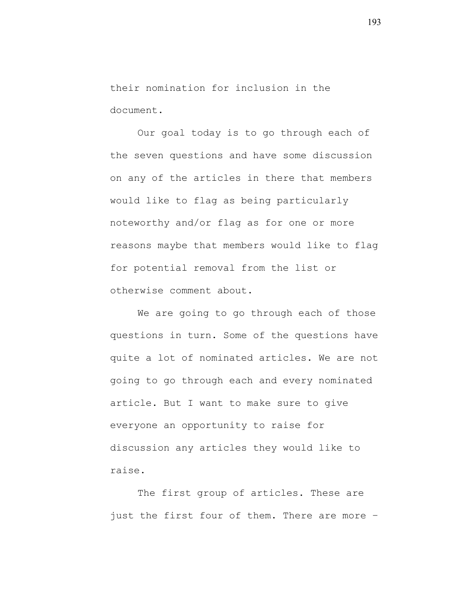their nomination for inclusion in the document.

Our goal today is to go through each of the seven questions and have some discussion on any of the articles in there that members would like to flag as being particularly noteworthy and/or flag as for one or more reasons maybe that members would like to flag for potential removal from the list or otherwise comment about.

We are going to go through each of those questions in turn. Some of the questions have quite a lot of nominated articles. We are not going to go through each and every nominated article. But I want to make sure to give everyone an opportunity to raise for discussion any articles they would like to raise.

The first group of articles. These are just the first four of them. There are more –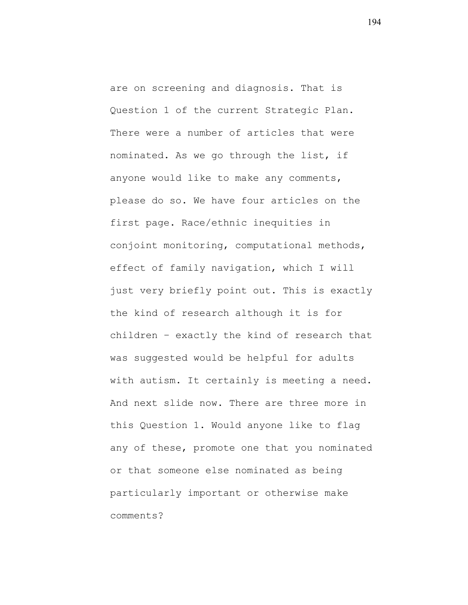are on screening and diagnosis. That is Question 1 of the current Strategic Plan. There were a number of articles that were nominated. As we go through the list, if anyone would like to make any comments, please do so. We have four articles on the first page. Race/ethnic inequities in conjoint monitoring, computational methods, effect of family navigation, which I will just very briefly point out. This is exactly the kind of research although it is for children – exactly the kind of research that was suggested would be helpful for adults with autism. It certainly is meeting a need. And next slide now. There are three more in this Question 1. Would anyone like to flag any of these, promote one that you nominated or that someone else nominated as being particularly important or otherwise make comments?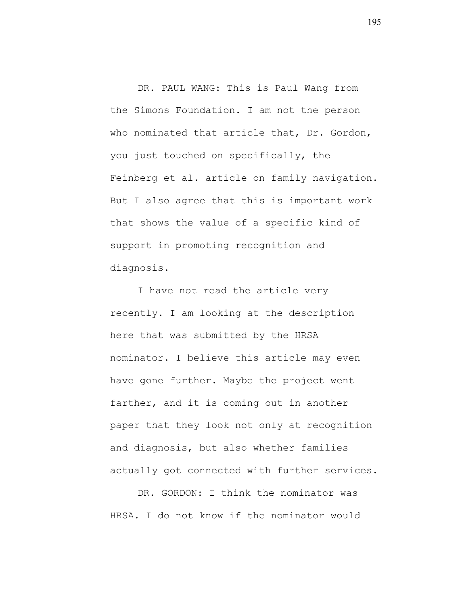DR. PAUL WANG: This is Paul Wang from the Simons Foundation. I am not the person who nominated that article that, Dr. Gordon, you just touched on specifically, the Feinberg et al. article on family navigation. But I also agree that this is important work that shows the value of a specific kind of support in promoting recognition and diagnosis.

I have not read the article very recently. I am looking at the description here that was submitted by the HRSA nominator. I believe this article may even have gone further. Maybe the project went farther, and it is coming out in another paper that they look not only at recognition and diagnosis, but also whether families actually got connected with further services.

DR. GORDON: I think the nominator was HRSA. I do not know if the nominator would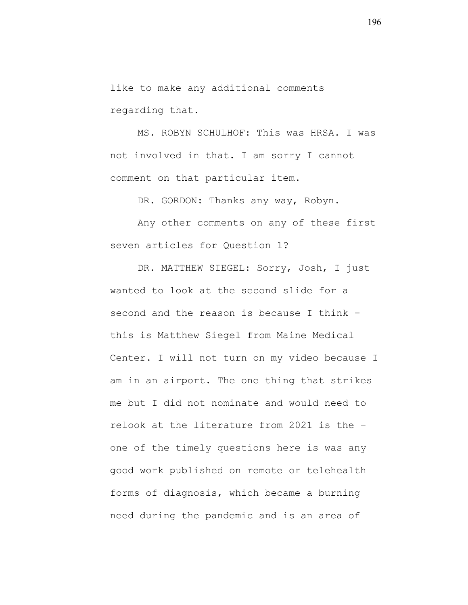like to make any additional comments regarding that.

MS. ROBYN SCHULHOF: This was HRSA. I was not involved in that. I am sorry I cannot comment on that particular item.

DR. GORDON: Thanks any way, Robyn.

Any other comments on any of these first seven articles for Question 1?

DR. MATTHEW SIEGEL: Sorry, Josh, I just wanted to look at the second slide for a second and the reason is because I think – this is Matthew Siegel from Maine Medical Center. I will not turn on my video because I am in an airport. The one thing that strikes me but I did not nominate and would need to relook at the literature from 2021 is the – one of the timely questions here is was any good work published on remote or telehealth forms of diagnosis, which became a burning need during the pandemic and is an area of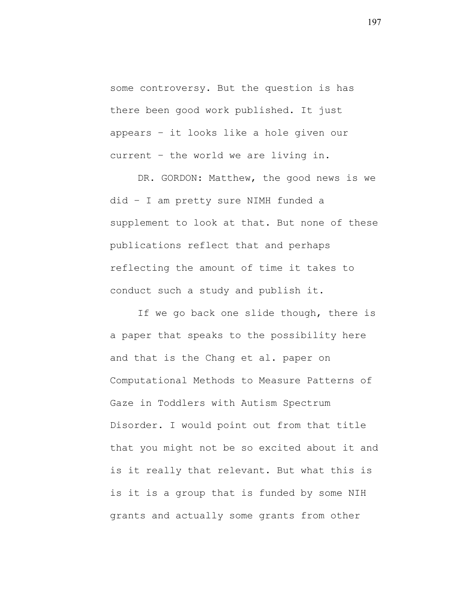some controversy. But the question is has there been good work published. It just appears – it looks like a hole given our current – the world we are living in.

DR. GORDON: Matthew, the good news is we did – I am pretty sure NIMH funded a supplement to look at that. But none of these publications reflect that and perhaps reflecting the amount of time it takes to conduct such a study and publish it.

If we go back one slide though, there is a paper that speaks to the possibility here and that is the Chang et al. paper on Computational Methods to Measure Patterns of Gaze in Toddlers with Autism Spectrum Disorder. I would point out from that title that you might not be so excited about it and is it really that relevant. But what this is is it is a group that is funded by some NIH grants and actually some grants from other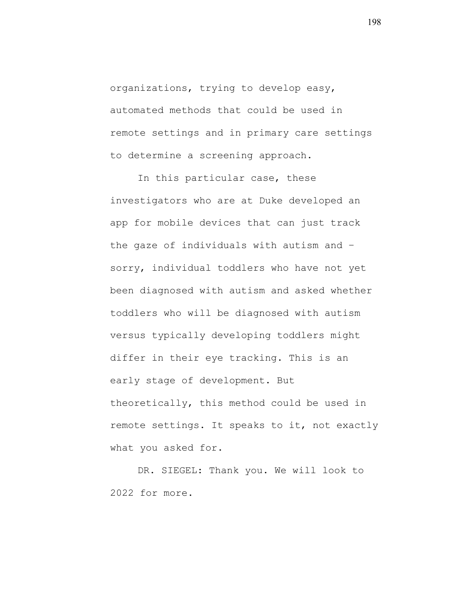organizations, trying to develop easy, automated methods that could be used in remote settings and in primary care settings to determine a screening approach.

In this particular case, these investigators who are at Duke developed an app for mobile devices that can just track the gaze of individuals with autism and – sorry, individual toddlers who have not yet been diagnosed with autism and asked whether toddlers who will be diagnosed with autism versus typically developing toddlers might differ in their eye tracking. This is an early stage of development. But theoretically, this method could be used in remote settings. It speaks to it, not exactly what you asked for.

DR. SIEGEL: Thank you. We will look to 2022 for more.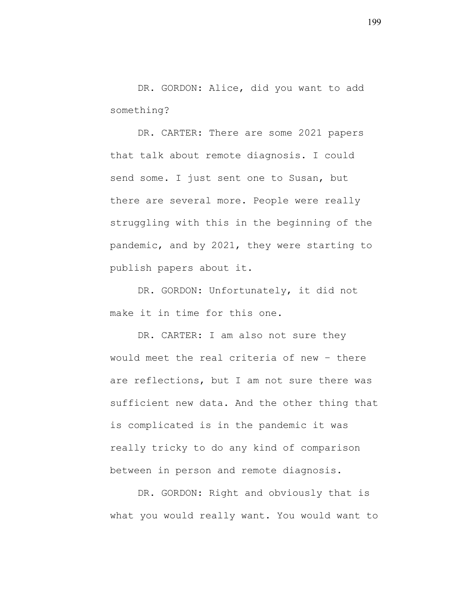DR. GORDON: Alice, did you want to add something?

DR. CARTER: There are some 2021 papers that talk about remote diagnosis. I could send some. I just sent one to Susan, but there are several more. People were really struggling with this in the beginning of the pandemic, and by 2021, they were starting to publish papers about it.

DR. GORDON: Unfortunately, it did not make it in time for this one.

DR. CARTER: I am also not sure they would meet the real criteria of new – there are reflections, but I am not sure there was sufficient new data. And the other thing that is complicated is in the pandemic it was really tricky to do any kind of comparison between in person and remote diagnosis.

DR. GORDON: Right and obviously that is what you would really want. You would want to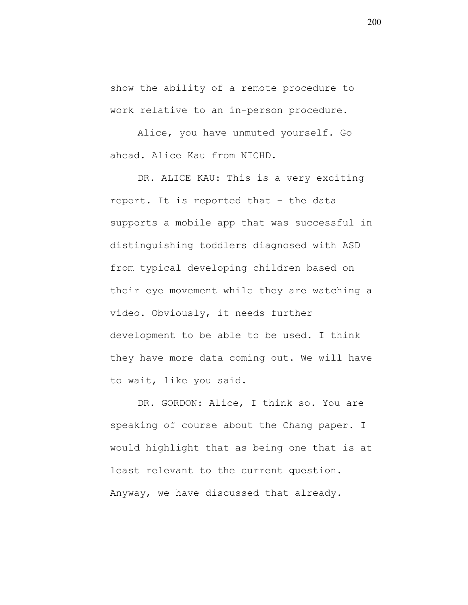show the ability of a remote procedure to work relative to an in-person procedure.

Alice, you have unmuted yourself. Go ahead. Alice Kau from NICHD.

DR. ALICE KAU: This is a very exciting report. It is reported that – the data supports a mobile app that was successful in distinguishing toddlers diagnosed with ASD from typical developing children based on their eye movement while they are watching a video. Obviously, it needs further development to be able to be used. I think they have more data coming out. We will have to wait, like you said.

DR. GORDON: Alice, I think so. You are speaking of course about the Chang paper. I would highlight that as being one that is at least relevant to the current question. Anyway, we have discussed that already.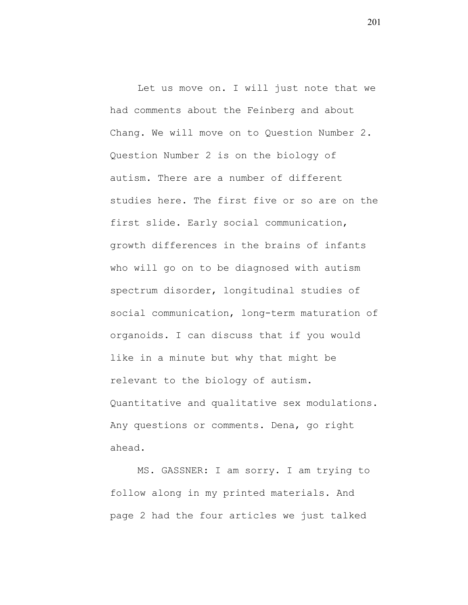Let us move on. I will just note that we had comments about the Feinberg and about Chang. We will move on to Question Number 2. Question Number 2 is on the biology of autism. There are a number of different studies here. The first five or so are on the first slide. Early social communication, growth differences in the brains of infants who will go on to be diagnosed with autism spectrum disorder, longitudinal studies of social communication, long-term maturation of organoids. I can discuss that if you would like in a minute but why that might be relevant to the biology of autism. Quantitative and qualitative sex modulations. Any questions or comments. Dena, go right ahead.

MS. GASSNER: I am sorry. I am trying to follow along in my printed materials. And page 2 had the four articles we just talked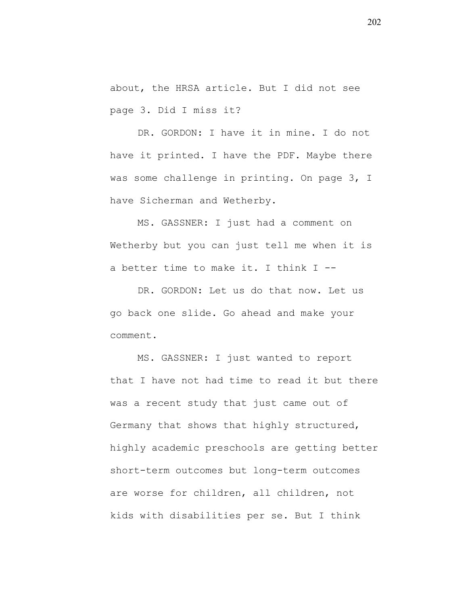about, the HRSA article. But I did not see page 3. Did I miss it?

DR. GORDON: I have it in mine. I do not have it printed. I have the PDF. Maybe there was some challenge in printing. On page 3, I have Sicherman and Wetherby.

MS. GASSNER: I just had a comment on Wetherby but you can just tell me when it is a better time to make it. I think I --

DR. GORDON: Let us do that now. Let us go back one slide. Go ahead and make your comment.

MS. GASSNER: I just wanted to report that I have not had time to read it but there was a recent study that just came out of Germany that shows that highly structured, highly academic preschools are getting better short-term outcomes but long-term outcomes are worse for children, all children, not kids with disabilities per se. But I think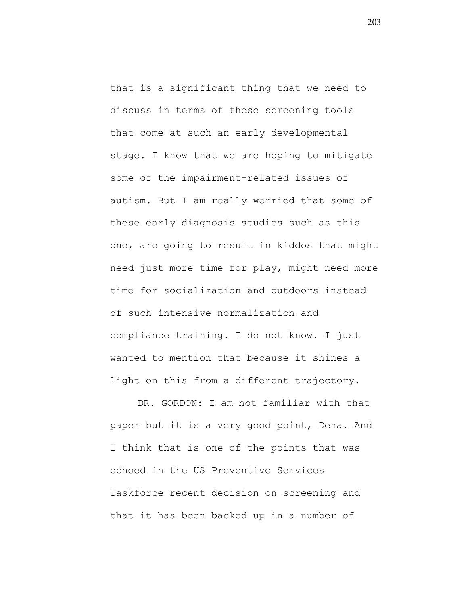that is a significant thing that we need to discuss in terms of these screening tools that come at such an early developmental stage. I know that we are hoping to mitigate some of the impairment-related issues of autism. But I am really worried that some of these early diagnosis studies such as this one, are going to result in kiddos that might need just more time for play, might need more time for socialization and outdoors instead of such intensive normalization and compliance training. I do not know. I just wanted to mention that because it shines a light on this from a different trajectory.

DR. GORDON: I am not familiar with that paper but it is a very good point, Dena. And I think that is one of the points that was echoed in the US Preventive Services Taskforce recent decision on screening and that it has been backed up in a number of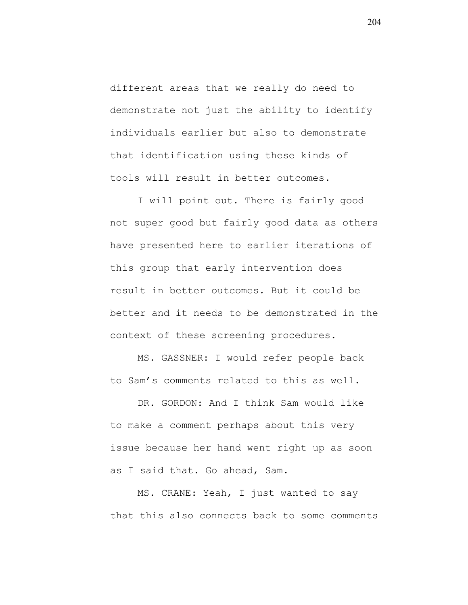different areas that we really do need to demonstrate not just the ability to identify individuals earlier but also to demonstrate that identification using these kinds of tools will result in better outcomes.

I will point out. There is fairly good not super good but fairly good data as others have presented here to earlier iterations of this group that early intervention does result in better outcomes. But it could be better and it needs to be demonstrated in the context of these screening procedures.

MS. GASSNER: I would refer people back to Sam's comments related to this as well.

DR. GORDON: And I think Sam would like to make a comment perhaps about this very issue because her hand went right up as soon as I said that. Go ahead, Sam.

MS. CRANE: Yeah, I just wanted to say that this also connects back to some comments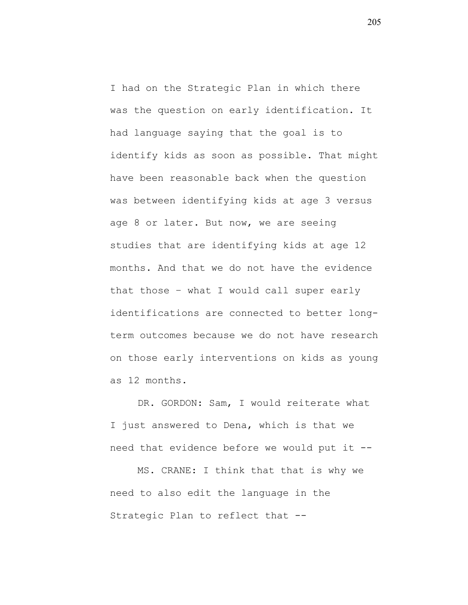I had on the Strategic Plan in which there was the question on early identification. It had language saying that the goal is to identify kids as soon as possible. That might have been reasonable back when the question was between identifying kids at age 3 versus age 8 or later. But now, we are seeing studies that are identifying kids at age 12 months. And that we do not have the evidence that those – what I would call super early identifications are connected to better longterm outcomes because we do not have research on those early interventions on kids as young as 12 months.

DR. GORDON: Sam, I would reiterate what I just answered to Dena, which is that we need that evidence before we would put it --

MS. CRANE: I think that that is why we need to also edit the language in the Strategic Plan to reflect that --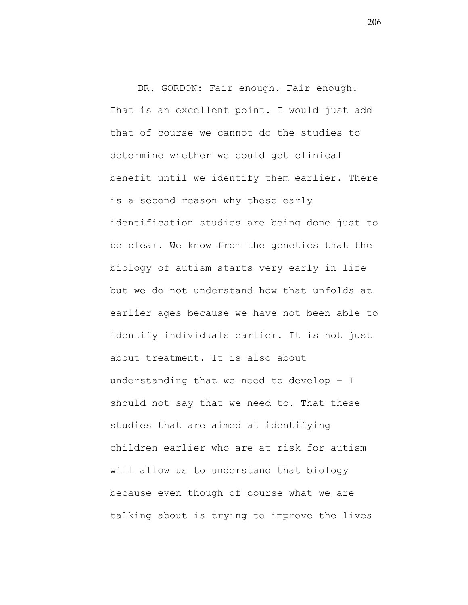DR. GORDON: Fair enough. Fair enough. That is an excellent point. I would just add that of course we cannot do the studies to determine whether we could get clinical benefit until we identify them earlier. There is a second reason why these early identification studies are being done just to be clear. We know from the genetics that the biology of autism starts very early in life but we do not understand how that unfolds at earlier ages because we have not been able to identify individuals earlier. It is not just about treatment. It is also about understanding that we need to develop – I should not say that we need to. That these studies that are aimed at identifying children earlier who are at risk for autism will allow us to understand that biology because even though of course what we are talking about is trying to improve the lives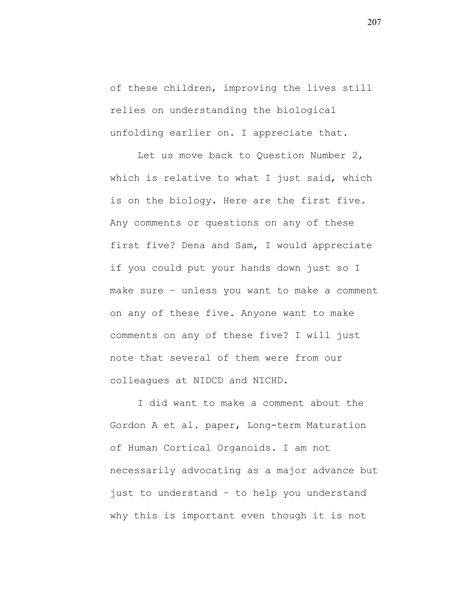of these children, improving the lives still relies on understanding the biological unfolding earlier on. I appreciate that.

Let us move back to Question Number 2, which is relative to what I just said, which is on the biology. Here are the first five. Any comments or questions on any of these first five? Dena and Sam, I would appreciate if you could put your hands down just so I make sure – unless you want to make a comment on any of these five. Anyone want to make comments on any of these five? I will just note that several of them were from our colleagues at NIDCD and NICHD.

I did want to make a comment about the Gordon A et al. paper, Long-term Maturation of Human Cortical Organoids. I am not necessarily advocating as a major advance but just to understand – to help you understand why this is important even though it is not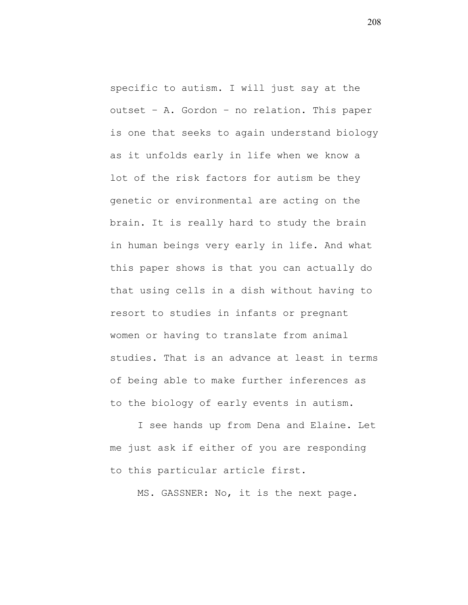specific to autism. I will just say at the outset – A. Gordon – no relation. This paper is one that seeks to again understand biology as it unfolds early in life when we know a lot of the risk factors for autism be they genetic or environmental are acting on the brain. It is really hard to study the brain in human beings very early in life. And what this paper shows is that you can actually do that using cells in a dish without having to resort to studies in infants or pregnant women or having to translate from animal studies. That is an advance at least in terms of being able to make further inferences as to the biology of early events in autism.

I see hands up from Dena and Elaine. Let me just ask if either of you are responding to this particular article first.

MS. GASSNER: No, it is the next page.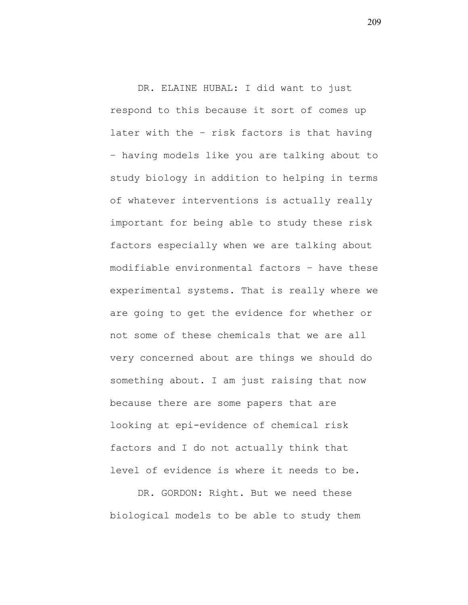DR. ELAINE HUBAL: I did want to just respond to this because it sort of comes up later with the – risk factors is that having – having models like you are talking about to study biology in addition to helping in terms of whatever interventions is actually really important for being able to study these risk factors especially when we are talking about modifiable environmental factors – have these experimental systems. That is really where we are going to get the evidence for whether or not some of these chemicals that we are all very concerned about are things we should do something about. I am just raising that now because there are some papers that are looking at epi-evidence of chemical risk factors and I do not actually think that level of evidence is where it needs to be.

DR. GORDON: Right. But we need these biological models to be able to study them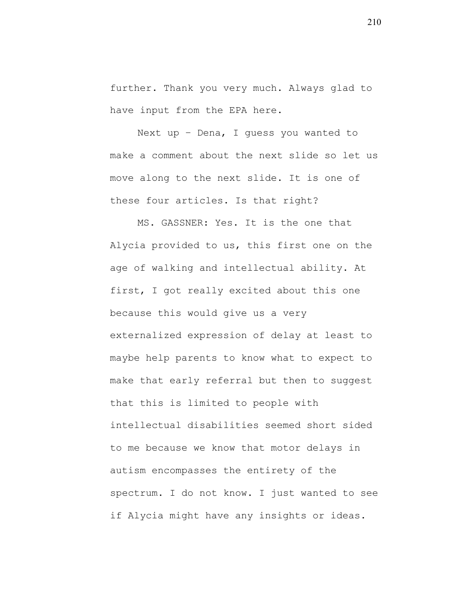further. Thank you very much. Always glad to have input from the EPA here.

Next up – Dena, I guess you wanted to make a comment about the next slide so let us move along to the next slide. It is one of these four articles. Is that right?

MS. GASSNER: Yes. It is the one that Alycia provided to us, this first one on the age of walking and intellectual ability. At first, I got really excited about this one because this would give us a very externalized expression of delay at least to maybe help parents to know what to expect to make that early referral but then to suggest that this is limited to people with intellectual disabilities seemed short sided to me because we know that motor delays in autism encompasses the entirety of the spectrum. I do not know. I just wanted to see if Alycia might have any insights or ideas.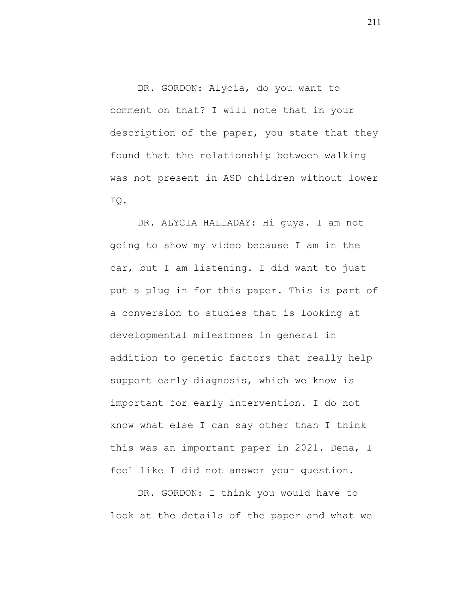DR. GORDON: Alycia, do you want to comment on that? I will note that in your description of the paper, you state that they found that the relationship between walking was not present in ASD children without lower IQ.

DR. ALYCIA HALLADAY: Hi guys. I am not going to show my video because I am in the car, but I am listening. I did want to just put a plug in for this paper. This is part of a conversion to studies that is looking at developmental milestones in general in addition to genetic factors that really help support early diagnosis, which we know is important for early intervention. I do not know what else I can say other than I think this was an important paper in 2021. Dena, I feel like I did not answer your question.

DR. GORDON: I think you would have to look at the details of the paper and what we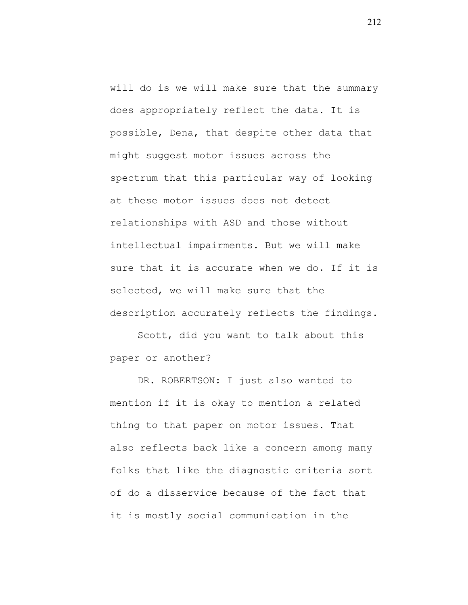will do is we will make sure that the summary does appropriately reflect the data. It is possible, Dena, that despite other data that might suggest motor issues across the spectrum that this particular way of looking at these motor issues does not detect relationships with ASD and those without intellectual impairments. But we will make sure that it is accurate when we do. If it is selected, we will make sure that the description accurately reflects the findings.

Scott, did you want to talk about this paper or another?

DR. ROBERTSON: I just also wanted to mention if it is okay to mention a related thing to that paper on motor issues. That also reflects back like a concern among many folks that like the diagnostic criteria sort of do a disservice because of the fact that it is mostly social communication in the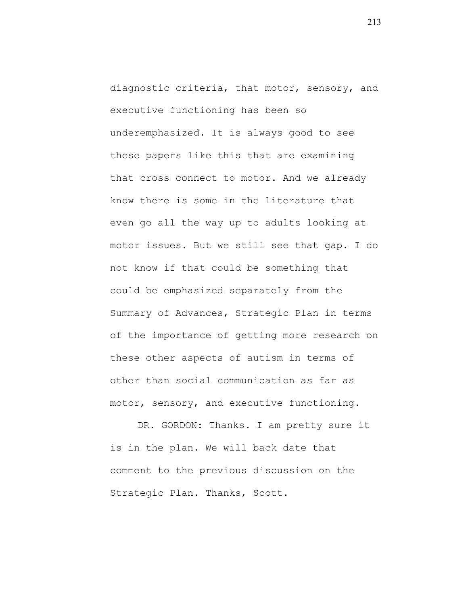diagnostic criteria, that motor, sensory, and executive functioning has been so underemphasized. It is always good to see these papers like this that are examining that cross connect to motor. And we already know there is some in the literature that even go all the way up to adults looking at motor issues. But we still see that gap. I do not know if that could be something that could be emphasized separately from the Summary of Advances, Strategic Plan in terms of the importance of getting more research on these other aspects of autism in terms of other than social communication as far as motor, sensory, and executive functioning.

DR. GORDON: Thanks. I am pretty sure it is in the plan. We will back date that comment to the previous discussion on the Strategic Plan. Thanks, Scott.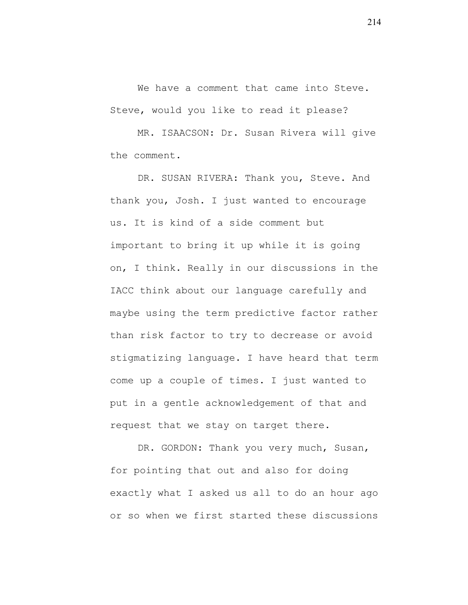We have a comment that came into Steve. Steve, would you like to read it please?

MR. ISAACSON: Dr. Susan Rivera will give the comment.

DR. SUSAN RIVERA: Thank you, Steve. And thank you, Josh. I just wanted to encourage us. It is kind of a side comment but important to bring it up while it is going on, I think. Really in our discussions in the IACC think about our language carefully and maybe using the term predictive factor rather than risk factor to try to decrease or avoid stigmatizing language. I have heard that term come up a couple of times. I just wanted to put in a gentle acknowledgement of that and request that we stay on target there.

DR. GORDON: Thank you very much, Susan, for pointing that out and also for doing exactly what I asked us all to do an hour ago or so when we first started these discussions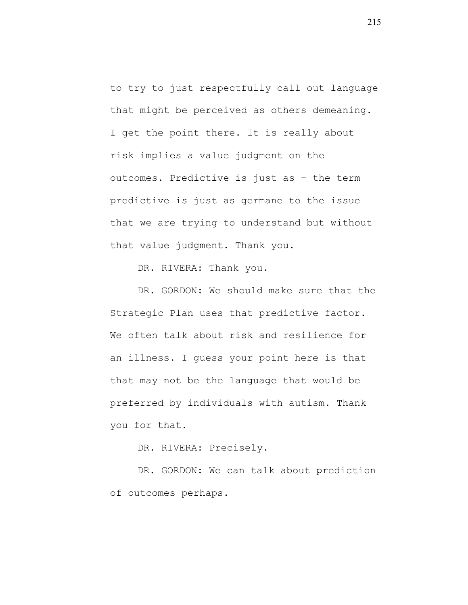to try to just respectfully call out language that might be perceived as others demeaning. I get the point there. It is really about risk implies a value judgment on the outcomes. Predictive is just as – the term predictive is just as germane to the issue that we are trying to understand but without that value judgment. Thank you.

DR. RIVERA: Thank you.

DR. GORDON: We should make sure that the Strategic Plan uses that predictive factor. We often talk about risk and resilience for an illness. I guess your point here is that that may not be the language that would be preferred by individuals with autism. Thank you for that.

DR. RIVERA: Precisely.

DR. GORDON: We can talk about prediction of outcomes perhaps.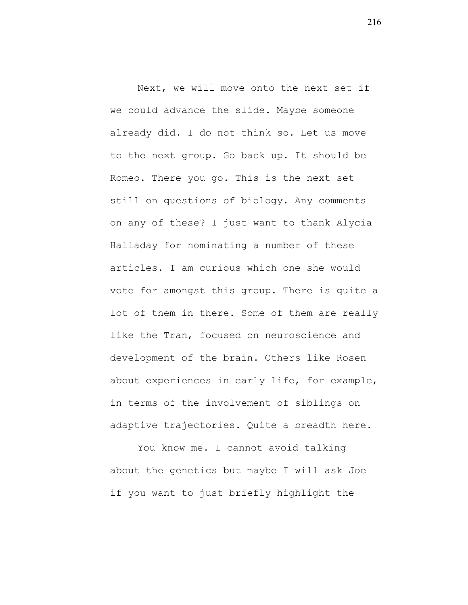Next, we will move onto the next set if we could advance the slide. Maybe someone already did. I do not think so. Let us move to the next group. Go back up. It should be Romeo. There you go. This is the next set still on questions of biology. Any comments on any of these? I just want to thank Alycia Halladay for nominating a number of these articles. I am curious which one she would vote for amongst this group. There is quite a lot of them in there. Some of them are really like the Tran, focused on neuroscience and development of the brain. Others like Rosen about experiences in early life, for example, in terms of the involvement of siblings on adaptive trajectories. Quite a breadth here.

You know me. I cannot avoid talking about the genetics but maybe I will ask Joe if you want to just briefly highlight the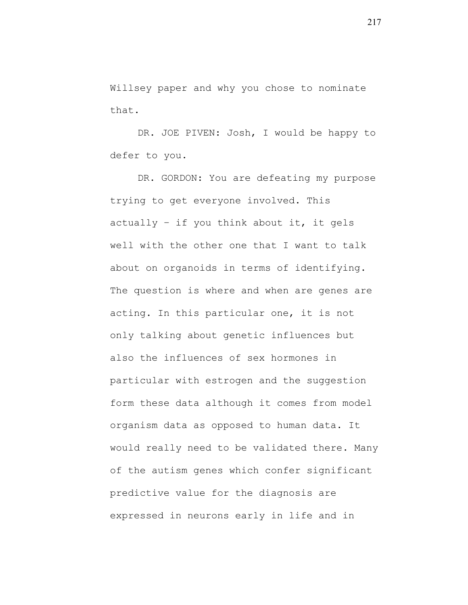Willsey paper and why you chose to nominate that.

DR. JOE PIVEN: Josh, I would be happy to defer to you.

DR. GORDON: You are defeating my purpose trying to get everyone involved. This actually – if you think about it, it gels well with the other one that I want to talk about on organoids in terms of identifying. The question is where and when are genes are acting. In this particular one, it is not only talking about genetic influences but also the influences of sex hormones in particular with estrogen and the suggestion form these data although it comes from model organism data as opposed to human data. It would really need to be validated there. Many of the autism genes which confer significant predictive value for the diagnosis are expressed in neurons early in life and in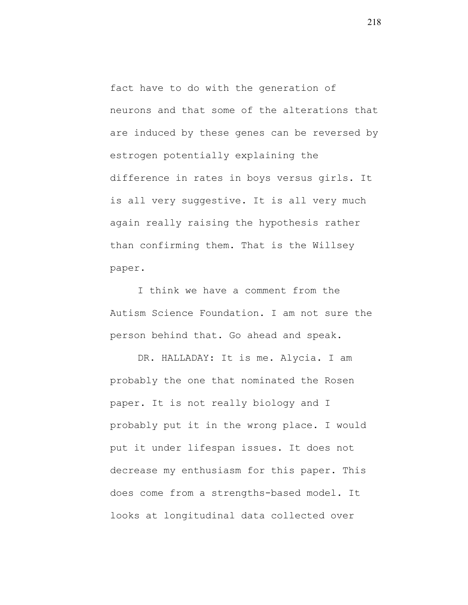fact have to do with the generation of neurons and that some of the alterations that are induced by these genes can be reversed by estrogen potentially explaining the difference in rates in boys versus girls. It is all very suggestive. It is all very much again really raising the hypothesis rather than confirming them. That is the Willsey paper.

I think we have a comment from the Autism Science Foundation. I am not sure the person behind that. Go ahead and speak.

DR. HALLADAY: It is me. Alycia. I am probably the one that nominated the Rosen paper. It is not really biology and I probably put it in the wrong place. I would put it under lifespan issues. It does not decrease my enthusiasm for this paper. This does come from a strengths-based model. It looks at longitudinal data collected over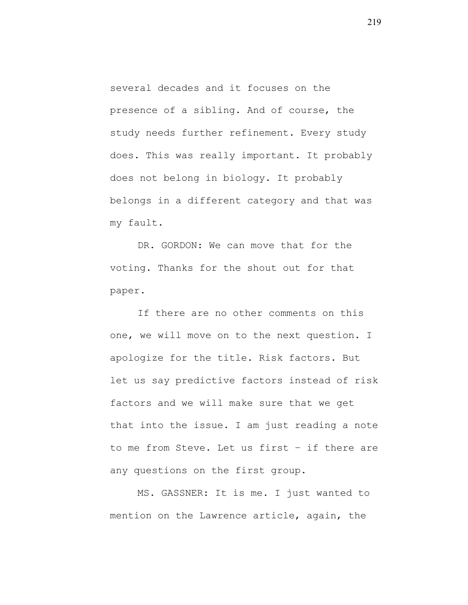several decades and it focuses on the presence of a sibling. And of course, the study needs further refinement. Every study does. This was really important. It probably does not belong in biology. It probably belongs in a different category and that was my fault.

DR. GORDON: We can move that for the voting. Thanks for the shout out for that paper.

If there are no other comments on this one, we will move on to the next question. I apologize for the title. Risk factors. But let us say predictive factors instead of risk factors and we will make sure that we get that into the issue. I am just reading a note to me from Steve. Let us first – if there are any questions on the first group.

MS. GASSNER: It is me. I just wanted to mention on the Lawrence article, again, the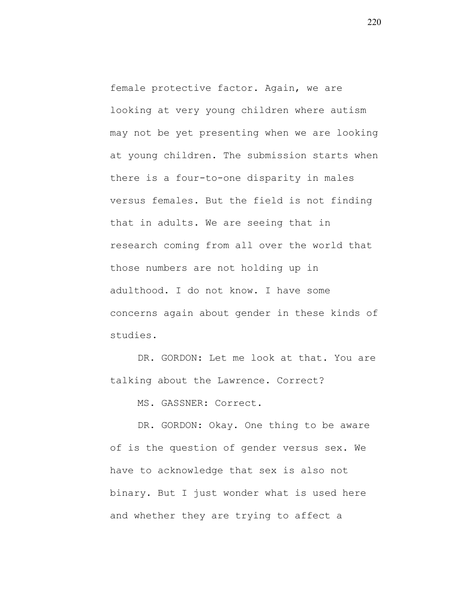female protective factor. Again, we are looking at very young children where autism may not be yet presenting when we are looking at young children. The submission starts when there is a four-to-one disparity in males versus females. But the field is not finding that in adults. We are seeing that in research coming from all over the world that those numbers are not holding up in adulthood. I do not know. I have some concerns again about gender in these kinds of studies.

DR. GORDON: Let me look at that. You are talking about the Lawrence. Correct?

MS. GASSNER: Correct.

DR. GORDON: Okay. One thing to be aware of is the question of gender versus sex. We have to acknowledge that sex is also not binary. But I just wonder what is used here and whether they are trying to affect a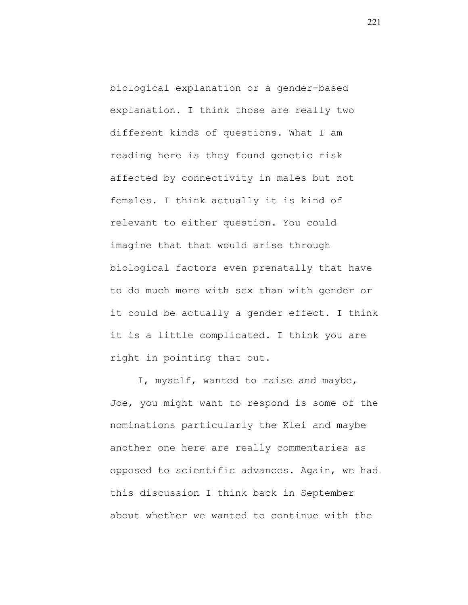biological explanation or a gender-based explanation. I think those are really two different kinds of questions. What I am reading here is they found genetic risk affected by connectivity in males but not females. I think actually it is kind of relevant to either question. You could imagine that that would arise through biological factors even prenatally that have to do much more with sex than with gender or it could be actually a gender effect. I think it is a little complicated. I think you are right in pointing that out.

I, myself, wanted to raise and maybe, Joe, you might want to respond is some of the nominations particularly the Klei and maybe another one here are really commentaries as opposed to scientific advances. Again, we had this discussion I think back in September about whether we wanted to continue with the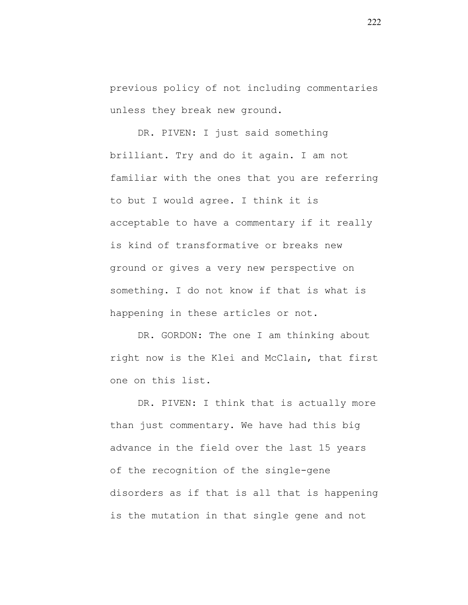previous policy of not including commentaries unless they break new ground.

DR. PIVEN: I just said something brilliant. Try and do it again. I am not familiar with the ones that you are referring to but I would agree. I think it is acceptable to have a commentary if it really is kind of transformative or breaks new ground or gives a very new perspective on something. I do not know if that is what is happening in these articles or not.

DR. GORDON: The one I am thinking about right now is the Klei and McClain, that first one on this list.

DR. PIVEN: I think that is actually more than just commentary. We have had this big advance in the field over the last 15 years of the recognition of the single-gene disorders as if that is all that is happening is the mutation in that single gene and not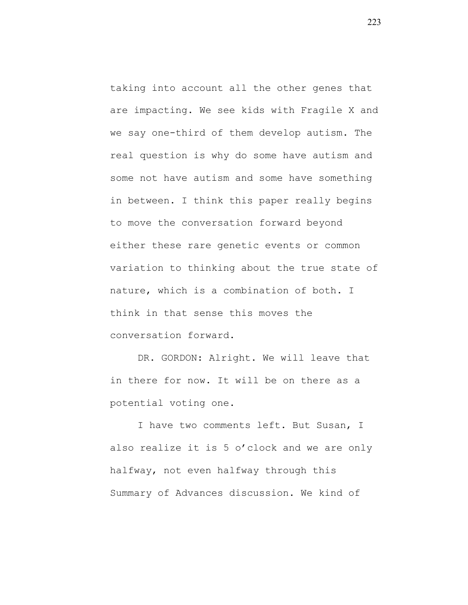taking into account all the other genes that are impacting. We see kids with Fragile X and we say one-third of them develop autism. The real question is why do some have autism and some not have autism and some have something in between. I think this paper really begins to move the conversation forward beyond either these rare genetic events or common variation to thinking about the true state of nature, which is a combination of both. I think in that sense this moves the conversation forward.

DR. GORDON: Alright. We will leave that in there for now. It will be on there as a potential voting one.

I have two comments left. But Susan, I also realize it is 5 o'clock and we are only halfway, not even halfway through this Summary of Advances discussion. We kind of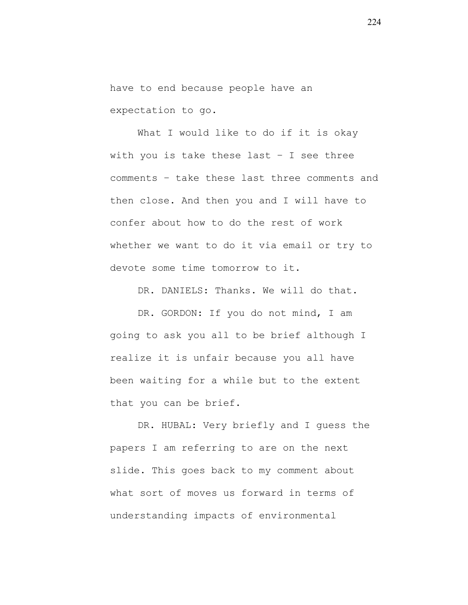have to end because people have an expectation to go.

What I would like to do if it is okay with you is take these last – I see three comments – take these last three comments and then close. And then you and I will have to confer about how to do the rest of work whether we want to do it via email or try to devote some time tomorrow to it.

DR. DANIELS: Thanks. We will do that.

DR. GORDON: If you do not mind, I am going to ask you all to be brief although I realize it is unfair because you all have been waiting for a while but to the extent that you can be brief.

DR. HUBAL: Very briefly and I guess the papers I am referring to are on the next slide. This goes back to my comment about what sort of moves us forward in terms of understanding impacts of environmental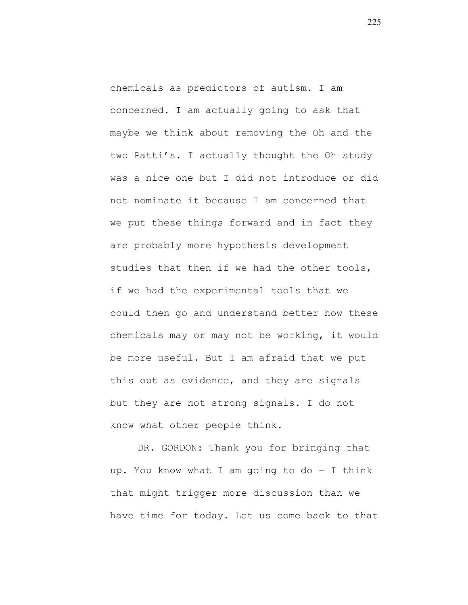chemicals as predictors of autism. I am concerned. I am actually going to ask that maybe we think about removing the Oh and the two Patti's. I actually thought the Oh study was a nice one but I did not introduce or did not nominate it because I am concerned that we put these things forward and in fact they are probably more hypothesis development studies that then if we had the other tools, if we had the experimental tools that we could then go and understand better how these chemicals may or may not be working, it would be more useful. But I am afraid that we put this out as evidence, and they are signals but they are not strong signals. I do not know what other people think.

DR. GORDON: Thank you for bringing that up. You know what I am going to do – I think that might trigger more discussion than we have time for today. Let us come back to that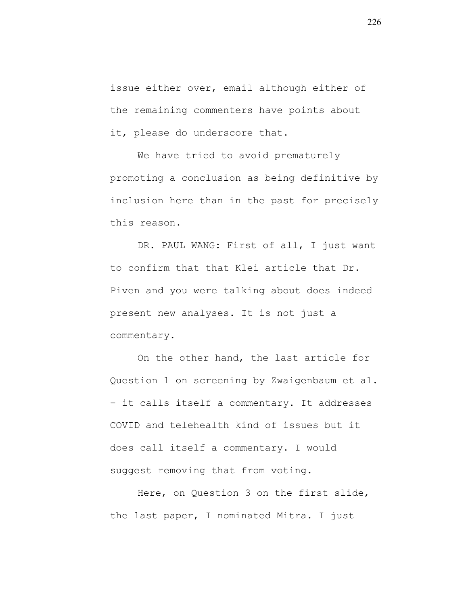issue either over, email although either of the remaining commenters have points about it, please do underscore that.

We have tried to avoid prematurely promoting a conclusion as being definitive by inclusion here than in the past for precisely this reason.

DR. PAUL WANG: First of all, I just want to confirm that that Klei article that Dr. Piven and you were talking about does indeed present new analyses. It is not just a commentary.

On the other hand, the last article for Question 1 on screening by Zwaigenbaum et al. – it calls itself a commentary. It addresses COVID and telehealth kind of issues but it does call itself a commentary. I would suggest removing that from voting.

Here, on Question 3 on the first slide, the last paper, I nominated Mitra. I just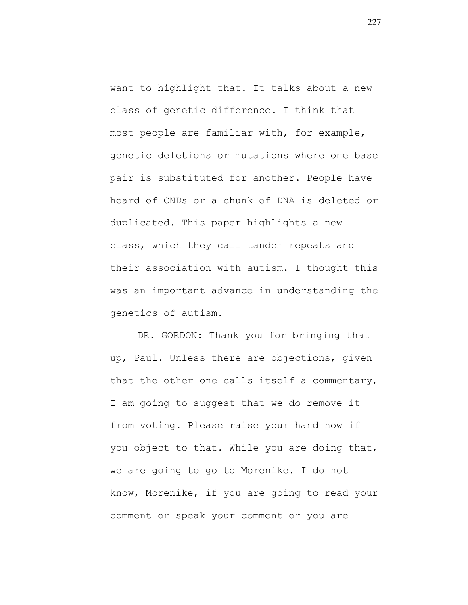want to highlight that. It talks about a new class of genetic difference. I think that most people are familiar with, for example, genetic deletions or mutations where one base pair is substituted for another. People have heard of CNDs or a chunk of DNA is deleted or duplicated. This paper highlights a new class, which they call tandem repeats and their association with autism. I thought this was an important advance in understanding the genetics of autism.

DR. GORDON: Thank you for bringing that up, Paul. Unless there are objections, given that the other one calls itself a commentary, I am going to suggest that we do remove it from voting. Please raise your hand now if you object to that. While you are doing that, we are going to go to Morenike. I do not know, Morenike, if you are going to read your comment or speak your comment or you are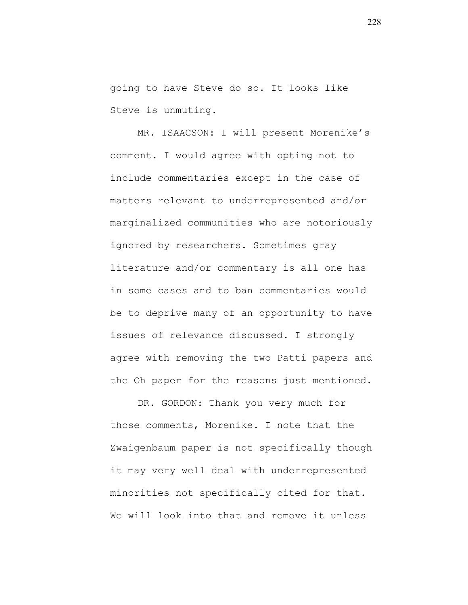going to have Steve do so. It looks like Steve is unmuting.

MR. ISAACSON: I will present Morenike's comment. I would agree with opting not to include commentaries except in the case of matters relevant to underrepresented and/or marginalized communities who are notoriously ignored by researchers. Sometimes gray literature and/or commentary is all one has in some cases and to ban commentaries would be to deprive many of an opportunity to have issues of relevance discussed. I strongly agree with removing the two Patti papers and the Oh paper for the reasons just mentioned.

DR. GORDON: Thank you very much for those comments, Morenike. I note that the Zwaigenbaum paper is not specifically though it may very well deal with underrepresented minorities not specifically cited for that. We will look into that and remove it unless